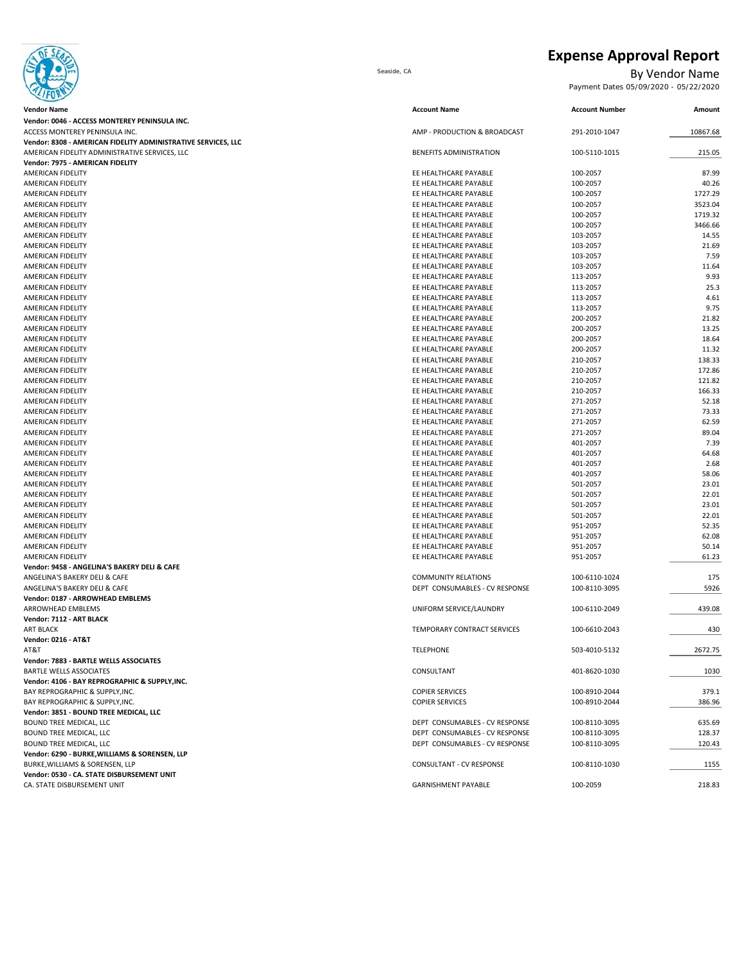

### **Expense Approval Report**

Seaside, CA By Vendor Name<br>Payment Dates 05/09/2020 - 05/22/2020

| Payment Dates 05/09/2020 - 05/22/2020 |  |  |
|---------------------------------------|--|--|
|---------------------------------------|--|--|

| <b>Vendor Name</b>                                            | <b>Account Name</b>                            | <b>Account Number</b> | Amount       |
|---------------------------------------------------------------|------------------------------------------------|-----------------------|--------------|
| Vendor: 0046 - ACCESS MONTEREY PENINSULA INC.                 |                                                |                       |              |
| ACCESS MONTEREY PENINSULA INC.                                | AMP - PRODUCTION & BROADCAST                   | 291-2010-1047         | 10867.68     |
| Vendor: 8308 - AMERICAN FIDELITY ADMINISTRATIVE SERVICES, LLC |                                                |                       |              |
| AMERICAN FIDELITY ADMINISTRATIVE SERVICES, LLC                | BENEFITS ADMINISTRATION                        | 100-5110-1015         | 215.05       |
| Vendor: 7975 - AMERICAN FIDELITY                              |                                                |                       |              |
| <b>AMERICAN FIDELITY</b>                                      | EE HEALTHCARE PAYABLE                          | 100-2057              | 87.99        |
| AMERICAN FIDELITY                                             | EE HEALTHCARE PAYABLE                          | 100-2057              | 40.26        |
| AMERICAN FIDELITY                                             | EE HEALTHCARE PAYABLE                          | 100-2057              | 1727.29      |
| AMERICAN FIDELITY                                             | EE HEALTHCARE PAYABLE                          | 100-2057              | 3523.04      |
| AMERICAN FIDELITY                                             | EE HEALTHCARE PAYABLE                          | 100-2057              | 1719.32      |
| AMERICAN FIDELITY                                             | EE HEALTHCARE PAYABLE                          | 100-2057              | 3466.66      |
| AMERICAN FIDELITY                                             | EE HEALTHCARE PAYABLE                          | 103-2057              | 14.55        |
| AMERICAN FIDELITY                                             | EE HEALTHCARE PAYABLE                          | 103-2057              | 21.69        |
| AMERICAN FIDELITY                                             | EE HEALTHCARE PAYABLE                          | 103-2057              | 7.59         |
| <b>AMERICAN FIDELITY</b>                                      | EE HEALTHCARE PAYABLE                          | 103-2057              | 11.64        |
| AMERICAN FIDELITY                                             | EE HEALTHCARE PAYABLE                          | 113-2057              | 9.93         |
| AMERICAN FIDELITY                                             | EE HEALTHCARE PAYABLE<br>EE HEALTHCARE PAYABLE | 113-2057              | 25.3<br>4.61 |
| AMERICAN FIDELITY<br>AMERICAN FIDELITY                        | EE HEALTHCARE PAYABLE                          | 113-2057<br>113-2057  | 9.75         |
| AMERICAN FIDELITY                                             | EE HEALTHCARE PAYABLE                          | 200-2057              | 21.82        |
| AMERICAN FIDELITY                                             | EE HEALTHCARE PAYABLE                          | 200-2057              | 13.25        |
| AMERICAN FIDELITY                                             | EE HEALTHCARE PAYABLE                          | 200-2057              | 18.64        |
| AMERICAN FIDELITY                                             | EE HEALTHCARE PAYABLE                          | 200-2057              | 11.32        |
| AMERICAN FIDELITY                                             | EE HEALTHCARE PAYABLE                          | 210-2057              | 138.33       |
| AMERICAN FIDELITY                                             | EE HEALTHCARE PAYABLE                          | 210-2057              | 172.86       |
| AMERICAN FIDELITY                                             | EE HEALTHCARE PAYABLE                          | 210-2057              | 121.82       |
| AMERICAN FIDELITY                                             | EE HEALTHCARE PAYABLE                          | 210-2057              | 166.33       |
| AMERICAN FIDELITY                                             | EE HEALTHCARE PAYABLE                          | 271-2057              | 52.18        |
| AMERICAN FIDELITY                                             | EE HEALTHCARE PAYABLE                          | 271-2057              | 73.33        |
| AMERICAN FIDELITY                                             | EE HEALTHCARE PAYABLE                          | 271-2057              | 62.59        |
| AMERICAN FIDELITY                                             | EE HEALTHCARE PAYABLE                          | 271-2057              | 89.04        |
| <b>AMERICAN FIDELITY</b>                                      | EE HEALTHCARE PAYABLE                          | 401-2057              | 7.39         |
| AMERICAN FIDELITY                                             | EE HEALTHCARE PAYABLE                          | 401-2057              | 64.68        |
| AMERICAN FIDELITY                                             | EE HEALTHCARE PAYABLE                          | 401-2057              | 2.68         |
| AMERICAN FIDELITY                                             | EE HEALTHCARE PAYABLE                          | 401-2057              | 58.06        |
| AMERICAN FIDELITY                                             | EE HEALTHCARE PAYABLE                          | 501-2057              | 23.01        |
| AMERICAN FIDELITY                                             | EE HEALTHCARE PAYABLE                          | 501-2057              | 22.01        |
| AMERICAN FIDELITY                                             | EE HEALTHCARE PAYABLE                          | 501-2057              | 23.01        |
| AMERICAN FIDELITY                                             | EE HEALTHCARE PAYABLE                          | 501-2057              | 22.01        |
| AMERICAN FIDELITY                                             | EE HEALTHCARE PAYABLE                          | 951-2057              | 52.35        |
| AMERICAN FIDELITY                                             | EE HEALTHCARE PAYABLE                          | 951-2057              | 62.08        |
| AMERICAN FIDELITY                                             | EE HEALTHCARE PAYABLE                          | 951-2057              | 50.14        |
| AMERICAN FIDELITY                                             | EE HEALTHCARE PAYABLE                          | 951-2057              | 61.23        |
| Vendor: 9458 - ANGELINA'S BAKERY DELI & CAFE                  |                                                |                       |              |
| ANGELINA'S BAKERY DELI & CAFE                                 | <b>COMMUNITY RELATIONS</b>                     | 100-6110-1024         | 175          |
| ANGELINA'S BAKERY DELI & CAFE                                 | DEPT CONSUMABLES - CV RESPONSE                 | 100-8110-3095         | 5926         |
| Vendor: 0187 - ARROWHEAD EMBLEMS                              |                                                |                       |              |
| <b>ARROWHEAD EMBLEMS</b>                                      | UNIFORM SERVICE/LAUNDRY                        | 100-6110-2049         | 439.08       |
| Vendor: 7112 - ART BLACK<br><b>ART BLACK</b>                  |                                                |                       |              |
| <b>Vendor: 0216 - AT&amp;T</b>                                | TEMPORARY CONTRACT SERVICES                    | 100-6610-2043         | 430          |
| AT&T                                                          | <b>TELEPHONE</b>                               | 503-4010-5132         | 2672.75      |
| Vendor: 7883 - BARTLE WELLS ASSOCIATES                        |                                                |                       |              |
| <b>BARTLE WELLS ASSOCIATES</b>                                | CONSULTANT                                     | 401-8620-1030         | 1030         |
| Vendor: 4106 - BAY REPROGRAPHIC & SUPPLY, INC.                |                                                |                       |              |
| BAY REPROGRAPHIC & SUPPLY, INC.                               | <b>COPIER SERVICES</b>                         | 100-8910-2044         | 379.1        |
| BAY REPROGRAPHIC & SUPPLY, INC.                               | <b>COPIER SERVICES</b>                         | 100-8910-2044         | 386.96       |
| Vendor: 3851 - BOUND TREE MEDICAL, LLC                        |                                                |                       |              |
| BOUND TREE MEDICAL, LLC                                       | DEPT CONSUMABLES - CV RESPONSE                 | 100-8110-3095         | 635.69       |
| BOUND TREE MEDICAL, LLC                                       | DEPT CONSUMABLES - CV RESPONSE                 | 100-8110-3095         | 128.37       |
| BOUND TREE MEDICAL, LLC                                       | DEPT CONSUMABLES - CV RESPONSE                 | 100-8110-3095         | 120.43       |
| Vendor: 6290 - BURKE, WILLIAMS & SORENSEN, LLP                |                                                |                       |              |
| BURKE, WILLIAMS & SORENSEN, LLP                               | <b>CONSULTANT - CV RESPONSE</b>                | 100-8110-1030         | 1155         |
| Vendor: 0530 - CA. STATE DISBURSEMENT UNIT                    |                                                |                       |              |
| CA. STATE DISBURSEMENT UNIT                                   | <b>GARNISHMENT PAYABLE</b>                     | 100-2059              | 218.83       |
|                                                               |                                                |                       |              |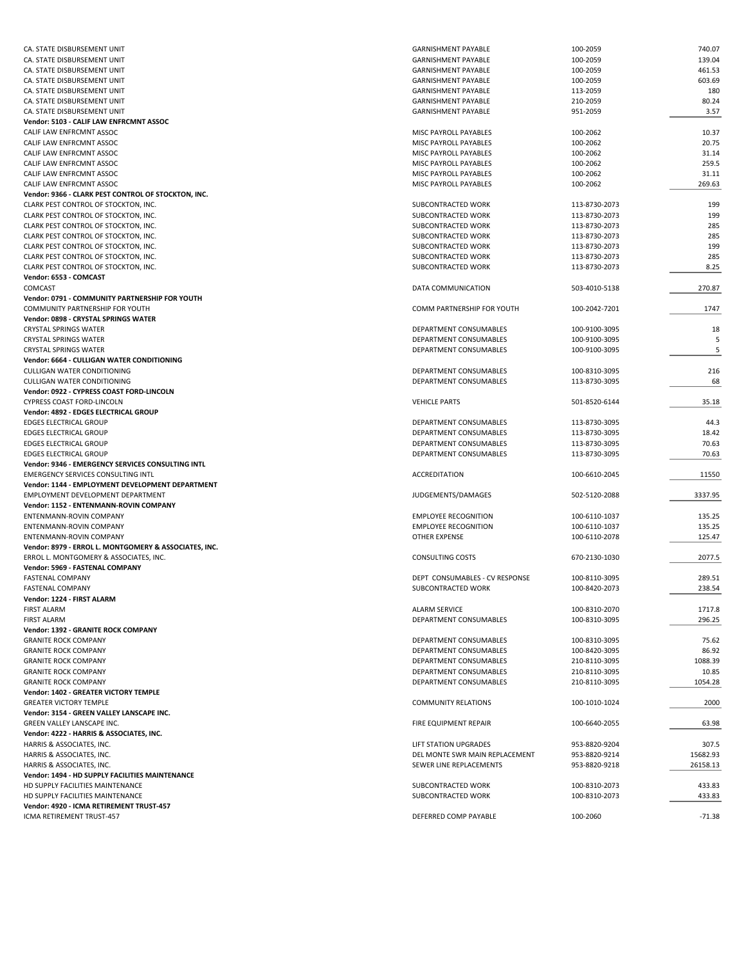| CA. STATE DISBURSEMENT UNIT                                           | <b>GARNISHMENT PAYABLE</b>     | 100-2059      | 740.07   |
|-----------------------------------------------------------------------|--------------------------------|---------------|----------|
| CA. STATE DISBURSEMENT UNIT                                           | <b>GARNISHMENT PAYABLE</b>     | 100-2059      | 139.04   |
| CA. STATE DISBURSEMENT UNIT                                           | <b>GARNISHMENT PAYABLE</b>     | 100-2059      | 461.53   |
| CA. STATE DISBURSEMENT UNIT                                           | <b>GARNISHMENT PAYABLE</b>     | 100-2059      | 603.69   |
| CA. STATE DISBURSEMENT UNIT                                           | <b>GARNISHMENT PAYABLE</b>     | 113-2059      | 180      |
| CA. STATE DISBURSEMENT UNIT                                           | <b>GARNISHMENT PAYABLE</b>     | 210-2059      | 80.24    |
| CA. STATE DISBURSEMENT UNIT                                           | <b>GARNISHMENT PAYABLE</b>     | 951-2059      | 3.57     |
| Vendor: 5103 - CALIF LAW ENFRCMNT ASSOC                               |                                |               |          |
| CALIF LAW ENFRCMNT ASSOC                                              | MISC PAYROLL PAYABLES          | 100-2062      | 10.37    |
| CALIF LAW ENFRCMNT ASSOC                                              | MISC PAYROLL PAYABLES          | 100-2062      | 20.75    |
| CALIF LAW ENFRCMNT ASSOC                                              | MISC PAYROLL PAYABLES          | 100-2062      | 31.14    |
| CALIF LAW ENFRCMNT ASSOC                                              | MISC PAYROLL PAYABLES          | 100-2062      | 259.5    |
| CALIF LAW ENFRCMNT ASSOC                                              | MISC PAYROLL PAYABLES          | 100-2062      | 31.11    |
| CALIF LAW ENFRCMNT ASSOC                                              | MISC PAYROLL PAYABLES          | 100-2062      | 269.63   |
| Vendor: 9366 - CLARK PEST CONTROL OF STOCKTON, INC.                   |                                |               |          |
|                                                                       | SUBCONTRACTED WORK             |               |          |
| CLARK PEST CONTROL OF STOCKTON, INC.                                  |                                | 113-8730-2073 | 199      |
| CLARK PEST CONTROL OF STOCKTON, INC.                                  | SUBCONTRACTED WORK             | 113-8730-2073 | 199      |
| CLARK PEST CONTROL OF STOCKTON, INC.                                  | SUBCONTRACTED WORK             | 113-8730-2073 | 285      |
| CLARK PEST CONTROL OF STOCKTON, INC.                                  | SUBCONTRACTED WORK             | 113-8730-2073 | 285      |
| CLARK PEST CONTROL OF STOCKTON, INC.                                  | SUBCONTRACTED WORK             | 113-8730-2073 | 199      |
| CLARK PEST CONTROL OF STOCKTON, INC.                                  | SUBCONTRACTED WORK             | 113-8730-2073 | 285      |
| CLARK PEST CONTROL OF STOCKTON, INC.                                  | SUBCONTRACTED WORK             | 113-8730-2073 | 8.25     |
| Vendor: 6553 - COMCAST                                                |                                |               |          |
| COMCAST                                                               | DATA COMMUNICATION             | 503-4010-5138 | 270.87   |
| Vendor: 0791 - COMMUNITY PARTNERSHIP FOR YOUTH                        |                                |               |          |
| COMMUNITY PARTNERSHIP FOR YOUTH                                       | COMM PARTNERSHIP FOR YOUTH     | 100-2042-7201 | 1747     |
| Vendor: 0898 - CRYSTAL SPRINGS WATER                                  |                                |               |          |
| <b>CRYSTAL SPRINGS WATER</b>                                          | DEPARTMENT CONSUMABLES         | 100-9100-3095 | 18       |
| <b>CRYSTAL SPRINGS WATER</b>                                          | DEPARTMENT CONSUMABLES         | 100-9100-3095 | 5        |
| <b>CRYSTAL SPRINGS WATER</b>                                          | DEPARTMENT CONSUMABLES         | 100-9100-3095 | 5        |
| <b>Vendor: 6664 - CULLIGAN WATER CONDITIONING</b>                     |                                |               |          |
| <b>CULLIGAN WATER CONDITIONING</b>                                    | DEPARTMENT CONSUMABLES         | 100-8310-3095 | 216      |
| <b>CULLIGAN WATER CONDITIONING</b>                                    | DEPARTMENT CONSUMABLES         | 113-8730-3095 | 68       |
| Vendor: 0922 - CYPRESS COAST FORD-LINCOLN                             |                                |               |          |
| CYPRESS COAST FORD-LINCOLN                                            | <b>VEHICLE PARTS</b>           | 501-8520-6144 | 35.18    |
|                                                                       |                                |               |          |
| Vendor: 4892 - EDGES ELECTRICAL GROUP                                 |                                |               |          |
| <b>EDGES ELECTRICAL GROUP</b>                                         | DEPARTMENT CONSUMABLES         | 113-8730-3095 | 44.3     |
| <b>EDGES ELECTRICAL GROUP</b>                                         | DEPARTMENT CONSUMABLES         | 113-8730-3095 | 18.42    |
| <b>EDGES ELECTRICAL GROUP</b>                                         | DEPARTMENT CONSUMABLES         | 113-8730-3095 | 70.63    |
| <b>EDGES ELECTRICAL GROUP</b>                                         | DEPARTMENT CONSUMABLES         | 113-8730-3095 | 70.63    |
| Vendor: 9346 - EMERGENCY SERVICES CONSULTING INTL                     |                                |               |          |
| <b>EMERGENCY SERVICES CONSULTING INTL</b>                             | ACCREDITATION                  | 100-6610-2045 | 11550    |
| Vendor: 1144 - EMPLOYMENT DEVELOPMENT DEPARTMENT                      |                                |               |          |
| EMPLOYMENT DEVELOPMENT DEPARTMENT                                     | JUDGEMENTS/DAMAGES             | 502-5120-2088 | 3337.95  |
| Vendor: 1152 - ENTENMANN-ROVIN COMPANY                                |                                |               |          |
| ENTENMANN-ROVIN COMPANY                                               | <b>EMPLOYEE RECOGNITION</b>    | 100-6110-1037 | 135.25   |
| ENTENMANN-ROVIN COMPANY                                               | <b>EMPLOYEE RECOGNITION</b>    | 100-6110-1037 | 135.25   |
| ENTENMANN-ROVIN COMPANY                                               | <b>OTHER EXPENSE</b>           |               |          |
| Vendor: 8979 - ERROL L. MONTGOMERY & ASSOCIATES, INC.                 |                                | 100-6110-2078 | 125.47   |
|                                                                       |                                |               |          |
| ERROL L. MONTGOMERY & ASSOCIATES, INC.                                | <b>CONSULTING COSTS</b>        | 670-2130-1030 | 2077.5   |
|                                                                       |                                |               |          |
| Vendor: 5969 - FASTENAL COMPANY                                       |                                |               |          |
| <b>FASTENAL COMPANY</b>                                               | DEPT CONSUMABLES - CV RESPONSE | 100-8110-3095 | 289.51   |
| <b>FASTENAL COMPANY</b>                                               | SUBCONTRACTED WORK             | 100-8420-2073 | 238.54   |
| Vendor: 1224 - FIRST ALARM                                            |                                |               |          |
| <b>FIRST ALARM</b>                                                    | ALARM SERVICE                  | 100-8310-2070 | 1717.8   |
| <b>FIRST ALARM</b>                                                    | DEPARTMENT CONSUMABLES         | 100-8310-3095 | 296.25   |
| Vendor: 1392 - GRANITE ROCK COMPANY                                   |                                |               |          |
| <b>GRANITE ROCK COMPANY</b>                                           | DEPARTMENT CONSUMABLES         | 100-8310-3095 | 75.62    |
| <b>GRANITE ROCK COMPANY</b>                                           | DEPARTMENT CONSUMABLES         | 100-8420-3095 | 86.92    |
| <b>GRANITE ROCK COMPANY</b>                                           | DEPARTMENT CONSUMABLES         | 210-8110-3095 | 1088.39  |
| <b>GRANITE ROCK COMPANY</b>                                           | DEPARTMENT CONSUMABLES         | 210-8110-3095 | 10.85    |
| <b>GRANITE ROCK COMPANY</b>                                           | DEPARTMENT CONSUMABLES         | 210-8110-3095 | 1054.28  |
| Vendor: 1402 - GREATER VICTORY TEMPLE                                 |                                |               |          |
| <b>GREATER VICTORY TEMPLE</b>                                         | <b>COMMUNITY RELATIONS</b>     | 100-1010-1024 | 2000     |
| Vendor: 3154 - GREEN VALLEY LANSCAPE INC.                             |                                |               |          |
| GREEN VALLEY LANSCAPE INC.                                            | <b>FIRE EQUIPMENT REPAIR</b>   | 100-6640-2055 | 63.98    |
| Vendor: 4222 - HARRIS & ASSOCIATES, INC.                              |                                |               |          |
| HARRIS & ASSOCIATES, INC.                                             | LIFT STATION UPGRADES          | 953-8820-9204 | 307.5    |
| HARRIS & ASSOCIATES, INC.                                             | DEL MONTE SWR MAIN REPLACEMENT | 953-8820-9214 | 15682.93 |
|                                                                       |                                |               |          |
| HARRIS & ASSOCIATES, INC.                                             | SEWER LINE REPLACEMENTS        | 953-8820-9218 | 26158.13 |
| Vendor: 1494 - HD SUPPLY FACILITIES MAINTENANCE                       |                                |               |          |
| HD SUPPLY FACILITIES MAINTENANCE                                      | SUBCONTRACTED WORK             | 100-8310-2073 | 433.83   |
| HD SUPPLY FACILITIES MAINTENANCE                                      | SUBCONTRACTED WORK             | 100-8310-2073 | 433.83   |
| Vendor: 4920 - ICMA RETIREMENT TRUST-457<br>ICMA RETIREMENT TRUST-457 | DEFERRED COMP PAYABLE          | 100-2060      | $-71.38$ |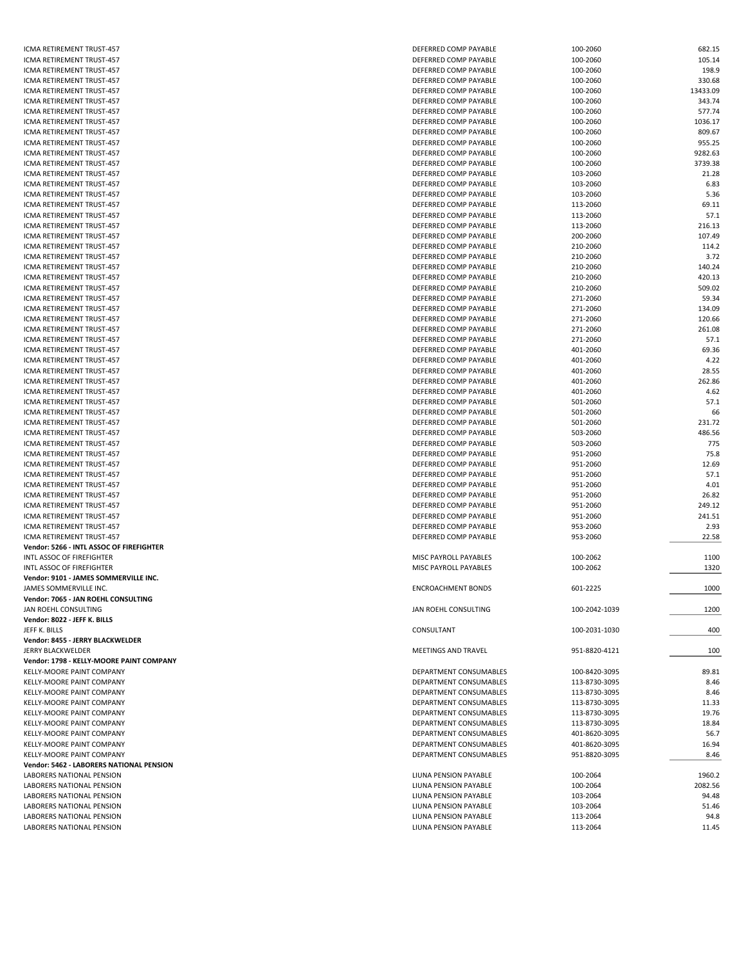| ICMA RETIREMENT TRUST-457                | DEFERRED COMP PAYABLE     | 100-2060      | 682.15   |
|------------------------------------------|---------------------------|---------------|----------|
| ICMA RETIREMENT TRUST-457                | DEFERRED COMP PAYABLE     | 100-2060      | 105.14   |
| ICMA RETIREMENT TRUST-457                | DEFERRED COMP PAYABLE     | 100-2060      | 198.9    |
| ICMA RETIREMENT TRUST-457                | DEFERRED COMP PAYABLE     | 100-2060      | 330.68   |
| ICMA RETIREMENT TRUST-457                | DEFERRED COMP PAYABLE     | 100-2060      | 13433.09 |
|                                          |                           |               | 343.74   |
| ICMA RETIREMENT TRUST-457                | DEFERRED COMP PAYABLE     | 100-2060      |          |
| ICMA RETIREMENT TRUST-457                | DEFERRED COMP PAYABLE     | 100-2060      | 577.74   |
| ICMA RETIREMENT TRUST-457                | DEFERRED COMP PAYABLE     | 100-2060      | 1036.17  |
| ICMA RETIREMENT TRUST-457                | DEFERRED COMP PAYABLE     | 100-2060      | 809.67   |
| ICMA RETIREMENT TRUST-457                | DEFERRED COMP PAYABLE     | 100-2060      | 955.25   |
|                                          |                           |               | 9282.63  |
| ICMA RETIREMENT TRUST-457                | DEFERRED COMP PAYABLE     | 100-2060      |          |
| ICMA RETIREMENT TRUST-457                | DEFERRED COMP PAYABLE     | 100-2060      | 3739.38  |
| ICMA RETIREMENT TRUST-457                | DEFERRED COMP PAYABLE     | 103-2060      | 21.28    |
| ICMA RETIREMENT TRUST-457                | DEFERRED COMP PAYABLE     | 103-2060      | 6.83     |
| ICMA RETIREMENT TRUST-457                | DEFERRED COMP PAYABLE     | 103-2060      | 5.36     |
| ICMA RETIREMENT TRUST-457                | DEFERRED COMP PAYABLE     |               | 69.11    |
|                                          |                           | 113-2060      |          |
| ICMA RETIREMENT TRUST-457                | DEFERRED COMP PAYABLE     | 113-2060      | 57.1     |
| ICMA RETIREMENT TRUST-457                | DEFERRED COMP PAYABLE     | 113-2060      | 216.13   |
| ICMA RETIREMENT TRUST-457                | DEFERRED COMP PAYABLE     | 200-2060      | 107.49   |
| ICMA RETIREMENT TRUST-457                | DEFERRED COMP PAYABLE     | 210-2060      | 114.2    |
|                                          |                           |               | 3.72     |
| ICMA RETIREMENT TRUST-457                | DEFERRED COMP PAYABLE     | 210-2060      |          |
| ICMA RETIREMENT TRUST-457                | DEFERRED COMP PAYABLE     | 210-2060      | 140.24   |
| ICMA RETIREMENT TRUST-457                | DEFERRED COMP PAYABLE     | 210-2060      | 420.13   |
| ICMA RETIREMENT TRUST-457                | DEFERRED COMP PAYABLE     | 210-2060      | 509.02   |
| ICMA RETIREMENT TRUST-457                | DEFERRED COMP PAYABLE     | 271-2060      | 59.34    |
|                                          |                           |               |          |
| ICMA RETIREMENT TRUST-457                | DEFERRED COMP PAYABLE     | 271-2060      | 134.09   |
| ICMA RETIREMENT TRUST-457                | DEFERRED COMP PAYABLE     | 271-2060      | 120.66   |
| ICMA RETIREMENT TRUST-457                | DEFERRED COMP PAYABLE     | 271-2060      | 261.08   |
| ICMA RETIREMENT TRUST-457                | DEFERRED COMP PAYABLE     | 271-2060      | 57.1     |
| ICMA RETIREMENT TRUST-457                | DEFERRED COMP PAYABLE     | 401-2060      | 69.36    |
|                                          |                           |               |          |
| ICMA RETIREMENT TRUST-457                | DEFERRED COMP PAYABLE     | 401-2060      | 4.22     |
| ICMA RETIREMENT TRUST-457                | DEFERRED COMP PAYABLE     | 401-2060      | 28.55    |
| ICMA RETIREMENT TRUST-457                | DEFERRED COMP PAYABLE     | 401-2060      | 262.86   |
| ICMA RETIREMENT TRUST-457                | DEFERRED COMP PAYABLE     | 401-2060      | 4.62     |
| ICMA RETIREMENT TRUST-457                | DEFERRED COMP PAYABLE     | 501-2060      | 57.1     |
|                                          |                           |               |          |
| ICMA RETIREMENT TRUST-457                | DEFERRED COMP PAYABLE     | 501-2060      | 66       |
| ICMA RETIREMENT TRUST-457                | DEFERRED COMP PAYABLE     | 501-2060      | 231.72   |
| ICMA RETIREMENT TRUST-457                | DEFERRED COMP PAYABLE     | 503-2060      | 486.56   |
| ICMA RETIREMENT TRUST-457                | DEFERRED COMP PAYABLE     | 503-2060      | 775      |
|                                          |                           |               | 75.8     |
| ICMA RETIREMENT TRUST-457                | DEFERRED COMP PAYABLE     | 951-2060      |          |
| ICMA RETIREMENT TRUST-457                | DEFERRED COMP PAYABLE     | 951-2060      | 12.69    |
| ICMA RETIREMENT TRUST-457                | DEFERRED COMP PAYABLE     | 951-2060      | 57.1     |
| ICMA RETIREMENT TRUST-457                | DEFERRED COMP PAYABLE     | 951-2060      | 4.01     |
| ICMA RETIREMENT TRUST-457                | DEFERRED COMP PAYABLE     | 951-2060      | 26.82    |
|                                          |                           |               |          |
| ICMA RETIREMENT TRUST-457                | DEFERRED COMP PAYABLE     | 951-2060      | 249.12   |
| ICMA RETIREMENT TRUST-457                | DEFERRED COMP PAYABLE     | 951-2060      | 241.51   |
| ICMA RETIREMENT TRUST-457                | DEFERRED COMP PAYABLE     | 953-2060      | 2.93     |
| ICMA RETIREMENT TRUST-457                | DEFERRED COMP PAYABLE     | 953-2060      | 22.58    |
| Vendor: 5266 - INTL ASSOC OF FIREFIGHTER |                           |               |          |
|                                          |                           |               |          |
| INTL ASSOC OF FIREFIGHTER                | MISC PAYROLL PAYABLES     | 100-2062      | 1100     |
| INTL ASSOC OF FIREFIGHTER                | MISC PAYROLL PAYABLES     | 100-2062      | 1320     |
| Vendor: 9101 - JAMES SOMMERVILLE INC.    |                           |               |          |
| JAMES SOMMERVILLE INC.                   | <b>ENCROACHMENT BONDS</b> | 601-2225      | 1000     |
| Vendor: 7065 - JAN ROEHL CONSULTING      |                           |               |          |
|                                          |                           |               |          |
| JAN ROEHL CONSULTING                     | JAN ROEHL CONSULTING      | 100-2042-1039 | 1200     |
| Vendor: 8022 - JEFF K. BILLS             |                           |               |          |
| JEFF K. BILLS                            | CONSULTANT                | 100-2031-1030 | 400      |
| Vendor: 8455 - JERRY BLACKWELDER         |                           |               |          |
| <b>JERRY BLACKWELDER</b>                 |                           |               |          |
|                                          | MEETINGS AND TRAVEL       | 951-8820-4121 | 100      |
| Vendor: 1798 - KELLY-MOORE PAINT COMPANY |                           |               |          |
| <b>KELLY-MOORE PAINT COMPANY</b>         | DEPARTMENT CONSUMABLES    | 100-8420-3095 | 89.81    |
| KELLY-MOORE PAINT COMPANY                | DEPARTMENT CONSUMABLES    | 113-8730-3095 | 8.46     |
| KELLY-MOORE PAINT COMPANY                | DEPARTMENT CONSUMABLES    | 113-8730-3095 | 8.46     |
|                                          |                           |               |          |
| KELLY-MOORE PAINT COMPANY                | DEPARTMENT CONSUMABLES    | 113-8730-3095 | 11.33    |
| KELLY-MOORE PAINT COMPANY                | DEPARTMENT CONSUMABLES    | 113-8730-3095 | 19.76    |
| KELLY-MOORE PAINT COMPANY                | DEPARTMENT CONSUMABLES    | 113-8730-3095 | 18.84    |
| KELLY-MOORE PAINT COMPANY                | DEPARTMENT CONSUMABLES    | 401-8620-3095 | 56.7     |
| KELLY-MOORE PAINT COMPANY                | DEPARTMENT CONSUMABLES    | 401-8620-3095 | 16.94    |
|                                          |                           |               |          |
| KELLY-MOORE PAINT COMPANY                | DEPARTMENT CONSUMABLES    | 951-8820-3095 | 8.46     |
| Vendor: 5462 - LABORERS NATIONAL PENSION |                           |               |          |
| LABORERS NATIONAL PENSION                | LIUNA PENSION PAYABLE     | 100-2064      | 1960.2   |
| LABORERS NATIONAL PENSION                | LIUNA PENSION PAYABLE     | 100-2064      | 2082.56  |
|                                          |                           |               |          |
| LABORERS NATIONAL PENSION                | LIUNA PENSION PAYABLE     | 103-2064      | 94.48    |
| LABORERS NATIONAL PENSION                | LIUNA PENSION PAYABLE     | 103-2064      | 51.46    |
| LABORERS NATIONAL PENSION                | LIUNA PENSION PAYABLE     | 113-2064      | 94.8     |
| LABORERS NATIONAL PENSION                | LIUNA PENSION PAYABLE     | 113-2064      | 11.45    |
|                                          |                           |               |          |

| 100-2060             | 682.15        |
|----------------------|---------------|
|                      |               |
| 100-2060             | 105.14        |
| 100-2060             | 198.9         |
| 100-2060             | 330.68        |
|                      |               |
| 100-2060             | 13433.09      |
| 100-2060             | 343.74        |
| 100-2060             | 577.74        |
| 100-2060             | 1036.17       |
| 100-2060             | 809.67        |
|                      |               |
| 100-2060             | 955.25        |
| 100-2060             | 9282.63       |
| 100-2060             | 3739.38       |
| 103-2060             | 21.28         |
| 103-2060             | 6.83          |
|                      |               |
| 103-2060             | 5.36          |
| 113-2060             | 69.11         |
| 113-2060             | 57.1          |
| 113-2060             | 216.13        |
| 200-2060             | 107.49        |
|                      |               |
| 210-2060             | 114.2         |
| 210-2060             | 3.72          |
| 210-2060             | 140.24        |
| 210-2060             | 420.13        |
| 210-2060             | 509.02        |
|                      |               |
| 271-2060             | 59.34         |
| 271-2060             | 134.09        |
| 271-2060             | 120.66        |
| 271-2060             | 261.08        |
| 271-2060             | 57.1          |
|                      |               |
| 401-2060             | 69.36         |
| 401-2060             | 4.22          |
| 401-2060             | 28.55         |
| 401-2060             | 262.86        |
| 401-2060             | 4.62          |
|                      |               |
| 501-2060             | 57.1          |
| 501-2060             | 66            |
| 501-2060             | 231.72        |
| 503-2060             | 486.56        |
| 503-2060             | 775           |
|                      | 75.8          |
|                      |               |
| 951-2060             |               |
| 951-2060             | 12.69         |
| 951-2060             | 57.1          |
| 951-2060             | 4.01          |
|                      |               |
| 951-2060             | 26.82         |
| 951-2060             | 249.12        |
| 951-2060             | 241.51        |
| 953-2060             | 2.93          |
|                      |               |
| 953-2060             | 22.58         |
|                      |               |
| 100-2062             | 1100          |
| 100-2062             | 1320          |
|                      |               |
| 601-2225             | 1000          |
|                      |               |
|                      |               |
| 100-2042-1039        | 1200          |
|                      |               |
| 100-2031-1030        | 400           |
|                      |               |
| 951-8820-4121        | 100           |
|                      |               |
| 100-8420-3095        | 89.81         |
|                      |               |
| 113-8730-3095        | 8.46          |
| 113-8730-3095        | 8.46          |
| 113-8730-3095        | 11.33         |
| 113-8730-3095        | 19.76         |
| 113-8730-3095        | 18.84         |
|                      |               |
| 401-8620-3095        | 56.7          |
| 401-8620-3095        | 16.94         |
| 951-8820-3095        | 8.46          |
|                      |               |
| 100-2064             | 1960.2        |
| 100-2064             | 2082.56       |
| 103-2064             | 94.48         |
|                      |               |
| 103-2064             | 51.46         |
| 113-2064<br>113-2064 | 94.8<br>11.45 |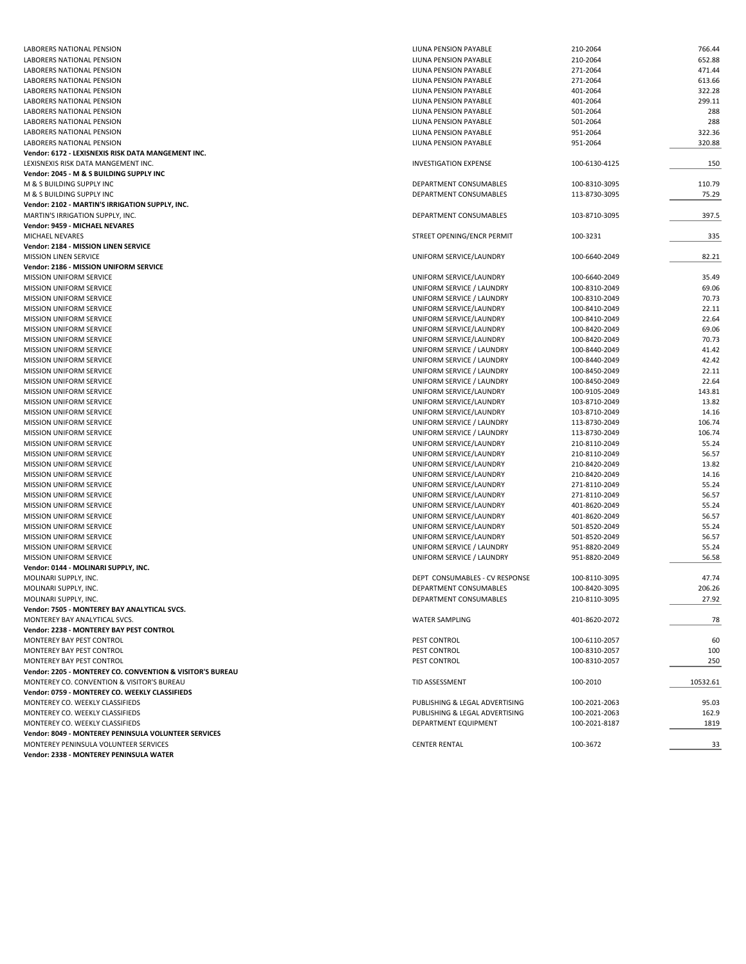| LABORERS NATIONAL PENSION                                 | LIUNA PENSION PAYABLE          | 210-2064      | 766.44   |
|-----------------------------------------------------------|--------------------------------|---------------|----------|
| LABORERS NATIONAL PENSION                                 | LIUNA PENSION PAYABLE          | 210-2064      | 652.88   |
| LABORERS NATIONAL PENSION                                 | LIUNA PENSION PAYABLE          | 271-2064      | 471.44   |
| LABORERS NATIONAL PENSION                                 |                                | 271-2064      | 613.66   |
|                                                           | LIUNA PENSION PAYABLE          |               |          |
| LABORERS NATIONAL PENSION                                 | LIUNA PENSION PAYABLE          | 401-2064      | 322.28   |
| LABORERS NATIONAL PENSION                                 | LIUNA PENSION PAYABLE          | 401-2064      | 299.11   |
| LABORERS NATIONAL PENSION                                 | LIUNA PENSION PAYABLE          | 501-2064      | 288      |
| LABORERS NATIONAL PENSION                                 | LIUNA PENSION PAYABLE          | 501-2064      | 288      |
| LABORERS NATIONAL PENSION                                 | LIUNA PENSION PAYABLE          | 951-2064      | 322.36   |
|                                                           |                                |               |          |
| LABORERS NATIONAL PENSION                                 | LIUNA PENSION PAYABLE          | 951-2064      | 320.88   |
| Vendor: 6172 - LEXISNEXIS RISK DATA MANGEMENT INC.        |                                |               |          |
| LEXISNEXIS RISK DATA MANGEMENT INC.                       | <b>INVESTIGATION EXPENSE</b>   | 100-6130-4125 | 150      |
| Vendor: 2045 - M & S BUILDING SUPPLY INC                  |                                |               |          |
| M & S BUILDING SUPPLY INC                                 | DEPARTMENT CONSUMABLES         | 100-8310-3095 | 110.79   |
| M & S BUILDING SUPPLY INC                                 | DEPARTMENT CONSUMABLES         | 113-8730-3095 | 75.29    |
|                                                           |                                |               |          |
| Vendor: 2102 - MARTIN'S IRRIGATION SUPPLY, INC.           |                                |               |          |
| MARTIN'S IRRIGATION SUPPLY, INC.                          | DEPARTMENT CONSUMABLES         | 103-8710-3095 | 397.5    |
| Vendor: 9459 - MICHAEL NEVARES                            |                                |               |          |
| MICHAEL NEVARES                                           | STREET OPENING/ENCR PERMIT     | 100-3231      | 335      |
| Vendor: 2184 - MISSION LINEN SERVICE                      |                                |               |          |
| <b>MISSION LINEN SERVICE</b>                              | UNIFORM SERVICE/LAUNDRY        | 100-6640-2049 | 82.21    |
|                                                           |                                |               |          |
| Vendor: 2186 - MISSION UNIFORM SERVICE                    |                                |               |          |
| <b>MISSION UNIFORM SERVICE</b>                            | UNIFORM SERVICE/LAUNDRY        | 100-6640-2049 | 35.49    |
| MISSION UNIFORM SERVICE                                   | UNIFORM SERVICE / LAUNDRY      | 100-8310-2049 | 69.06    |
| <b>MISSION UNIFORM SERVICE</b>                            | UNIFORM SERVICE / LAUNDRY      | 100-8310-2049 | 70.73    |
| <b>MISSION UNIFORM SERVICE</b>                            | UNIFORM SERVICE/LAUNDRY        | 100-8410-2049 | 22.11    |
|                                                           |                                |               | 22.64    |
| MISSION UNIFORM SERVICE                                   | UNIFORM SERVICE/LAUNDRY        | 100-8410-2049 |          |
| MISSION UNIFORM SERVICE                                   | UNIFORM SERVICE/LAUNDRY        | 100-8420-2049 | 69.06    |
| <b>MISSION UNIFORM SERVICE</b>                            | UNIFORM SERVICE/LAUNDRY        | 100-8420-2049 | 70.73    |
| <b>MISSION UNIFORM SERVICE</b>                            | UNIFORM SERVICE / LAUNDRY      | 100-8440-2049 | 41.42    |
| MISSION UNIFORM SERVICE                                   | UNIFORM SERVICE / LAUNDRY      | 100-8440-2049 | 42.42    |
| <b>MISSION UNIFORM SERVICE</b>                            | UNIFORM SERVICE / LAUNDRY      | 100-8450-2049 | 22.11    |
|                                                           | UNIFORM SERVICE / LAUNDRY      |               | 22.64    |
| MISSION UNIFORM SERVICE                                   |                                | 100-8450-2049 |          |
| MISSION UNIFORM SERVICE                                   | UNIFORM SERVICE/LAUNDRY        | 100-9105-2049 | 143.81   |
| <b>MISSION UNIFORM SERVICE</b>                            | UNIFORM SERVICE/LAUNDRY        | 103-8710-2049 | 13.82    |
| <b>MISSION UNIFORM SERVICE</b>                            | UNIFORM SERVICE/LAUNDRY        | 103-8710-2049 | 14.16    |
| MISSION UNIFORM SERVICE                                   | UNIFORM SERVICE / LAUNDRY      | 113-8730-2049 | 106.74   |
| MISSION UNIFORM SERVICE                                   | UNIFORM SERVICE / LAUNDRY      | 113-8730-2049 | 106.74   |
|                                                           |                                |               |          |
| <b>MISSION UNIFORM SERVICE</b>                            | UNIFORM SERVICE/LAUNDRY        | 210-8110-2049 | 55.24    |
| MISSION UNIFORM SERVICE                                   | UNIFORM SERVICE/LAUNDRY        | 210-8110-2049 | 56.57    |
| MISSION UNIFORM SERVICE                                   | UNIFORM SERVICE/LAUNDRY        | 210-8420-2049 | 13.82    |
| MISSION UNIFORM SERVICE                                   | UNIFORM SERVICE/LAUNDRY        | 210-8420-2049 | 14.16    |
| MISSION UNIFORM SERVICE                                   | UNIFORM SERVICE/LAUNDRY        | 271-8110-2049 | 55.24    |
| MISSION UNIFORM SERVICE                                   | UNIFORM SERVICE/LAUNDRY        | 271-8110-2049 | 56.57    |
|                                                           |                                |               |          |
| <b>MISSION UNIFORM SERVICE</b>                            | UNIFORM SERVICE/LAUNDRY        | 401-8620-2049 | 55.24    |
| <b>MISSION UNIFORM SERVICE</b>                            | UNIFORM SERVICE/LAUNDRY        | 401-8620-2049 | 56.57    |
| <b>MISSION UNIFORM SERVICE</b>                            | UNIFORM SERVICE/LAUNDRY        | 501-8520-2049 | 55.24    |
| <b>MISSION UNIFORM SERVICE</b>                            | UNIFORM SERVICE/LAUNDRY        | 501-8520-2049 | 56.57    |
| MISSION UNIFORM SERVICE                                   | UNIFORM SERVICE / LAUNDRY      | 951-8820-2049 | 55.24    |
| <b>MISSION UNIFORM SERVICE</b>                            | UNIFORM SERVICE / LAUNDRY      | 951-8820-2049 | 56.58    |
|                                                           |                                |               |          |
| Vendor: 0144 - MOLINARI SUPPLY, INC.                      |                                |               |          |
| MOLINARI SUPPLY, INC.                                     | DEPT CONSUMABLES - CV RESPONSE | 100-8110-3095 | 47.74    |
| MOLINARI SUPPLY, INC.                                     | DEPARTMENT CONSUMABLES         | 100-8420-3095 | 206.26   |
| MOLINARI SUPPLY, INC.                                     | DEPARTMENT CONSUMABLES         | 210-8110-3095 | 27.92    |
| Vendor: 7505 - MONTEREY BAY ANALYTICAL SVCS.              |                                |               |          |
|                                                           |                                |               |          |
| MONTEREY BAY ANALYTICAL SVCS.                             | <b>WATER SAMPLING</b>          | 401-8620-2072 | 78       |
| Vendor: 2238 - MONTEREY BAY PEST CONTROL                  |                                |               |          |
| MONTEREY BAY PEST CONTROL                                 | PEST CONTROL                   | 100-6110-2057 | 60       |
| MONTEREY BAY PEST CONTROL                                 | PEST CONTROL                   | 100-8310-2057 | 100      |
| MONTEREY BAY PEST CONTROL                                 | PEST CONTROL                   | 100-8310-2057 | 250      |
| Vendor: 2205 - MONTEREY CO. CONVENTION & VISITOR'S BUREAU |                                |               |          |
|                                                           |                                |               |          |
| MONTEREY CO. CONVENTION & VISITOR'S BUREAU                | TID ASSESSMENT                 | 100-2010      | 10532.61 |
| Vendor: 0759 - MONTEREY CO. WEEKLY CLASSIFIEDS            |                                |               |          |
| MONTEREY CO. WEEKLY CLASSIFIEDS                           | PUBLISHING & LEGAL ADVERTISING | 100-2021-2063 | 95.03    |
| MONTEREY CO. WEEKLY CLASSIFIEDS                           | PUBLISHING & LEGAL ADVERTISING | 100-2021-2063 | 162.9    |
| MONTEREY CO. WEEKLY CLASSIFIEDS                           | DEPARTMENT EQUIPMENT           | 100-2021-8187 | 1819     |
| Vendor: 8049 - MONTEREY PENINSULA VOLUNTEER SERVICES      |                                |               |          |
|                                                           |                                |               |          |
| MONTEREY PENINSULA VOLUNTEER SERVICES                     | <b>CENTER RENTAL</b>           | 100-3672      | 33       |
| Vendor: 2338 - MONTEREY PENINSULA WATER                   |                                |               |          |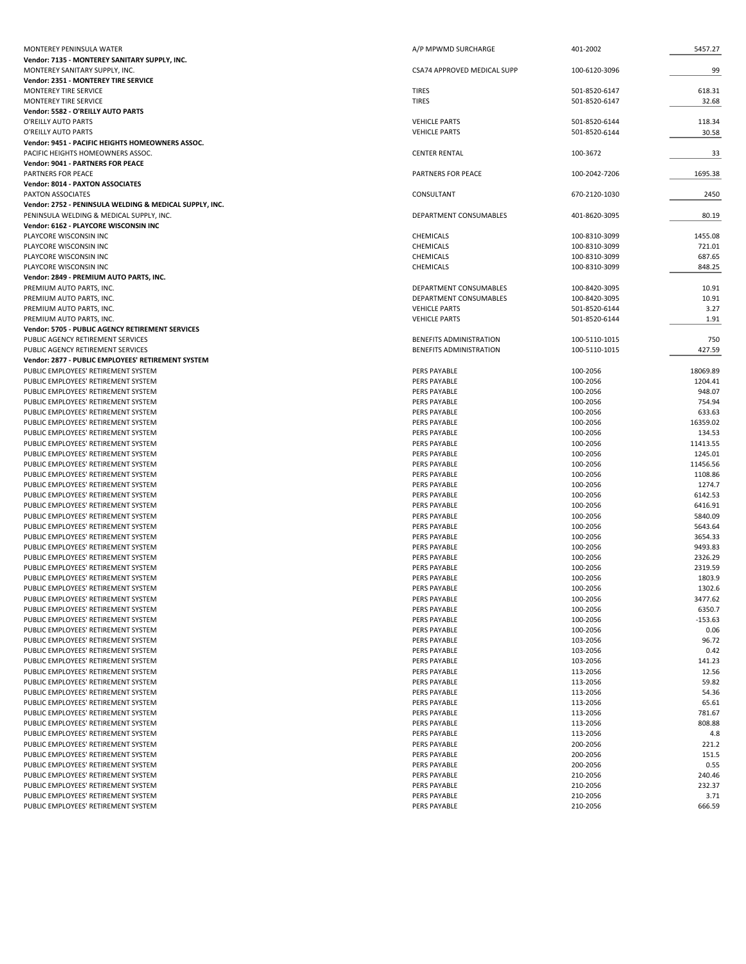| MONTEREY PENINSULA WATER                                                                            | A/P MPWMD SURCHARGE                              | 401-2002                       | 5457.27            |
|-----------------------------------------------------------------------------------------------------|--------------------------------------------------|--------------------------------|--------------------|
| Vendor: 7135 - MONTEREY SANITARY SUPPLY, INC.                                                       |                                                  |                                |                    |
| MONTEREY SANITARY SUPPLY, INC.<br>Vendor: 2351 - MONTEREY TIRE SERVICE                              | CSA74 APPROVED MEDICAL SUPP                      | 100-6120-3096                  | 99                 |
| MONTEREY TIRE SERVICE                                                                               | <b>TIRES</b>                                     | 501-8520-6147                  | 618.31             |
| MONTEREY TIRE SERVICE                                                                               | <b>TIRES</b>                                     | 501-8520-6147                  | 32.68              |
| Vendor: 5582 - O'REILLY AUTO PARTS                                                                  |                                                  |                                |                    |
| O'REILLY AUTO PARTS                                                                                 | <b>VEHICLE PARTS</b>                             | 501-8520-6144                  | 118.34             |
| O'REILLY AUTO PARTS                                                                                 | <b>VEHICLE PARTS</b>                             | 501-8520-6144                  | 30.58              |
| Vendor: 9451 - PACIFIC HEIGHTS HOMEOWNERS ASSOC.<br>PACIFIC HEIGHTS HOMEOWNERS ASSOC.               | <b>CENTER RENTAL</b>                             | 100-3672                       | 33                 |
| <b>Vendor: 9041 - PARTNERS FOR PEACE</b>                                                            |                                                  |                                |                    |
| PARTNERS FOR PEACE                                                                                  | <b>PARTNERS FOR PEACE</b>                        | 100-2042-7206                  | 1695.38            |
| Vendor: 8014 - PAXTON ASSOCIATES                                                                    |                                                  |                                |                    |
| PAXTON ASSOCIATES                                                                                   | CONSULTANT                                       | 670-2120-1030                  | 2450               |
| Vendor: 2752 - PENINSULA WELDING & MEDICAL SUPPLY, INC.<br>PENINSULA WELDING & MEDICAL SUPPLY, INC. | <b>DEPARTMENT CONSUMABLES</b>                    |                                |                    |
| Vendor: 6162 - PLAYCORE WISCONSIN INC                                                               |                                                  | 401-8620-3095                  | 80.19              |
| PLAYCORE WISCONSIN INC                                                                              | CHEMICALS                                        | 100-8310-3099                  | 1455.08            |
| PLAYCORE WISCONSIN INC                                                                              | CHEMICALS                                        | 100-8310-3099                  | 721.01             |
| PLAYCORE WISCONSIN INC                                                                              | CHEMICALS                                        | 100-8310-3099                  | 687.65             |
| PLAYCORE WISCONSIN INC                                                                              | CHEMICALS                                        | 100-8310-3099                  | 848.25             |
| Vendor: 2849 - PREMIUM AUTO PARTS, INC.                                                             |                                                  |                                |                    |
| PREMIUM AUTO PARTS, INC.<br>PREMIUM AUTO PARTS, INC.                                                | DEPARTMENT CONSUMABLES<br>DEPARTMENT CONSUMABLES | 100-8420-3095<br>100-8420-3095 | 10.91<br>10.91     |
| PREMIUM AUTO PARTS, INC.                                                                            | <b>VEHICLE PARTS</b>                             | 501-8520-6144                  | 3.27               |
| PREMIUM AUTO PARTS, INC.                                                                            | <b>VEHICLE PARTS</b>                             | 501-8520-6144                  | 1.91               |
| Vendor: 5705 - PUBLIC AGENCY RETIREMENT SERVICES                                                    |                                                  |                                |                    |
| PUBLIC AGENCY RETIREMENT SERVICES                                                                   | BENEFITS ADMINISTRATION                          | 100-5110-1015                  | 750                |
| PUBLIC AGENCY RETIREMENT SERVICES                                                                   | BENEFITS ADMINISTRATION                          | 100-5110-1015                  | 427.59             |
| Vendor: 2877 - PUBLIC EMPLOYEES' RETIREMENT SYSTEM<br>PUBLIC EMPLOYEES' RETIREMENT SYSTEM           | PERS PAYABLE                                     | 100-2056                       | 18069.89           |
| PUBLIC EMPLOYEES' RETIREMENT SYSTEM                                                                 | PERS PAYABLE                                     | 100-2056                       | 1204.41            |
| PUBLIC EMPLOYEES' RETIREMENT SYSTEM                                                                 | PERS PAYABLE                                     | 100-2056                       | 948.07             |
| PUBLIC EMPLOYEES' RETIREMENT SYSTEM                                                                 | PERS PAYABLE                                     | 100-2056                       | 754.94             |
| PUBLIC EMPLOYEES' RETIREMENT SYSTEM                                                                 | PERS PAYABLE                                     | 100-2056                       | 633.63             |
| PUBLIC EMPLOYEES' RETIREMENT SYSTEM                                                                 | PERS PAYABLE                                     | 100-2056                       | 16359.02           |
| PUBLIC EMPLOYEES' RETIREMENT SYSTEM<br>PUBLIC EMPLOYEES' RETIREMENT SYSTEM                          | PERS PAYABLE<br>PERS PAYABLE                     | 100-2056<br>100-2056           | 134.53<br>11413.55 |
| PUBLIC EMPLOYEES' RETIREMENT SYSTEM                                                                 | PERS PAYABLE                                     | 100-2056                       | 1245.01            |
| PUBLIC EMPLOYEES' RETIREMENT SYSTEM                                                                 | PERS PAYABLE                                     | 100-2056                       | 11456.56           |
| PUBLIC EMPLOYEES' RETIREMENT SYSTEM                                                                 | PERS PAYABLE                                     | 100-2056                       | 1108.86            |
| PUBLIC EMPLOYEES' RETIREMENT SYSTEM                                                                 | PERS PAYABLE                                     | 100-2056                       | 1274.7             |
| PUBLIC EMPLOYEES' RETIREMENT SYSTEM                                                                 | PERS PAYABLE                                     | 100-2056                       | 6142.53            |
| PUBLIC EMPLOYEES' RETIREMENT SYSTEM<br>PUBLIC EMPLOYEES' RETIREMENT SYSTEM                          | PERS PAYABLE<br>PERS PAYABLE                     | 100-2056<br>100-2056           | 6416.91<br>5840.09 |
| PUBLIC EMPLOYEES' RETIREMENT SYSTEM                                                                 | PERS PAYABLE                                     | 100-2056                       | 5643.64            |
| PUBLIC EMPLOYEES' RETIREMENT SYSTEM                                                                 | PERS PAYABLE                                     | 100-2056                       | 3654.33            |
| PUBLIC EMPLOYEES' RETIREMENT SYSTEM                                                                 | PERS PAYABLE                                     | 100-2056                       | 9493.83            |
| PUBLIC EMPLOYEES' RETIREMENT SYSTEM                                                                 | PERS PAYABLE                                     | 100-2056                       | 2326.29            |
| PUBLIC EMPLOYEES' RETIREMENT SYSTEM                                                                 | PERS PAYABLE                                     | 100-2056                       | 2319.59            |
| PUBLIC EMPLOYEES' RETIREMENT SYSTEM<br>PUBLIC EMPLOYEES' RETIREMENT SYSTEM                          | PERS PAYABLE<br>PERS PAYABLE                     | 100-2056<br>100-2056           | 1803.9<br>1302.6   |
| PUBLIC EMPLOYEES' RETIREMENT SYSTEM                                                                 | PERS PAYABLE                                     | 100-2056                       | 3477.62            |
| PUBLIC EMPLOYEES' RETIREMENT SYSTEM                                                                 | PERS PAYABLE                                     | 100-2056                       | 6350.7             |
| PUBLIC EMPLOYEES' RETIREMENT SYSTEM                                                                 | PERS PAYABLE                                     | 100-2056                       | $-153.63$          |
| PUBLIC EMPLOYEES' RETIREMENT SYSTEM                                                                 | PERS PAYABLE                                     | 100-2056                       | 0.06               |
| PUBLIC EMPLOYEES' RETIREMENT SYSTEM                                                                 | PERS PAYABLE                                     | 103-2056                       | 96.72              |
| PUBLIC EMPLOYEES' RETIREMENT SYSTEM<br>PUBLIC EMPLOYEES' RETIREMENT SYSTEM                          | PERS PAYABLE<br>PERS PAYABLE                     | 103-2056<br>103-2056           | 0.42<br>141.23     |
| PUBLIC EMPLOYEES' RETIREMENT SYSTEM                                                                 | PERS PAYABLE                                     | 113-2056                       | 12.56              |
| PUBLIC EMPLOYEES' RETIREMENT SYSTEM                                                                 | PERS PAYABLE                                     | 113-2056                       | 59.82              |
| PUBLIC EMPLOYEES' RETIREMENT SYSTEM                                                                 | PERS PAYABLE                                     | 113-2056                       | 54.36              |
| PUBLIC EMPLOYEES' RETIREMENT SYSTEM                                                                 | PERS PAYABLE                                     | 113-2056                       | 65.61              |
| PUBLIC EMPLOYEES' RETIREMENT SYSTEM                                                                 | PERS PAYABLE                                     | 113-2056                       | 781.67             |
| PUBLIC EMPLOYEES' RETIREMENT SYSTEM<br>PUBLIC EMPLOYEES' RETIREMENT SYSTEM                          | PERS PAYABLE<br>PERS PAYABLE                     | 113-2056<br>113-2056           | 808.88             |
| PUBLIC EMPLOYEES' RETIREMENT SYSTEM                                                                 | PERS PAYABLE                                     | 200-2056                       | 4.8<br>221.2       |
| PUBLIC EMPLOYEES' RETIREMENT SYSTEM                                                                 | PERS PAYABLE                                     | 200-2056                       | 151.5              |
| PUBLIC EMPLOYEES' RETIREMENT SYSTEM                                                                 | PERS PAYABLE                                     | 200-2056                       | 0.55               |
| PUBLIC EMPLOYEES' RETIREMENT SYSTEM                                                                 | PERS PAYABLE                                     | 210-2056                       | 240.46             |
| PUBLIC EMPLOYEES' RETIREMENT SYSTEM                                                                 | PERS PAYABLE                                     | 210-2056                       | 232.37             |
| PUBLIC EMPLOYEES' RETIREMENT SYSTEM<br>PUBLIC EMPLOYEES' RETIREMENT SYSTEM                          | PERS PAYABLE<br>PERS PAYABLE                     | 210-2056<br>210-2056           | 3.71<br>666.59     |
|                                                                                                     |                                                  |                                |                    |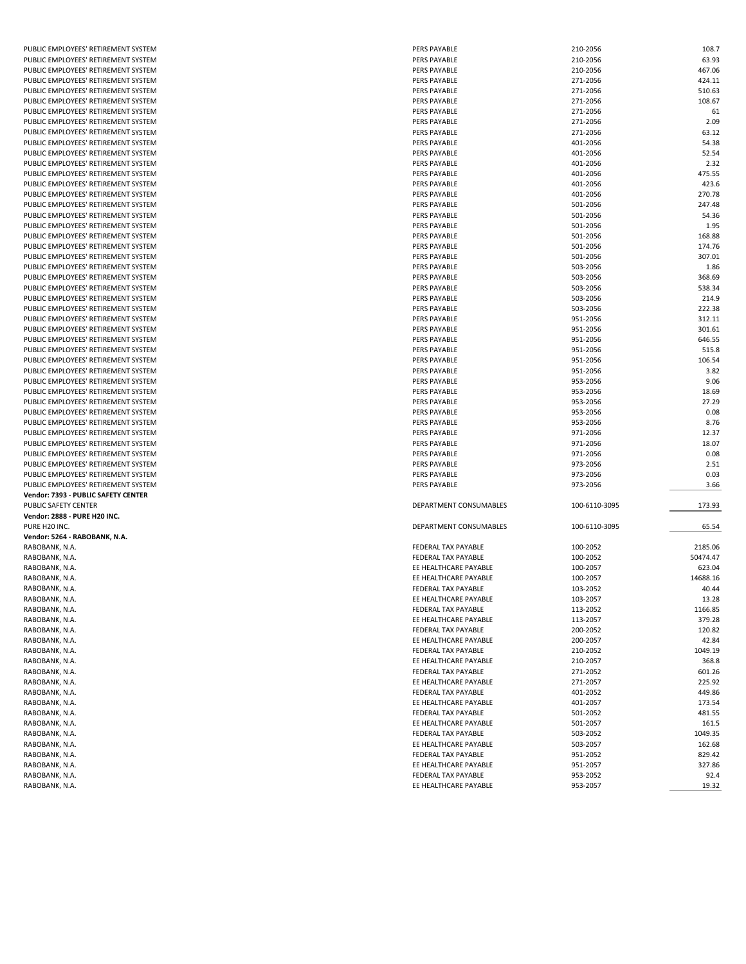| PUBLIC EMPLOYEES' RETIREMENT SYSTEM                | PERS PAYABLE           | 210-2056      | 108.7    |
|----------------------------------------------------|------------------------|---------------|----------|
| PUBLIC EMPLOYEES' RETIREMENT SYSTEM                | PERS PAYABLE           | 210-2056      | 63.93    |
| PUBLIC EMPLOYEES' RETIREMENT SYSTEM                | PERS PAYABLE           | 210-2056      | 467.06   |
| PUBLIC EMPLOYEES' RETIREMENT SYSTEM                | <b>PERS PAYABLE</b>    | 271-2056      | 424.11   |
| PUBLIC EMPLOYEES' RETIREMENT SYSTEM                | <b>PERS PAYABLE</b>    | 271-2056      | 510.63   |
| PUBLIC EMPLOYEES' RETIREMENT SYSTEM                | PERS PAYABLE           | 271-2056      | 108.67   |
| PUBLIC EMPLOYEES' RETIREMENT SYSTEM                | <b>PERS PAYABLE</b>    | 271-2056      |          |
|                                                    |                        |               | 61       |
| PUBLIC EMPLOYEES' RETIREMENT SYSTEM                | PERS PAYABLE           | 271-2056      | 2.09     |
| PUBLIC EMPLOYEES' RETIREMENT SYSTEM                | <b>PERS PAYABLE</b>    | 271-2056      | 63.12    |
| PUBLIC EMPLOYEES' RETIREMENT SYSTEM                | PERS PAYABLE           | 401-2056      | 54.38    |
| PUBLIC EMPLOYEES' RETIREMENT SYSTEM                | <b>PERS PAYABLE</b>    | 401-2056      | 52.54    |
| PUBLIC EMPLOYEES' RETIREMENT SYSTEM                | PERS PAYABLE           | 401-2056      | 2.32     |
| PUBLIC EMPLOYEES' RETIREMENT SYSTEM                | PERS PAYABLE           | 401-2056      | 475.55   |
|                                                    |                        |               |          |
| PUBLIC EMPLOYEES' RETIREMENT SYSTEM                | PERS PAYABLE           | 401-2056      | 423.6    |
| PUBLIC EMPLOYEES' RETIREMENT SYSTEM                | PERS PAYABLE           | 401-2056      | 270.78   |
| PUBLIC EMPLOYEES' RETIREMENT SYSTEM                | <b>PERS PAYABLE</b>    | 501-2056      | 247.48   |
| PUBLIC EMPLOYEES' RETIREMENT SYSTEM                | <b>PERS PAYABLE</b>    | 501-2056      | 54.36    |
| PUBLIC EMPLOYEES' RETIREMENT SYSTEM                | PERS PAYABLE           | 501-2056      | 1.95     |
| PUBLIC EMPLOYEES' RETIREMENT SYSTEM                | PERS PAYABLE           | 501-2056      | 168.88   |
| PUBLIC EMPLOYEES' RETIREMENT SYSTEM                | <b>PERS PAYABLE</b>    | 501-2056      | 174.76   |
|                                                    |                        |               |          |
| PUBLIC EMPLOYEES' RETIREMENT SYSTEM                | PERS PAYABLE           | 501-2056      | 307.01   |
| PUBLIC EMPLOYEES' RETIREMENT SYSTEM                | PERS PAYABLE           | 503-2056      | 1.86     |
| PUBLIC EMPLOYEES' RETIREMENT SYSTEM                | <b>PERS PAYABLE</b>    | 503-2056      | 368.69   |
| PUBLIC EMPLOYEES' RETIREMENT SYSTEM                | PERS PAYABLE           | 503-2056      | 538.34   |
| PUBLIC EMPLOYEES' RETIREMENT SYSTEM                | PERS PAYABLE           | 503-2056      | 214.9    |
| PUBLIC EMPLOYEES' RETIREMENT SYSTEM                | <b>PERS PAYABLE</b>    | 503-2056      | 222.38   |
| PUBLIC EMPLOYEES' RETIREMENT SYSTEM                | PERS PAYABLE           | 951-2056      | 312.11   |
|                                                    |                        |               |          |
| PUBLIC EMPLOYEES' RETIREMENT SYSTEM                | PERS PAYABLE           | 951-2056      | 301.61   |
| PUBLIC EMPLOYEES' RETIREMENT SYSTEM                | PERS PAYABLE           | 951-2056      | 646.55   |
| PUBLIC EMPLOYEES' RETIREMENT SYSTEM                | <b>PERS PAYABLE</b>    | 951-2056      | 515.8    |
| PUBLIC EMPLOYEES' RETIREMENT SYSTEM                | PERS PAYABLE           | 951-2056      | 106.54   |
| PUBLIC EMPLOYEES' RETIREMENT SYSTEM                | PERS PAYABLE           | 951-2056      | 3.82     |
| PUBLIC EMPLOYEES' RETIREMENT SYSTEM                | PERS PAYABLE           | 953-2056      | 9.06     |
| PUBLIC EMPLOYEES' RETIREMENT SYSTEM                | PERS PAYABLE           | 953-2056      | 18.69    |
|                                                    |                        |               |          |
| PUBLIC EMPLOYEES' RETIREMENT SYSTEM                | <b>PERS PAYABLE</b>    | 953-2056      | 27.29    |
| PUBLIC EMPLOYEES' RETIREMENT SYSTEM                | <b>PERS PAYABLE</b>    | 953-2056      | 0.08     |
| PUBLIC EMPLOYEES' RETIREMENT SYSTEM                | <b>PERS PAYABLE</b>    | 953-2056      | 8.76     |
| PUBLIC EMPLOYEES' RETIREMENT SYSTEM                | PERS PAYABLE           | 971-2056      | 12.37    |
| PUBLIC EMPLOYEES' RETIREMENT SYSTEM                | PERS PAYABLE           | 971-2056      | 18.07    |
| PUBLIC EMPLOYEES' RETIREMENT SYSTEM                | <b>PERS PAYABLE</b>    | 971-2056      | 0.08     |
|                                                    |                        |               |          |
| PUBLIC EMPLOYEES' RETIREMENT SYSTEM                | PERS PAYABLE           | 973-2056      | 2.51     |
| PUBLIC EMPLOYEES' RETIREMENT SYSTEM                | <b>PERS PAYABLE</b>    | 973-2056      | 0.03     |
| PUBLIC EMPLOYEES' RETIREMENT SYSTEM                | PERS PAYABLE           | 973-2056      | 3.66     |
| Vendor: 7393 - PUBLIC SAFETY CENTER                |                        |               |          |
| PUBLIC SAFETY CENTER                               | DEPARTMENT CONSUMABLES | 100-6110-3095 | 173.93   |
| Vendor: 2888 - PURE H20 INC.                       |                        |               |          |
| PURE H20 INC.                                      | DEPARTMENT CONSUMABLES | 100-6110-3095 | 65.54    |
|                                                    |                        |               |          |
| Vendor: 5264 - RABOBANK, N.A.                      |                        |               |          |
| RABOBANK, N.A.                                     | FEDERAL TAX PAYABLE    | 100-2052      | 2185.06  |
|                                                    |                        |               |          |
| RABOBANK, N.A.                                     | FEDERAL TAX PAYABLE    | 100-2052      | 50474.47 |
| RABOBANK, N.A.                                     | EE HEALTHCARE PAYABLE  | 100-2057      | 623.04   |
|                                                    | EE HEALTHCARE PAYABLE  | 100-2057      | 14688.16 |
| RABOBANK, N.A.                                     |                        |               |          |
| RABOBANK, N.A.                                     | FEDERAL TAX PAYABLE    | 103-2052      | 40.44    |
| RABOBANK, N.A.                                     | EE HEALTHCARE PAYABLE  | 103-2057      | 13.28    |
| RABOBANK, N.A.                                     | FEDERAL TAX PAYABLE    | 113-2052      | 1166.85  |
| RABOBANK, N.A.                                     | EE HEALTHCARE PAYABLE  | 113-2057      | 379.28   |
| RABOBANK, N.A.                                     | FEDERAL TAX PAYABLE    | 200-2052      | 120.82   |
| RABOBANK, N.A.                                     | EE HEALTHCARE PAYABLE  | 200-2057      | 42.84    |
|                                                    |                        |               |          |
| RABOBANK, N.A.                                     | FEDERAL TAX PAYABLE    | 210-2052      | 1049.19  |
| RABOBANK, N.A.                                     | EE HEALTHCARE PAYABLE  | 210-2057      | 368.8    |
| RABOBANK, N.A.                                     | FEDERAL TAX PAYABLE    | 271-2052      | 601.26   |
|                                                    | EE HEALTHCARE PAYABLE  | 271-2057      | 225.92   |
|                                                    | FEDERAL TAX PAYABLE    | 401-2052      | 449.86   |
| RABOBANK, N.A.<br>RABOBANK, N.A.<br>RABOBANK, N.A. | EE HEALTHCARE PAYABLE  | 401-2057      | 173.54   |
|                                                    | FEDERAL TAX PAYABLE    | 501-2052      | 481.55   |
|                                                    | EE HEALTHCARE PAYABLE  |               |          |
|                                                    |                        | 501-2057      | 161.5    |
| RABOBANK, N.A.<br>RABOBANK, N.A.<br>RABOBANK, N.A. | FEDERAL TAX PAYABLE    | 503-2052      | 1049.35  |
| RABOBANK, N.A.                                     | EE HEALTHCARE PAYABLE  | 503-2057      | 162.68   |
| RABOBANK, N.A.                                     | FEDERAL TAX PAYABLE    | 951-2052      | 829.42   |
| RABOBANK, N.A.                                     | EE HEALTHCARE PAYABLE  | 951-2057      | 327.86   |
| RABOBANK, N.A.                                     | FEDERAL TAX PAYABLE    | 953-2052      | 92.4     |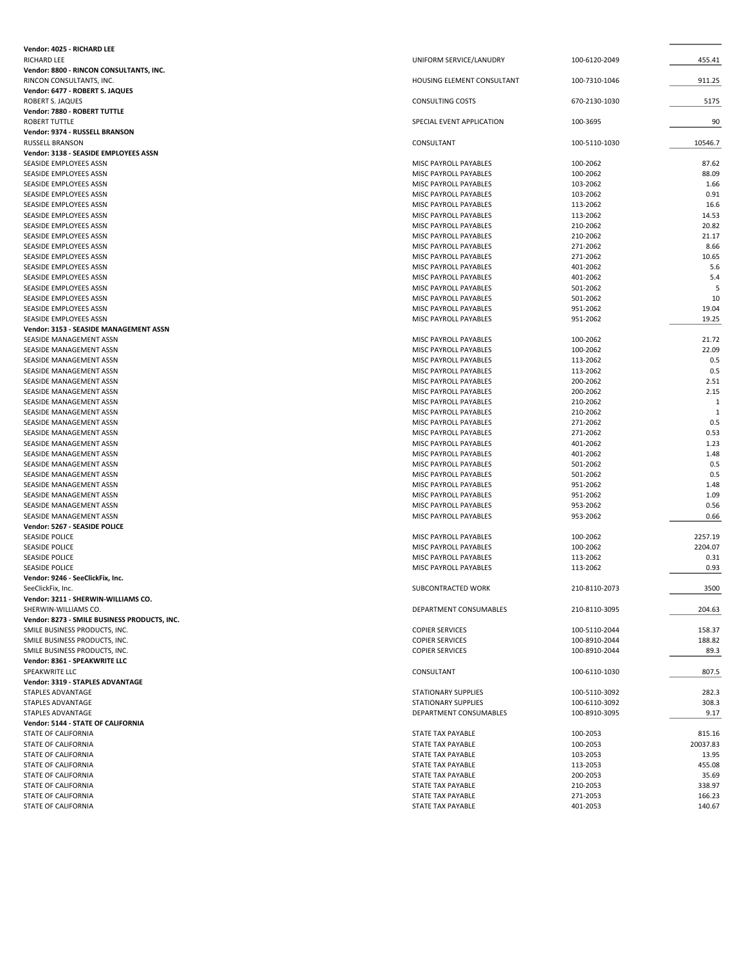| <b>RICHARD LEE</b><br>UNIFORM SERVICE/LANUDRY<br>100-6120-2049<br>455.41<br>Vendor: 8800 - RINCON CONSULTANTS, INC.<br>RINCON CONSULTANTS, INC.<br>HOUSING ELEMENT CONSULTANT<br>100-7310-1046<br>911.25<br>Vendor: 6477 - ROBERT S. JAQUES<br><b>CONSULTING COSTS</b><br>5175<br>ROBERT S. JAQUES<br>670-2130-1030<br>Vendor: 7880 - ROBERT TUTTLE<br><b>ROBERT TUTTLE</b><br>90<br>SPECIAL EVENT APPLICATION<br>100-3695<br>Vendor: 9374 - RUSSELL BRANSON<br>10546.7<br>RUSSELL BRANSON<br>CONSULTANT<br>100-5110-1030<br>Vendor: 3138 - SEASIDE EMPLOYEES ASSN<br>100-2062<br>87.62<br>SEASIDE EMPLOYEES ASSN<br>MISC PAYROLL PAYABLES<br>100-2062<br>88.09<br>SEASIDE EMPLOYEES ASSN<br>MISC PAYROLL PAYABLES<br>103-2062<br>1.66<br>SEASIDE EMPLOYEES ASSN<br>MISC PAYROLL PAYABLES<br>MISC PAYROLL PAYABLES<br>103-2062<br>0.91<br>SEASIDE EMPLOYEES ASSN<br>113-2062<br>16.6<br>SEASIDE EMPLOYEES ASSN<br>MISC PAYROLL PAYABLES<br>113-2062<br>14.53<br>SEASIDE EMPLOYEES ASSN<br>MISC PAYROLL PAYABLES<br>210-2062<br>20.82<br>SEASIDE EMPLOYEES ASSN<br>MISC PAYROLL PAYABLES<br>21.17<br>SEASIDE EMPLOYEES ASSN<br>MISC PAYROLL PAYABLES<br>210-2062<br>271-2062<br>8.66<br>SEASIDE EMPLOYEES ASSN<br>MISC PAYROLL PAYABLES<br>271-2062<br>10.65<br>SEASIDE EMPLOYEES ASSN<br>MISC PAYROLL PAYABLES<br>401-2062<br>5.6<br>SEASIDE EMPLOYEES ASSN<br>MISC PAYROLL PAYABLES<br>401-2062<br>5.4<br>SEASIDE EMPLOYEES ASSN<br>MISC PAYROLL PAYABLES<br>501-2062<br>SEASIDE EMPLOYEES ASSN<br>MISC PAYROLL PAYABLES<br>5<br>10<br>SEASIDE EMPLOYEES ASSN<br>MISC PAYROLL PAYABLES<br>501-2062<br>951-2062<br>19.04<br>SEASIDE EMPLOYEES ASSN<br>MISC PAYROLL PAYABLES<br>MISC PAYROLL PAYABLES<br>951-2062<br>19.25<br>SEASIDE EMPLOYEES ASSN<br>Vendor: 3153 - SEASIDE MANAGEMENT ASSN<br>SEASIDE MANAGEMENT ASSN<br>MISC PAYROLL PAYABLES<br>100-2062<br>21.72<br>100-2062<br>22.09<br>SEASIDE MANAGEMENT ASSN<br>MISC PAYROLL PAYABLES<br>113-2062<br>0.5<br>SEASIDE MANAGEMENT ASSN<br>MISC PAYROLL PAYABLES<br>113-2062<br>0.5<br>SEASIDE MANAGEMENT ASSN<br>MISC PAYROLL PAYABLES<br>200-2062<br>2.51<br>SEASIDE MANAGEMENT ASSN<br>MISC PAYROLL PAYABLES<br>200-2062<br>2.15<br>SEASIDE MANAGEMENT ASSN<br>MISC PAYROLL PAYABLES<br>210-2062<br>$\mathbf{1}$<br>SEASIDE MANAGEMENT ASSN<br>MISC PAYROLL PAYABLES<br>210-2062<br>$\mathbf{1}$<br>SEASIDE MANAGEMENT ASSN<br>MISC PAYROLL PAYABLES<br>271-2062<br>0.5<br>SEASIDE MANAGEMENT ASSN<br>MISC PAYROLL PAYABLES<br>271-2062<br>0.53<br>SEASIDE MANAGEMENT ASSN<br>MISC PAYROLL PAYABLES<br>401-2062<br>1.23<br>SEASIDE MANAGEMENT ASSN<br>MISC PAYROLL PAYABLES<br>401-2062<br>1.48<br>SEASIDE MANAGEMENT ASSN<br>MISC PAYROLL PAYABLES<br>501-2062<br>0.5<br>SEASIDE MANAGEMENT ASSN<br>MISC PAYROLL PAYABLES<br>501-2062<br>0.5<br>SEASIDE MANAGEMENT ASSN<br>MISC PAYROLL PAYABLES<br>951-2062<br>1.48<br>SEASIDE MANAGEMENT ASSN<br>MISC PAYROLL PAYABLES<br>951-2062<br>1.09<br>SEASIDE MANAGEMENT ASSN<br>MISC PAYROLL PAYABLES<br>953-2062<br>0.56<br>SEASIDE MANAGEMENT ASSN<br>MISC PAYROLL PAYABLES<br>MISC PAYROLL PAYABLES<br>953-2062<br>0.66<br>SEASIDE MANAGEMENT ASSN<br>Vendor: 5267 - SEASIDE POLICE<br><b>SEASIDE POLICE</b><br>2257.19<br>MISC PAYROLL PAYABLES<br>100-2062<br><b>SEASIDE POLICE</b><br>100-2062<br>2204.07<br>MISC PAYROLL PAYABLES<br><b>SEASIDE POLICE</b><br>MISC PAYROLL PAYABLES<br>113-2062<br>0.31<br>MISC PAYROLL PAYABLES<br>0.93<br><b>SEASIDE POLICE</b><br>113-2062<br>Vendor: 9246 - SeeClickFix, Inc.<br>SUBCONTRACTED WORK<br>3500<br>210-8110-2073<br>SeeClickFix, Inc.<br>Vendor: 3211 - SHERWIN-WILLIAMS CO.<br>SHERWIN-WILLIAMS CO.<br>DEPARTMENT CONSUMABLES<br>204.63<br>210-8110-3095<br>Vendor: 8273 - SMILE BUSINESS PRODUCTS, INC.<br>SMILE BUSINESS PRODUCTS, INC.<br><b>COPIER SERVICES</b><br>100-5110-2044<br>158.37<br>SMILE BUSINESS PRODUCTS, INC.<br><b>COPIER SERVICES</b><br>188.82<br>100-8910-2044<br>SMILE BUSINESS PRODUCTS, INC.<br>89.3<br><b>COPIER SERVICES</b><br>100-8910-2044<br>Vendor: 8361 - SPEAKWRITE LLC<br>SPEAKWRITE LLC<br>807.5<br>CONSULTANT<br>100-6110-1030<br>Vendor: 3319 - STAPLES ADVANTAGE<br>STAPLES ADVANTAGE<br>STATIONARY SUPPLIES<br>100-5110-3092<br>282.3<br>308.3<br>STAPLES ADVANTAGE<br><b>STATIONARY SUPPLIES</b><br>100-6110-3092<br>STAPLES ADVANTAGE<br>DEPARTMENT CONSUMABLES<br>100-8910-3095<br>9.17<br>Vendor: 5144 - STATE OF CALIFORNIA<br>100-2053<br>815.16<br>STATE OF CALIFORNIA<br>STATE TAX PAYABLE<br>100-2053<br>20037.83<br>STATE OF CALIFORNIA<br>STATE TAX PAYABLE<br>103-2053<br>13.95<br>STATE OF CALIFORNIA<br>STATE TAX PAYABLE<br>113-2053<br>455.08<br>STATE OF CALIFORNIA<br>STATE TAX PAYABLE<br>200-2053<br>35.69<br>STATE OF CALIFORNIA<br>STATE TAX PAYABLE<br>210-2053<br>338.97<br>STATE OF CALIFORNIA<br>STATE TAX PAYABLE<br>271-2053<br>166.23<br>STATE OF CALIFORNIA<br>STATE TAX PAYABLE<br>STATE OF CALIFORNIA<br>401-2053<br>140.67<br>STATE TAX PAYABLE | Vendor: 4025 - RICHARD LEE |  |  |
|---------------------------------------------------------------------------------------------------------------------------------------------------------------------------------------------------------------------------------------------------------------------------------------------------------------------------------------------------------------------------------------------------------------------------------------------------------------------------------------------------------------------------------------------------------------------------------------------------------------------------------------------------------------------------------------------------------------------------------------------------------------------------------------------------------------------------------------------------------------------------------------------------------------------------------------------------------------------------------------------------------------------------------------------------------------------------------------------------------------------------------------------------------------------------------------------------------------------------------------------------------------------------------------------------------------------------------------------------------------------------------------------------------------------------------------------------------------------------------------------------------------------------------------------------------------------------------------------------------------------------------------------------------------------------------------------------------------------------------------------------------------------------------------------------------------------------------------------------------------------------------------------------------------------------------------------------------------------------------------------------------------------------------------------------------------------------------------------------------------------------------------------------------------------------------------------------------------------------------------------------------------------------------------------------------------------------------------------------------------------------------------------------------------------------------------------------------------------------------------------------------------------------------------------------------------------------------------------------------------------------------------------------------------------------------------------------------------------------------------------------------------------------------------------------------------------------------------------------------------------------------------------------------------------------------------------------------------------------------------------------------------------------------------------------------------------------------------------------------------------------------------------------------------------------------------------------------------------------------------------------------------------------------------------------------------------------------------------------------------------------------------------------------------------------------------------------------------------------------------------------------------------------------------------------------------------------------------------------------------------------------------------------------------------------------------------------------------------------------------------------------------------------------------------------------------------------------------------------------------------------------------------------------------------------------------------------------------------------------------------------------------------------------------------------------------------------------------------------------------------------------------------------------------------------------------------------------------------------------------------------------------------------------------------------------------------------------------------------------------------------------------------------------------------------------------------------------------------------------------------------------------------------------------------------------------------------------------------------------------------------------------------------------------------------------------------------------------------------------------------------------------------------------------------------------------------------------------------------------------------------------------------------------------------------------------------------------------------------------------|----------------------------|--|--|
|                                                                                                                                                                                                                                                                                                                                                                                                                                                                                                                                                                                                                                                                                                                                                                                                                                                                                                                                                                                                                                                                                                                                                                                                                                                                                                                                                                                                                                                                                                                                                                                                                                                                                                                                                                                                                                                                                                                                                                                                                                                                                                                                                                                                                                                                                                                                                                                                                                                                                                                                                                                                                                                                                                                                                                                                                                                                                                                                                                                                                                                                                                                                                                                                                                                                                                                                                                                                                                                                                                                                                                                                                                                                                                                                                                                                                                                                                                                                                                                                                                                                                                                                                                                                                                                                                                                                                                                                                                                                                                                                                                                                                                                                                                                                                                                                                                                                                                                                                                                       |                            |  |  |
|                                                                                                                                                                                                                                                                                                                                                                                                                                                                                                                                                                                                                                                                                                                                                                                                                                                                                                                                                                                                                                                                                                                                                                                                                                                                                                                                                                                                                                                                                                                                                                                                                                                                                                                                                                                                                                                                                                                                                                                                                                                                                                                                                                                                                                                                                                                                                                                                                                                                                                                                                                                                                                                                                                                                                                                                                                                                                                                                                                                                                                                                                                                                                                                                                                                                                                                                                                                                                                                                                                                                                                                                                                                                                                                                                                                                                                                                                                                                                                                                                                                                                                                                                                                                                                                                                                                                                                                                                                                                                                                                                                                                                                                                                                                                                                                                                                                                                                                                                                                       |                            |  |  |
|                                                                                                                                                                                                                                                                                                                                                                                                                                                                                                                                                                                                                                                                                                                                                                                                                                                                                                                                                                                                                                                                                                                                                                                                                                                                                                                                                                                                                                                                                                                                                                                                                                                                                                                                                                                                                                                                                                                                                                                                                                                                                                                                                                                                                                                                                                                                                                                                                                                                                                                                                                                                                                                                                                                                                                                                                                                                                                                                                                                                                                                                                                                                                                                                                                                                                                                                                                                                                                                                                                                                                                                                                                                                                                                                                                                                                                                                                                                                                                                                                                                                                                                                                                                                                                                                                                                                                                                                                                                                                                                                                                                                                                                                                                                                                                                                                                                                                                                                                                                       |                            |  |  |
|                                                                                                                                                                                                                                                                                                                                                                                                                                                                                                                                                                                                                                                                                                                                                                                                                                                                                                                                                                                                                                                                                                                                                                                                                                                                                                                                                                                                                                                                                                                                                                                                                                                                                                                                                                                                                                                                                                                                                                                                                                                                                                                                                                                                                                                                                                                                                                                                                                                                                                                                                                                                                                                                                                                                                                                                                                                                                                                                                                                                                                                                                                                                                                                                                                                                                                                                                                                                                                                                                                                                                                                                                                                                                                                                                                                                                                                                                                                                                                                                                                                                                                                                                                                                                                                                                                                                                                                                                                                                                                                                                                                                                                                                                                                                                                                                                                                                                                                                                                                       |                            |  |  |
|                                                                                                                                                                                                                                                                                                                                                                                                                                                                                                                                                                                                                                                                                                                                                                                                                                                                                                                                                                                                                                                                                                                                                                                                                                                                                                                                                                                                                                                                                                                                                                                                                                                                                                                                                                                                                                                                                                                                                                                                                                                                                                                                                                                                                                                                                                                                                                                                                                                                                                                                                                                                                                                                                                                                                                                                                                                                                                                                                                                                                                                                                                                                                                                                                                                                                                                                                                                                                                                                                                                                                                                                                                                                                                                                                                                                                                                                                                                                                                                                                                                                                                                                                                                                                                                                                                                                                                                                                                                                                                                                                                                                                                                                                                                                                                                                                                                                                                                                                                                       |                            |  |  |
|                                                                                                                                                                                                                                                                                                                                                                                                                                                                                                                                                                                                                                                                                                                                                                                                                                                                                                                                                                                                                                                                                                                                                                                                                                                                                                                                                                                                                                                                                                                                                                                                                                                                                                                                                                                                                                                                                                                                                                                                                                                                                                                                                                                                                                                                                                                                                                                                                                                                                                                                                                                                                                                                                                                                                                                                                                                                                                                                                                                                                                                                                                                                                                                                                                                                                                                                                                                                                                                                                                                                                                                                                                                                                                                                                                                                                                                                                                                                                                                                                                                                                                                                                                                                                                                                                                                                                                                                                                                                                                                                                                                                                                                                                                                                                                                                                                                                                                                                                                                       |                            |  |  |
|                                                                                                                                                                                                                                                                                                                                                                                                                                                                                                                                                                                                                                                                                                                                                                                                                                                                                                                                                                                                                                                                                                                                                                                                                                                                                                                                                                                                                                                                                                                                                                                                                                                                                                                                                                                                                                                                                                                                                                                                                                                                                                                                                                                                                                                                                                                                                                                                                                                                                                                                                                                                                                                                                                                                                                                                                                                                                                                                                                                                                                                                                                                                                                                                                                                                                                                                                                                                                                                                                                                                                                                                                                                                                                                                                                                                                                                                                                                                                                                                                                                                                                                                                                                                                                                                                                                                                                                                                                                                                                                                                                                                                                                                                                                                                                                                                                                                                                                                                                                       |                            |  |  |
|                                                                                                                                                                                                                                                                                                                                                                                                                                                                                                                                                                                                                                                                                                                                                                                                                                                                                                                                                                                                                                                                                                                                                                                                                                                                                                                                                                                                                                                                                                                                                                                                                                                                                                                                                                                                                                                                                                                                                                                                                                                                                                                                                                                                                                                                                                                                                                                                                                                                                                                                                                                                                                                                                                                                                                                                                                                                                                                                                                                                                                                                                                                                                                                                                                                                                                                                                                                                                                                                                                                                                                                                                                                                                                                                                                                                                                                                                                                                                                                                                                                                                                                                                                                                                                                                                                                                                                                                                                                                                                                                                                                                                                                                                                                                                                                                                                                                                                                                                                                       |                            |  |  |
|                                                                                                                                                                                                                                                                                                                                                                                                                                                                                                                                                                                                                                                                                                                                                                                                                                                                                                                                                                                                                                                                                                                                                                                                                                                                                                                                                                                                                                                                                                                                                                                                                                                                                                                                                                                                                                                                                                                                                                                                                                                                                                                                                                                                                                                                                                                                                                                                                                                                                                                                                                                                                                                                                                                                                                                                                                                                                                                                                                                                                                                                                                                                                                                                                                                                                                                                                                                                                                                                                                                                                                                                                                                                                                                                                                                                                                                                                                                                                                                                                                                                                                                                                                                                                                                                                                                                                                                                                                                                                                                                                                                                                                                                                                                                                                                                                                                                                                                                                                                       |                            |  |  |
|                                                                                                                                                                                                                                                                                                                                                                                                                                                                                                                                                                                                                                                                                                                                                                                                                                                                                                                                                                                                                                                                                                                                                                                                                                                                                                                                                                                                                                                                                                                                                                                                                                                                                                                                                                                                                                                                                                                                                                                                                                                                                                                                                                                                                                                                                                                                                                                                                                                                                                                                                                                                                                                                                                                                                                                                                                                                                                                                                                                                                                                                                                                                                                                                                                                                                                                                                                                                                                                                                                                                                                                                                                                                                                                                                                                                                                                                                                                                                                                                                                                                                                                                                                                                                                                                                                                                                                                                                                                                                                                                                                                                                                                                                                                                                                                                                                                                                                                                                                                       |                            |  |  |
|                                                                                                                                                                                                                                                                                                                                                                                                                                                                                                                                                                                                                                                                                                                                                                                                                                                                                                                                                                                                                                                                                                                                                                                                                                                                                                                                                                                                                                                                                                                                                                                                                                                                                                                                                                                                                                                                                                                                                                                                                                                                                                                                                                                                                                                                                                                                                                                                                                                                                                                                                                                                                                                                                                                                                                                                                                                                                                                                                                                                                                                                                                                                                                                                                                                                                                                                                                                                                                                                                                                                                                                                                                                                                                                                                                                                                                                                                                                                                                                                                                                                                                                                                                                                                                                                                                                                                                                                                                                                                                                                                                                                                                                                                                                                                                                                                                                                                                                                                                                       |                            |  |  |
|                                                                                                                                                                                                                                                                                                                                                                                                                                                                                                                                                                                                                                                                                                                                                                                                                                                                                                                                                                                                                                                                                                                                                                                                                                                                                                                                                                                                                                                                                                                                                                                                                                                                                                                                                                                                                                                                                                                                                                                                                                                                                                                                                                                                                                                                                                                                                                                                                                                                                                                                                                                                                                                                                                                                                                                                                                                                                                                                                                                                                                                                                                                                                                                                                                                                                                                                                                                                                                                                                                                                                                                                                                                                                                                                                                                                                                                                                                                                                                                                                                                                                                                                                                                                                                                                                                                                                                                                                                                                                                                                                                                                                                                                                                                                                                                                                                                                                                                                                                                       |                            |  |  |
|                                                                                                                                                                                                                                                                                                                                                                                                                                                                                                                                                                                                                                                                                                                                                                                                                                                                                                                                                                                                                                                                                                                                                                                                                                                                                                                                                                                                                                                                                                                                                                                                                                                                                                                                                                                                                                                                                                                                                                                                                                                                                                                                                                                                                                                                                                                                                                                                                                                                                                                                                                                                                                                                                                                                                                                                                                                                                                                                                                                                                                                                                                                                                                                                                                                                                                                                                                                                                                                                                                                                                                                                                                                                                                                                                                                                                                                                                                                                                                                                                                                                                                                                                                                                                                                                                                                                                                                                                                                                                                                                                                                                                                                                                                                                                                                                                                                                                                                                                                                       |                            |  |  |
|                                                                                                                                                                                                                                                                                                                                                                                                                                                                                                                                                                                                                                                                                                                                                                                                                                                                                                                                                                                                                                                                                                                                                                                                                                                                                                                                                                                                                                                                                                                                                                                                                                                                                                                                                                                                                                                                                                                                                                                                                                                                                                                                                                                                                                                                                                                                                                                                                                                                                                                                                                                                                                                                                                                                                                                                                                                                                                                                                                                                                                                                                                                                                                                                                                                                                                                                                                                                                                                                                                                                                                                                                                                                                                                                                                                                                                                                                                                                                                                                                                                                                                                                                                                                                                                                                                                                                                                                                                                                                                                                                                                                                                                                                                                                                                                                                                                                                                                                                                                       |                            |  |  |
|                                                                                                                                                                                                                                                                                                                                                                                                                                                                                                                                                                                                                                                                                                                                                                                                                                                                                                                                                                                                                                                                                                                                                                                                                                                                                                                                                                                                                                                                                                                                                                                                                                                                                                                                                                                                                                                                                                                                                                                                                                                                                                                                                                                                                                                                                                                                                                                                                                                                                                                                                                                                                                                                                                                                                                                                                                                                                                                                                                                                                                                                                                                                                                                                                                                                                                                                                                                                                                                                                                                                                                                                                                                                                                                                                                                                                                                                                                                                                                                                                                                                                                                                                                                                                                                                                                                                                                                                                                                                                                                                                                                                                                                                                                                                                                                                                                                                                                                                                                                       |                            |  |  |
|                                                                                                                                                                                                                                                                                                                                                                                                                                                                                                                                                                                                                                                                                                                                                                                                                                                                                                                                                                                                                                                                                                                                                                                                                                                                                                                                                                                                                                                                                                                                                                                                                                                                                                                                                                                                                                                                                                                                                                                                                                                                                                                                                                                                                                                                                                                                                                                                                                                                                                                                                                                                                                                                                                                                                                                                                                                                                                                                                                                                                                                                                                                                                                                                                                                                                                                                                                                                                                                                                                                                                                                                                                                                                                                                                                                                                                                                                                                                                                                                                                                                                                                                                                                                                                                                                                                                                                                                                                                                                                                                                                                                                                                                                                                                                                                                                                                                                                                                                                                       |                            |  |  |
|                                                                                                                                                                                                                                                                                                                                                                                                                                                                                                                                                                                                                                                                                                                                                                                                                                                                                                                                                                                                                                                                                                                                                                                                                                                                                                                                                                                                                                                                                                                                                                                                                                                                                                                                                                                                                                                                                                                                                                                                                                                                                                                                                                                                                                                                                                                                                                                                                                                                                                                                                                                                                                                                                                                                                                                                                                                                                                                                                                                                                                                                                                                                                                                                                                                                                                                                                                                                                                                                                                                                                                                                                                                                                                                                                                                                                                                                                                                                                                                                                                                                                                                                                                                                                                                                                                                                                                                                                                                                                                                                                                                                                                                                                                                                                                                                                                                                                                                                                                                       |                            |  |  |
|                                                                                                                                                                                                                                                                                                                                                                                                                                                                                                                                                                                                                                                                                                                                                                                                                                                                                                                                                                                                                                                                                                                                                                                                                                                                                                                                                                                                                                                                                                                                                                                                                                                                                                                                                                                                                                                                                                                                                                                                                                                                                                                                                                                                                                                                                                                                                                                                                                                                                                                                                                                                                                                                                                                                                                                                                                                                                                                                                                                                                                                                                                                                                                                                                                                                                                                                                                                                                                                                                                                                                                                                                                                                                                                                                                                                                                                                                                                                                                                                                                                                                                                                                                                                                                                                                                                                                                                                                                                                                                                                                                                                                                                                                                                                                                                                                                                                                                                                                                                       |                            |  |  |
|                                                                                                                                                                                                                                                                                                                                                                                                                                                                                                                                                                                                                                                                                                                                                                                                                                                                                                                                                                                                                                                                                                                                                                                                                                                                                                                                                                                                                                                                                                                                                                                                                                                                                                                                                                                                                                                                                                                                                                                                                                                                                                                                                                                                                                                                                                                                                                                                                                                                                                                                                                                                                                                                                                                                                                                                                                                                                                                                                                                                                                                                                                                                                                                                                                                                                                                                                                                                                                                                                                                                                                                                                                                                                                                                                                                                                                                                                                                                                                                                                                                                                                                                                                                                                                                                                                                                                                                                                                                                                                                                                                                                                                                                                                                                                                                                                                                                                                                                                                                       |                            |  |  |
|                                                                                                                                                                                                                                                                                                                                                                                                                                                                                                                                                                                                                                                                                                                                                                                                                                                                                                                                                                                                                                                                                                                                                                                                                                                                                                                                                                                                                                                                                                                                                                                                                                                                                                                                                                                                                                                                                                                                                                                                                                                                                                                                                                                                                                                                                                                                                                                                                                                                                                                                                                                                                                                                                                                                                                                                                                                                                                                                                                                                                                                                                                                                                                                                                                                                                                                                                                                                                                                                                                                                                                                                                                                                                                                                                                                                                                                                                                                                                                                                                                                                                                                                                                                                                                                                                                                                                                                                                                                                                                                                                                                                                                                                                                                                                                                                                                                                                                                                                                                       |                            |  |  |
|                                                                                                                                                                                                                                                                                                                                                                                                                                                                                                                                                                                                                                                                                                                                                                                                                                                                                                                                                                                                                                                                                                                                                                                                                                                                                                                                                                                                                                                                                                                                                                                                                                                                                                                                                                                                                                                                                                                                                                                                                                                                                                                                                                                                                                                                                                                                                                                                                                                                                                                                                                                                                                                                                                                                                                                                                                                                                                                                                                                                                                                                                                                                                                                                                                                                                                                                                                                                                                                                                                                                                                                                                                                                                                                                                                                                                                                                                                                                                                                                                                                                                                                                                                                                                                                                                                                                                                                                                                                                                                                                                                                                                                                                                                                                                                                                                                                                                                                                                                                       |                            |  |  |
|                                                                                                                                                                                                                                                                                                                                                                                                                                                                                                                                                                                                                                                                                                                                                                                                                                                                                                                                                                                                                                                                                                                                                                                                                                                                                                                                                                                                                                                                                                                                                                                                                                                                                                                                                                                                                                                                                                                                                                                                                                                                                                                                                                                                                                                                                                                                                                                                                                                                                                                                                                                                                                                                                                                                                                                                                                                                                                                                                                                                                                                                                                                                                                                                                                                                                                                                                                                                                                                                                                                                                                                                                                                                                                                                                                                                                                                                                                                                                                                                                                                                                                                                                                                                                                                                                                                                                                                                                                                                                                                                                                                                                                                                                                                                                                                                                                                                                                                                                                                       |                            |  |  |
|                                                                                                                                                                                                                                                                                                                                                                                                                                                                                                                                                                                                                                                                                                                                                                                                                                                                                                                                                                                                                                                                                                                                                                                                                                                                                                                                                                                                                                                                                                                                                                                                                                                                                                                                                                                                                                                                                                                                                                                                                                                                                                                                                                                                                                                                                                                                                                                                                                                                                                                                                                                                                                                                                                                                                                                                                                                                                                                                                                                                                                                                                                                                                                                                                                                                                                                                                                                                                                                                                                                                                                                                                                                                                                                                                                                                                                                                                                                                                                                                                                                                                                                                                                                                                                                                                                                                                                                                                                                                                                                                                                                                                                                                                                                                                                                                                                                                                                                                                                                       |                            |  |  |
|                                                                                                                                                                                                                                                                                                                                                                                                                                                                                                                                                                                                                                                                                                                                                                                                                                                                                                                                                                                                                                                                                                                                                                                                                                                                                                                                                                                                                                                                                                                                                                                                                                                                                                                                                                                                                                                                                                                                                                                                                                                                                                                                                                                                                                                                                                                                                                                                                                                                                                                                                                                                                                                                                                                                                                                                                                                                                                                                                                                                                                                                                                                                                                                                                                                                                                                                                                                                                                                                                                                                                                                                                                                                                                                                                                                                                                                                                                                                                                                                                                                                                                                                                                                                                                                                                                                                                                                                                                                                                                                                                                                                                                                                                                                                                                                                                                                                                                                                                                                       |                            |  |  |
|                                                                                                                                                                                                                                                                                                                                                                                                                                                                                                                                                                                                                                                                                                                                                                                                                                                                                                                                                                                                                                                                                                                                                                                                                                                                                                                                                                                                                                                                                                                                                                                                                                                                                                                                                                                                                                                                                                                                                                                                                                                                                                                                                                                                                                                                                                                                                                                                                                                                                                                                                                                                                                                                                                                                                                                                                                                                                                                                                                                                                                                                                                                                                                                                                                                                                                                                                                                                                                                                                                                                                                                                                                                                                                                                                                                                                                                                                                                                                                                                                                                                                                                                                                                                                                                                                                                                                                                                                                                                                                                                                                                                                                                                                                                                                                                                                                                                                                                                                                                       |                            |  |  |
|                                                                                                                                                                                                                                                                                                                                                                                                                                                                                                                                                                                                                                                                                                                                                                                                                                                                                                                                                                                                                                                                                                                                                                                                                                                                                                                                                                                                                                                                                                                                                                                                                                                                                                                                                                                                                                                                                                                                                                                                                                                                                                                                                                                                                                                                                                                                                                                                                                                                                                                                                                                                                                                                                                                                                                                                                                                                                                                                                                                                                                                                                                                                                                                                                                                                                                                                                                                                                                                                                                                                                                                                                                                                                                                                                                                                                                                                                                                                                                                                                                                                                                                                                                                                                                                                                                                                                                                                                                                                                                                                                                                                                                                                                                                                                                                                                                                                                                                                                                                       |                            |  |  |
|                                                                                                                                                                                                                                                                                                                                                                                                                                                                                                                                                                                                                                                                                                                                                                                                                                                                                                                                                                                                                                                                                                                                                                                                                                                                                                                                                                                                                                                                                                                                                                                                                                                                                                                                                                                                                                                                                                                                                                                                                                                                                                                                                                                                                                                                                                                                                                                                                                                                                                                                                                                                                                                                                                                                                                                                                                                                                                                                                                                                                                                                                                                                                                                                                                                                                                                                                                                                                                                                                                                                                                                                                                                                                                                                                                                                                                                                                                                                                                                                                                                                                                                                                                                                                                                                                                                                                                                                                                                                                                                                                                                                                                                                                                                                                                                                                                                                                                                                                                                       |                            |  |  |
|                                                                                                                                                                                                                                                                                                                                                                                                                                                                                                                                                                                                                                                                                                                                                                                                                                                                                                                                                                                                                                                                                                                                                                                                                                                                                                                                                                                                                                                                                                                                                                                                                                                                                                                                                                                                                                                                                                                                                                                                                                                                                                                                                                                                                                                                                                                                                                                                                                                                                                                                                                                                                                                                                                                                                                                                                                                                                                                                                                                                                                                                                                                                                                                                                                                                                                                                                                                                                                                                                                                                                                                                                                                                                                                                                                                                                                                                                                                                                                                                                                                                                                                                                                                                                                                                                                                                                                                                                                                                                                                                                                                                                                                                                                                                                                                                                                                                                                                                                                                       |                            |  |  |
|                                                                                                                                                                                                                                                                                                                                                                                                                                                                                                                                                                                                                                                                                                                                                                                                                                                                                                                                                                                                                                                                                                                                                                                                                                                                                                                                                                                                                                                                                                                                                                                                                                                                                                                                                                                                                                                                                                                                                                                                                                                                                                                                                                                                                                                                                                                                                                                                                                                                                                                                                                                                                                                                                                                                                                                                                                                                                                                                                                                                                                                                                                                                                                                                                                                                                                                                                                                                                                                                                                                                                                                                                                                                                                                                                                                                                                                                                                                                                                                                                                                                                                                                                                                                                                                                                                                                                                                                                                                                                                                                                                                                                                                                                                                                                                                                                                                                                                                                                                                       |                            |  |  |
|                                                                                                                                                                                                                                                                                                                                                                                                                                                                                                                                                                                                                                                                                                                                                                                                                                                                                                                                                                                                                                                                                                                                                                                                                                                                                                                                                                                                                                                                                                                                                                                                                                                                                                                                                                                                                                                                                                                                                                                                                                                                                                                                                                                                                                                                                                                                                                                                                                                                                                                                                                                                                                                                                                                                                                                                                                                                                                                                                                                                                                                                                                                                                                                                                                                                                                                                                                                                                                                                                                                                                                                                                                                                                                                                                                                                                                                                                                                                                                                                                                                                                                                                                                                                                                                                                                                                                                                                                                                                                                                                                                                                                                                                                                                                                                                                                                                                                                                                                                                       |                            |  |  |
|                                                                                                                                                                                                                                                                                                                                                                                                                                                                                                                                                                                                                                                                                                                                                                                                                                                                                                                                                                                                                                                                                                                                                                                                                                                                                                                                                                                                                                                                                                                                                                                                                                                                                                                                                                                                                                                                                                                                                                                                                                                                                                                                                                                                                                                                                                                                                                                                                                                                                                                                                                                                                                                                                                                                                                                                                                                                                                                                                                                                                                                                                                                                                                                                                                                                                                                                                                                                                                                                                                                                                                                                                                                                                                                                                                                                                                                                                                                                                                                                                                                                                                                                                                                                                                                                                                                                                                                                                                                                                                                                                                                                                                                                                                                                                                                                                                                                                                                                                                                       |                            |  |  |
|                                                                                                                                                                                                                                                                                                                                                                                                                                                                                                                                                                                                                                                                                                                                                                                                                                                                                                                                                                                                                                                                                                                                                                                                                                                                                                                                                                                                                                                                                                                                                                                                                                                                                                                                                                                                                                                                                                                                                                                                                                                                                                                                                                                                                                                                                                                                                                                                                                                                                                                                                                                                                                                                                                                                                                                                                                                                                                                                                                                                                                                                                                                                                                                                                                                                                                                                                                                                                                                                                                                                                                                                                                                                                                                                                                                                                                                                                                                                                                                                                                                                                                                                                                                                                                                                                                                                                                                                                                                                                                                                                                                                                                                                                                                                                                                                                                                                                                                                                                                       |                            |  |  |
|                                                                                                                                                                                                                                                                                                                                                                                                                                                                                                                                                                                                                                                                                                                                                                                                                                                                                                                                                                                                                                                                                                                                                                                                                                                                                                                                                                                                                                                                                                                                                                                                                                                                                                                                                                                                                                                                                                                                                                                                                                                                                                                                                                                                                                                                                                                                                                                                                                                                                                                                                                                                                                                                                                                                                                                                                                                                                                                                                                                                                                                                                                                                                                                                                                                                                                                                                                                                                                                                                                                                                                                                                                                                                                                                                                                                                                                                                                                                                                                                                                                                                                                                                                                                                                                                                                                                                                                                                                                                                                                                                                                                                                                                                                                                                                                                                                                                                                                                                                                       |                            |  |  |
|                                                                                                                                                                                                                                                                                                                                                                                                                                                                                                                                                                                                                                                                                                                                                                                                                                                                                                                                                                                                                                                                                                                                                                                                                                                                                                                                                                                                                                                                                                                                                                                                                                                                                                                                                                                                                                                                                                                                                                                                                                                                                                                                                                                                                                                                                                                                                                                                                                                                                                                                                                                                                                                                                                                                                                                                                                                                                                                                                                                                                                                                                                                                                                                                                                                                                                                                                                                                                                                                                                                                                                                                                                                                                                                                                                                                                                                                                                                                                                                                                                                                                                                                                                                                                                                                                                                                                                                                                                                                                                                                                                                                                                                                                                                                                                                                                                                                                                                                                                                       |                            |  |  |
|                                                                                                                                                                                                                                                                                                                                                                                                                                                                                                                                                                                                                                                                                                                                                                                                                                                                                                                                                                                                                                                                                                                                                                                                                                                                                                                                                                                                                                                                                                                                                                                                                                                                                                                                                                                                                                                                                                                                                                                                                                                                                                                                                                                                                                                                                                                                                                                                                                                                                                                                                                                                                                                                                                                                                                                                                                                                                                                                                                                                                                                                                                                                                                                                                                                                                                                                                                                                                                                                                                                                                                                                                                                                                                                                                                                                                                                                                                                                                                                                                                                                                                                                                                                                                                                                                                                                                                                                                                                                                                                                                                                                                                                                                                                                                                                                                                                                                                                                                                                       |                            |  |  |
|                                                                                                                                                                                                                                                                                                                                                                                                                                                                                                                                                                                                                                                                                                                                                                                                                                                                                                                                                                                                                                                                                                                                                                                                                                                                                                                                                                                                                                                                                                                                                                                                                                                                                                                                                                                                                                                                                                                                                                                                                                                                                                                                                                                                                                                                                                                                                                                                                                                                                                                                                                                                                                                                                                                                                                                                                                                                                                                                                                                                                                                                                                                                                                                                                                                                                                                                                                                                                                                                                                                                                                                                                                                                                                                                                                                                                                                                                                                                                                                                                                                                                                                                                                                                                                                                                                                                                                                                                                                                                                                                                                                                                                                                                                                                                                                                                                                                                                                                                                                       |                            |  |  |
|                                                                                                                                                                                                                                                                                                                                                                                                                                                                                                                                                                                                                                                                                                                                                                                                                                                                                                                                                                                                                                                                                                                                                                                                                                                                                                                                                                                                                                                                                                                                                                                                                                                                                                                                                                                                                                                                                                                                                                                                                                                                                                                                                                                                                                                                                                                                                                                                                                                                                                                                                                                                                                                                                                                                                                                                                                                                                                                                                                                                                                                                                                                                                                                                                                                                                                                                                                                                                                                                                                                                                                                                                                                                                                                                                                                                                                                                                                                                                                                                                                                                                                                                                                                                                                                                                                                                                                                                                                                                                                                                                                                                                                                                                                                                                                                                                                                                                                                                                                                       |                            |  |  |
|                                                                                                                                                                                                                                                                                                                                                                                                                                                                                                                                                                                                                                                                                                                                                                                                                                                                                                                                                                                                                                                                                                                                                                                                                                                                                                                                                                                                                                                                                                                                                                                                                                                                                                                                                                                                                                                                                                                                                                                                                                                                                                                                                                                                                                                                                                                                                                                                                                                                                                                                                                                                                                                                                                                                                                                                                                                                                                                                                                                                                                                                                                                                                                                                                                                                                                                                                                                                                                                                                                                                                                                                                                                                                                                                                                                                                                                                                                                                                                                                                                                                                                                                                                                                                                                                                                                                                                                                                                                                                                                                                                                                                                                                                                                                                                                                                                                                                                                                                                                       |                            |  |  |
|                                                                                                                                                                                                                                                                                                                                                                                                                                                                                                                                                                                                                                                                                                                                                                                                                                                                                                                                                                                                                                                                                                                                                                                                                                                                                                                                                                                                                                                                                                                                                                                                                                                                                                                                                                                                                                                                                                                                                                                                                                                                                                                                                                                                                                                                                                                                                                                                                                                                                                                                                                                                                                                                                                                                                                                                                                                                                                                                                                                                                                                                                                                                                                                                                                                                                                                                                                                                                                                                                                                                                                                                                                                                                                                                                                                                                                                                                                                                                                                                                                                                                                                                                                                                                                                                                                                                                                                                                                                                                                                                                                                                                                                                                                                                                                                                                                                                                                                                                                                       |                            |  |  |
|                                                                                                                                                                                                                                                                                                                                                                                                                                                                                                                                                                                                                                                                                                                                                                                                                                                                                                                                                                                                                                                                                                                                                                                                                                                                                                                                                                                                                                                                                                                                                                                                                                                                                                                                                                                                                                                                                                                                                                                                                                                                                                                                                                                                                                                                                                                                                                                                                                                                                                                                                                                                                                                                                                                                                                                                                                                                                                                                                                                                                                                                                                                                                                                                                                                                                                                                                                                                                                                                                                                                                                                                                                                                                                                                                                                                                                                                                                                                                                                                                                                                                                                                                                                                                                                                                                                                                                                                                                                                                                                                                                                                                                                                                                                                                                                                                                                                                                                                                                                       |                            |  |  |
|                                                                                                                                                                                                                                                                                                                                                                                                                                                                                                                                                                                                                                                                                                                                                                                                                                                                                                                                                                                                                                                                                                                                                                                                                                                                                                                                                                                                                                                                                                                                                                                                                                                                                                                                                                                                                                                                                                                                                                                                                                                                                                                                                                                                                                                                                                                                                                                                                                                                                                                                                                                                                                                                                                                                                                                                                                                                                                                                                                                                                                                                                                                                                                                                                                                                                                                                                                                                                                                                                                                                                                                                                                                                                                                                                                                                                                                                                                                                                                                                                                                                                                                                                                                                                                                                                                                                                                                                                                                                                                                                                                                                                                                                                                                                                                                                                                                                                                                                                                                       |                            |  |  |
|                                                                                                                                                                                                                                                                                                                                                                                                                                                                                                                                                                                                                                                                                                                                                                                                                                                                                                                                                                                                                                                                                                                                                                                                                                                                                                                                                                                                                                                                                                                                                                                                                                                                                                                                                                                                                                                                                                                                                                                                                                                                                                                                                                                                                                                                                                                                                                                                                                                                                                                                                                                                                                                                                                                                                                                                                                                                                                                                                                                                                                                                                                                                                                                                                                                                                                                                                                                                                                                                                                                                                                                                                                                                                                                                                                                                                                                                                                                                                                                                                                                                                                                                                                                                                                                                                                                                                                                                                                                                                                                                                                                                                                                                                                                                                                                                                                                                                                                                                                                       |                            |  |  |
|                                                                                                                                                                                                                                                                                                                                                                                                                                                                                                                                                                                                                                                                                                                                                                                                                                                                                                                                                                                                                                                                                                                                                                                                                                                                                                                                                                                                                                                                                                                                                                                                                                                                                                                                                                                                                                                                                                                                                                                                                                                                                                                                                                                                                                                                                                                                                                                                                                                                                                                                                                                                                                                                                                                                                                                                                                                                                                                                                                                                                                                                                                                                                                                                                                                                                                                                                                                                                                                                                                                                                                                                                                                                                                                                                                                                                                                                                                                                                                                                                                                                                                                                                                                                                                                                                                                                                                                                                                                                                                                                                                                                                                                                                                                                                                                                                                                                                                                                                                                       |                            |  |  |
|                                                                                                                                                                                                                                                                                                                                                                                                                                                                                                                                                                                                                                                                                                                                                                                                                                                                                                                                                                                                                                                                                                                                                                                                                                                                                                                                                                                                                                                                                                                                                                                                                                                                                                                                                                                                                                                                                                                                                                                                                                                                                                                                                                                                                                                                                                                                                                                                                                                                                                                                                                                                                                                                                                                                                                                                                                                                                                                                                                                                                                                                                                                                                                                                                                                                                                                                                                                                                                                                                                                                                                                                                                                                                                                                                                                                                                                                                                                                                                                                                                                                                                                                                                                                                                                                                                                                                                                                                                                                                                                                                                                                                                                                                                                                                                                                                                                                                                                                                                                       |                            |  |  |
|                                                                                                                                                                                                                                                                                                                                                                                                                                                                                                                                                                                                                                                                                                                                                                                                                                                                                                                                                                                                                                                                                                                                                                                                                                                                                                                                                                                                                                                                                                                                                                                                                                                                                                                                                                                                                                                                                                                                                                                                                                                                                                                                                                                                                                                                                                                                                                                                                                                                                                                                                                                                                                                                                                                                                                                                                                                                                                                                                                                                                                                                                                                                                                                                                                                                                                                                                                                                                                                                                                                                                                                                                                                                                                                                                                                                                                                                                                                                                                                                                                                                                                                                                                                                                                                                                                                                                                                                                                                                                                                                                                                                                                                                                                                                                                                                                                                                                                                                                                                       |                            |  |  |
|                                                                                                                                                                                                                                                                                                                                                                                                                                                                                                                                                                                                                                                                                                                                                                                                                                                                                                                                                                                                                                                                                                                                                                                                                                                                                                                                                                                                                                                                                                                                                                                                                                                                                                                                                                                                                                                                                                                                                                                                                                                                                                                                                                                                                                                                                                                                                                                                                                                                                                                                                                                                                                                                                                                                                                                                                                                                                                                                                                                                                                                                                                                                                                                                                                                                                                                                                                                                                                                                                                                                                                                                                                                                                                                                                                                                                                                                                                                                                                                                                                                                                                                                                                                                                                                                                                                                                                                                                                                                                                                                                                                                                                                                                                                                                                                                                                                                                                                                                                                       |                            |  |  |
|                                                                                                                                                                                                                                                                                                                                                                                                                                                                                                                                                                                                                                                                                                                                                                                                                                                                                                                                                                                                                                                                                                                                                                                                                                                                                                                                                                                                                                                                                                                                                                                                                                                                                                                                                                                                                                                                                                                                                                                                                                                                                                                                                                                                                                                                                                                                                                                                                                                                                                                                                                                                                                                                                                                                                                                                                                                                                                                                                                                                                                                                                                                                                                                                                                                                                                                                                                                                                                                                                                                                                                                                                                                                                                                                                                                                                                                                                                                                                                                                                                                                                                                                                                                                                                                                                                                                                                                                                                                                                                                                                                                                                                                                                                                                                                                                                                                                                                                                                                                       |                            |  |  |
|                                                                                                                                                                                                                                                                                                                                                                                                                                                                                                                                                                                                                                                                                                                                                                                                                                                                                                                                                                                                                                                                                                                                                                                                                                                                                                                                                                                                                                                                                                                                                                                                                                                                                                                                                                                                                                                                                                                                                                                                                                                                                                                                                                                                                                                                                                                                                                                                                                                                                                                                                                                                                                                                                                                                                                                                                                                                                                                                                                                                                                                                                                                                                                                                                                                                                                                                                                                                                                                                                                                                                                                                                                                                                                                                                                                                                                                                                                                                                                                                                                                                                                                                                                                                                                                                                                                                                                                                                                                                                                                                                                                                                                                                                                                                                                                                                                                                                                                                                                                       |                            |  |  |
|                                                                                                                                                                                                                                                                                                                                                                                                                                                                                                                                                                                                                                                                                                                                                                                                                                                                                                                                                                                                                                                                                                                                                                                                                                                                                                                                                                                                                                                                                                                                                                                                                                                                                                                                                                                                                                                                                                                                                                                                                                                                                                                                                                                                                                                                                                                                                                                                                                                                                                                                                                                                                                                                                                                                                                                                                                                                                                                                                                                                                                                                                                                                                                                                                                                                                                                                                                                                                                                                                                                                                                                                                                                                                                                                                                                                                                                                                                                                                                                                                                                                                                                                                                                                                                                                                                                                                                                                                                                                                                                                                                                                                                                                                                                                                                                                                                                                                                                                                                                       |                            |  |  |
|                                                                                                                                                                                                                                                                                                                                                                                                                                                                                                                                                                                                                                                                                                                                                                                                                                                                                                                                                                                                                                                                                                                                                                                                                                                                                                                                                                                                                                                                                                                                                                                                                                                                                                                                                                                                                                                                                                                                                                                                                                                                                                                                                                                                                                                                                                                                                                                                                                                                                                                                                                                                                                                                                                                                                                                                                                                                                                                                                                                                                                                                                                                                                                                                                                                                                                                                                                                                                                                                                                                                                                                                                                                                                                                                                                                                                                                                                                                                                                                                                                                                                                                                                                                                                                                                                                                                                                                                                                                                                                                                                                                                                                                                                                                                                                                                                                                                                                                                                                                       |                            |  |  |
|                                                                                                                                                                                                                                                                                                                                                                                                                                                                                                                                                                                                                                                                                                                                                                                                                                                                                                                                                                                                                                                                                                                                                                                                                                                                                                                                                                                                                                                                                                                                                                                                                                                                                                                                                                                                                                                                                                                                                                                                                                                                                                                                                                                                                                                                                                                                                                                                                                                                                                                                                                                                                                                                                                                                                                                                                                                                                                                                                                                                                                                                                                                                                                                                                                                                                                                                                                                                                                                                                                                                                                                                                                                                                                                                                                                                                                                                                                                                                                                                                                                                                                                                                                                                                                                                                                                                                                                                                                                                                                                                                                                                                                                                                                                                                                                                                                                                                                                                                                                       |                            |  |  |
|                                                                                                                                                                                                                                                                                                                                                                                                                                                                                                                                                                                                                                                                                                                                                                                                                                                                                                                                                                                                                                                                                                                                                                                                                                                                                                                                                                                                                                                                                                                                                                                                                                                                                                                                                                                                                                                                                                                                                                                                                                                                                                                                                                                                                                                                                                                                                                                                                                                                                                                                                                                                                                                                                                                                                                                                                                                                                                                                                                                                                                                                                                                                                                                                                                                                                                                                                                                                                                                                                                                                                                                                                                                                                                                                                                                                                                                                                                                                                                                                                                                                                                                                                                                                                                                                                                                                                                                                                                                                                                                                                                                                                                                                                                                                                                                                                                                                                                                                                                                       |                            |  |  |
|                                                                                                                                                                                                                                                                                                                                                                                                                                                                                                                                                                                                                                                                                                                                                                                                                                                                                                                                                                                                                                                                                                                                                                                                                                                                                                                                                                                                                                                                                                                                                                                                                                                                                                                                                                                                                                                                                                                                                                                                                                                                                                                                                                                                                                                                                                                                                                                                                                                                                                                                                                                                                                                                                                                                                                                                                                                                                                                                                                                                                                                                                                                                                                                                                                                                                                                                                                                                                                                                                                                                                                                                                                                                                                                                                                                                                                                                                                                                                                                                                                                                                                                                                                                                                                                                                                                                                                                                                                                                                                                                                                                                                                                                                                                                                                                                                                                                                                                                                                                       |                            |  |  |
|                                                                                                                                                                                                                                                                                                                                                                                                                                                                                                                                                                                                                                                                                                                                                                                                                                                                                                                                                                                                                                                                                                                                                                                                                                                                                                                                                                                                                                                                                                                                                                                                                                                                                                                                                                                                                                                                                                                                                                                                                                                                                                                                                                                                                                                                                                                                                                                                                                                                                                                                                                                                                                                                                                                                                                                                                                                                                                                                                                                                                                                                                                                                                                                                                                                                                                                                                                                                                                                                                                                                                                                                                                                                                                                                                                                                                                                                                                                                                                                                                                                                                                                                                                                                                                                                                                                                                                                                                                                                                                                                                                                                                                                                                                                                                                                                                                                                                                                                                                                       |                            |  |  |
|                                                                                                                                                                                                                                                                                                                                                                                                                                                                                                                                                                                                                                                                                                                                                                                                                                                                                                                                                                                                                                                                                                                                                                                                                                                                                                                                                                                                                                                                                                                                                                                                                                                                                                                                                                                                                                                                                                                                                                                                                                                                                                                                                                                                                                                                                                                                                                                                                                                                                                                                                                                                                                                                                                                                                                                                                                                                                                                                                                                                                                                                                                                                                                                                                                                                                                                                                                                                                                                                                                                                                                                                                                                                                                                                                                                                                                                                                                                                                                                                                                                                                                                                                                                                                                                                                                                                                                                                                                                                                                                                                                                                                                                                                                                                                                                                                                                                                                                                                                                       |                            |  |  |
|                                                                                                                                                                                                                                                                                                                                                                                                                                                                                                                                                                                                                                                                                                                                                                                                                                                                                                                                                                                                                                                                                                                                                                                                                                                                                                                                                                                                                                                                                                                                                                                                                                                                                                                                                                                                                                                                                                                                                                                                                                                                                                                                                                                                                                                                                                                                                                                                                                                                                                                                                                                                                                                                                                                                                                                                                                                                                                                                                                                                                                                                                                                                                                                                                                                                                                                                                                                                                                                                                                                                                                                                                                                                                                                                                                                                                                                                                                                                                                                                                                                                                                                                                                                                                                                                                                                                                                                                                                                                                                                                                                                                                                                                                                                                                                                                                                                                                                                                                                                       |                            |  |  |
|                                                                                                                                                                                                                                                                                                                                                                                                                                                                                                                                                                                                                                                                                                                                                                                                                                                                                                                                                                                                                                                                                                                                                                                                                                                                                                                                                                                                                                                                                                                                                                                                                                                                                                                                                                                                                                                                                                                                                                                                                                                                                                                                                                                                                                                                                                                                                                                                                                                                                                                                                                                                                                                                                                                                                                                                                                                                                                                                                                                                                                                                                                                                                                                                                                                                                                                                                                                                                                                                                                                                                                                                                                                                                                                                                                                                                                                                                                                                                                                                                                                                                                                                                                                                                                                                                                                                                                                                                                                                                                                                                                                                                                                                                                                                                                                                                                                                                                                                                                                       |                            |  |  |
|                                                                                                                                                                                                                                                                                                                                                                                                                                                                                                                                                                                                                                                                                                                                                                                                                                                                                                                                                                                                                                                                                                                                                                                                                                                                                                                                                                                                                                                                                                                                                                                                                                                                                                                                                                                                                                                                                                                                                                                                                                                                                                                                                                                                                                                                                                                                                                                                                                                                                                                                                                                                                                                                                                                                                                                                                                                                                                                                                                                                                                                                                                                                                                                                                                                                                                                                                                                                                                                                                                                                                                                                                                                                                                                                                                                                                                                                                                                                                                                                                                                                                                                                                                                                                                                                                                                                                                                                                                                                                                                                                                                                                                                                                                                                                                                                                                                                                                                                                                                       |                            |  |  |
|                                                                                                                                                                                                                                                                                                                                                                                                                                                                                                                                                                                                                                                                                                                                                                                                                                                                                                                                                                                                                                                                                                                                                                                                                                                                                                                                                                                                                                                                                                                                                                                                                                                                                                                                                                                                                                                                                                                                                                                                                                                                                                                                                                                                                                                                                                                                                                                                                                                                                                                                                                                                                                                                                                                                                                                                                                                                                                                                                                                                                                                                                                                                                                                                                                                                                                                                                                                                                                                                                                                                                                                                                                                                                                                                                                                                                                                                                                                                                                                                                                                                                                                                                                                                                                                                                                                                                                                                                                                                                                                                                                                                                                                                                                                                                                                                                                                                                                                                                                                       |                            |  |  |
|                                                                                                                                                                                                                                                                                                                                                                                                                                                                                                                                                                                                                                                                                                                                                                                                                                                                                                                                                                                                                                                                                                                                                                                                                                                                                                                                                                                                                                                                                                                                                                                                                                                                                                                                                                                                                                                                                                                                                                                                                                                                                                                                                                                                                                                                                                                                                                                                                                                                                                                                                                                                                                                                                                                                                                                                                                                                                                                                                                                                                                                                                                                                                                                                                                                                                                                                                                                                                                                                                                                                                                                                                                                                                                                                                                                                                                                                                                                                                                                                                                                                                                                                                                                                                                                                                                                                                                                                                                                                                                                                                                                                                                                                                                                                                                                                                                                                                                                                                                                       |                            |  |  |
|                                                                                                                                                                                                                                                                                                                                                                                                                                                                                                                                                                                                                                                                                                                                                                                                                                                                                                                                                                                                                                                                                                                                                                                                                                                                                                                                                                                                                                                                                                                                                                                                                                                                                                                                                                                                                                                                                                                                                                                                                                                                                                                                                                                                                                                                                                                                                                                                                                                                                                                                                                                                                                                                                                                                                                                                                                                                                                                                                                                                                                                                                                                                                                                                                                                                                                                                                                                                                                                                                                                                                                                                                                                                                                                                                                                                                                                                                                                                                                                                                                                                                                                                                                                                                                                                                                                                                                                                                                                                                                                                                                                                                                                                                                                                                                                                                                                                                                                                                                                       |                            |  |  |
|                                                                                                                                                                                                                                                                                                                                                                                                                                                                                                                                                                                                                                                                                                                                                                                                                                                                                                                                                                                                                                                                                                                                                                                                                                                                                                                                                                                                                                                                                                                                                                                                                                                                                                                                                                                                                                                                                                                                                                                                                                                                                                                                                                                                                                                                                                                                                                                                                                                                                                                                                                                                                                                                                                                                                                                                                                                                                                                                                                                                                                                                                                                                                                                                                                                                                                                                                                                                                                                                                                                                                                                                                                                                                                                                                                                                                                                                                                                                                                                                                                                                                                                                                                                                                                                                                                                                                                                                                                                                                                                                                                                                                                                                                                                                                                                                                                                                                                                                                                                       |                            |  |  |
|                                                                                                                                                                                                                                                                                                                                                                                                                                                                                                                                                                                                                                                                                                                                                                                                                                                                                                                                                                                                                                                                                                                                                                                                                                                                                                                                                                                                                                                                                                                                                                                                                                                                                                                                                                                                                                                                                                                                                                                                                                                                                                                                                                                                                                                                                                                                                                                                                                                                                                                                                                                                                                                                                                                                                                                                                                                                                                                                                                                                                                                                                                                                                                                                                                                                                                                                                                                                                                                                                                                                                                                                                                                                                                                                                                                                                                                                                                                                                                                                                                                                                                                                                                                                                                                                                                                                                                                                                                                                                                                                                                                                                                                                                                                                                                                                                                                                                                                                                                                       |                            |  |  |
|                                                                                                                                                                                                                                                                                                                                                                                                                                                                                                                                                                                                                                                                                                                                                                                                                                                                                                                                                                                                                                                                                                                                                                                                                                                                                                                                                                                                                                                                                                                                                                                                                                                                                                                                                                                                                                                                                                                                                                                                                                                                                                                                                                                                                                                                                                                                                                                                                                                                                                                                                                                                                                                                                                                                                                                                                                                                                                                                                                                                                                                                                                                                                                                                                                                                                                                                                                                                                                                                                                                                                                                                                                                                                                                                                                                                                                                                                                                                                                                                                                                                                                                                                                                                                                                                                                                                                                                                                                                                                                                                                                                                                                                                                                                                                                                                                                                                                                                                                                                       |                            |  |  |
|                                                                                                                                                                                                                                                                                                                                                                                                                                                                                                                                                                                                                                                                                                                                                                                                                                                                                                                                                                                                                                                                                                                                                                                                                                                                                                                                                                                                                                                                                                                                                                                                                                                                                                                                                                                                                                                                                                                                                                                                                                                                                                                                                                                                                                                                                                                                                                                                                                                                                                                                                                                                                                                                                                                                                                                                                                                                                                                                                                                                                                                                                                                                                                                                                                                                                                                                                                                                                                                                                                                                                                                                                                                                                                                                                                                                                                                                                                                                                                                                                                                                                                                                                                                                                                                                                                                                                                                                                                                                                                                                                                                                                                                                                                                                                                                                                                                                                                                                                                                       |                            |  |  |
|                                                                                                                                                                                                                                                                                                                                                                                                                                                                                                                                                                                                                                                                                                                                                                                                                                                                                                                                                                                                                                                                                                                                                                                                                                                                                                                                                                                                                                                                                                                                                                                                                                                                                                                                                                                                                                                                                                                                                                                                                                                                                                                                                                                                                                                                                                                                                                                                                                                                                                                                                                                                                                                                                                                                                                                                                                                                                                                                                                                                                                                                                                                                                                                                                                                                                                                                                                                                                                                                                                                                                                                                                                                                                                                                                                                                                                                                                                                                                                                                                                                                                                                                                                                                                                                                                                                                                                                                                                                                                                                                                                                                                                                                                                                                                                                                                                                                                                                                                                                       |                            |  |  |
|                                                                                                                                                                                                                                                                                                                                                                                                                                                                                                                                                                                                                                                                                                                                                                                                                                                                                                                                                                                                                                                                                                                                                                                                                                                                                                                                                                                                                                                                                                                                                                                                                                                                                                                                                                                                                                                                                                                                                                                                                                                                                                                                                                                                                                                                                                                                                                                                                                                                                                                                                                                                                                                                                                                                                                                                                                                                                                                                                                                                                                                                                                                                                                                                                                                                                                                                                                                                                                                                                                                                                                                                                                                                                                                                                                                                                                                                                                                                                                                                                                                                                                                                                                                                                                                                                                                                                                                                                                                                                                                                                                                                                                                                                                                                                                                                                                                                                                                                                                                       |                            |  |  |
|                                                                                                                                                                                                                                                                                                                                                                                                                                                                                                                                                                                                                                                                                                                                                                                                                                                                                                                                                                                                                                                                                                                                                                                                                                                                                                                                                                                                                                                                                                                                                                                                                                                                                                                                                                                                                                                                                                                                                                                                                                                                                                                                                                                                                                                                                                                                                                                                                                                                                                                                                                                                                                                                                                                                                                                                                                                                                                                                                                                                                                                                                                                                                                                                                                                                                                                                                                                                                                                                                                                                                                                                                                                                                                                                                                                                                                                                                                                                                                                                                                                                                                                                                                                                                                                                                                                                                                                                                                                                                                                                                                                                                                                                                                                                                                                                                                                                                                                                                                                       |                            |  |  |
|                                                                                                                                                                                                                                                                                                                                                                                                                                                                                                                                                                                                                                                                                                                                                                                                                                                                                                                                                                                                                                                                                                                                                                                                                                                                                                                                                                                                                                                                                                                                                                                                                                                                                                                                                                                                                                                                                                                                                                                                                                                                                                                                                                                                                                                                                                                                                                                                                                                                                                                                                                                                                                                                                                                                                                                                                                                                                                                                                                                                                                                                                                                                                                                                                                                                                                                                                                                                                                                                                                                                                                                                                                                                                                                                                                                                                                                                                                                                                                                                                                                                                                                                                                                                                                                                                                                                                                                                                                                                                                                                                                                                                                                                                                                                                                                                                                                                                                                                                                                       |                            |  |  |
|                                                                                                                                                                                                                                                                                                                                                                                                                                                                                                                                                                                                                                                                                                                                                                                                                                                                                                                                                                                                                                                                                                                                                                                                                                                                                                                                                                                                                                                                                                                                                                                                                                                                                                                                                                                                                                                                                                                                                                                                                                                                                                                                                                                                                                                                                                                                                                                                                                                                                                                                                                                                                                                                                                                                                                                                                                                                                                                                                                                                                                                                                                                                                                                                                                                                                                                                                                                                                                                                                                                                                                                                                                                                                                                                                                                                                                                                                                                                                                                                                                                                                                                                                                                                                                                                                                                                                                                                                                                                                                                                                                                                                                                                                                                                                                                                                                                                                                                                                                                       |                            |  |  |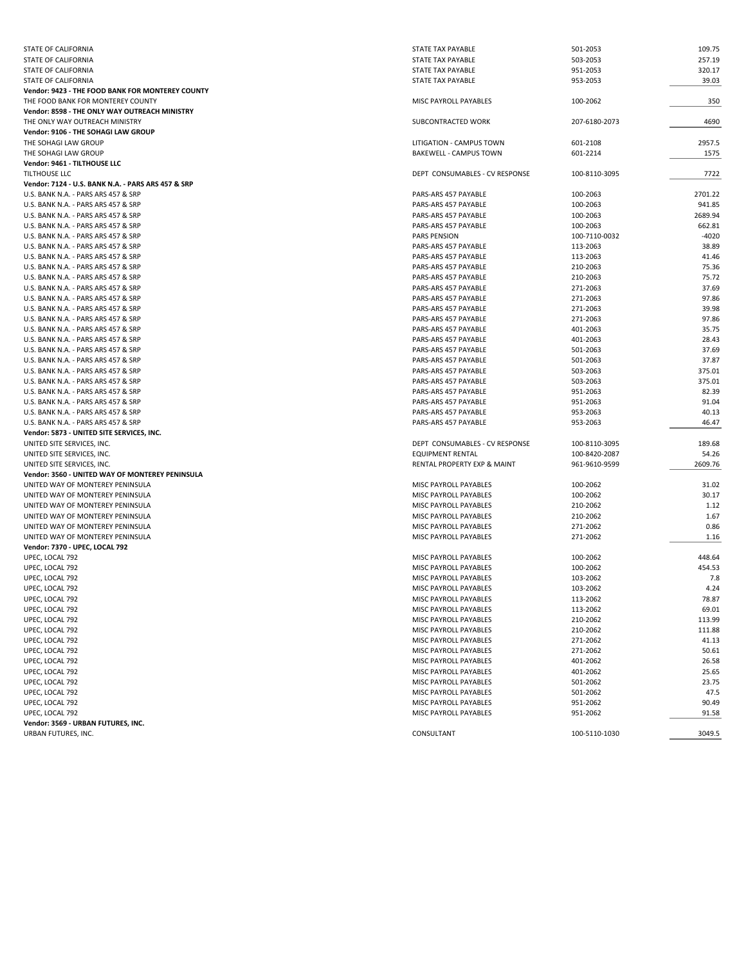| STATE OF CALIFORNIA                                | STATE TAX PAYABLE              | 501-2053      | 109.75  |
|----------------------------------------------------|--------------------------------|---------------|---------|
| STATE OF CALIFORNIA                                | STATE TAX PAYABLE              | 503-2053      | 257.19  |
| STATE OF CALIFORNIA                                | STATE TAX PAYABLE              | 951-2053      | 320.17  |
| STATE OF CALIFORNIA                                | STATE TAX PAYABLE              | 953-2053      | 39.03   |
| Vendor: 9423 - THE FOOD BANK FOR MONTEREY COUNTY   |                                |               |         |
| THE FOOD BANK FOR MONTEREY COUNTY                  | MISC PAYROLL PAYABLES          | 100-2062      | 350     |
| Vendor: 8598 - THE ONLY WAY OUTREACH MINISTRY      |                                |               |         |
| THE ONLY WAY OUTREACH MINISTRY                     | SUBCONTRACTED WORK             | 207-6180-2073 | 4690    |
|                                                    |                                |               |         |
| Vendor: 9106 - THE SOHAGI LAW GROUP                |                                |               |         |
| THE SOHAGI LAW GROUP                               | LITIGATION - CAMPUS TOWN       | 601-2108      | 2957.5  |
| THE SOHAGI LAW GROUP                               | BAKEWELL - CAMPUS TOWN         | 601-2214      | 1575    |
| Vendor: 9461 - TILTHOUSE LLC                       |                                |               |         |
| <b>TILTHOUSE LLC</b>                               | DEPT CONSUMABLES - CV RESPONSE | 100-8110-3095 | 7722    |
| Vendor: 7124 - U.S. BANK N.A. - PARS ARS 457 & SRP |                                |               |         |
| U.S. BANK N.A. - PARS ARS 457 & SRP                | PARS-ARS 457 PAYABLE           | 100-2063      | 2701.22 |
| U.S. BANK N.A. - PARS ARS 457 & SRP                | PARS-ARS 457 PAYABLE           | 100-2063      | 941.85  |
| U.S. BANK N.A. - PARS ARS 457 & SRP                | PARS-ARS 457 PAYABLE           | 100-2063      | 2689.94 |
| U.S. BANK N.A. - PARS ARS 457 & SRP                | PARS-ARS 457 PAYABLE           | 100-2063      | 662.81  |
| U.S. BANK N.A. - PARS ARS 457 & SRP                | <b>PARS PENSION</b>            | 100-7110-0032 | $-4020$ |
| U.S. BANK N.A. - PARS ARS 457 & SRP                | PARS-ARS 457 PAYABLE           | 113-2063      | 38.89   |
| U.S. BANK N.A. - PARS ARS 457 & SRP                | PARS-ARS 457 PAYABLE           | 113-2063      | 41.46   |
| U.S. BANK N.A. - PARS ARS 457 & SRP                | PARS-ARS 457 PAYABLE           | 210-2063      | 75.36   |
| U.S. BANK N.A. - PARS ARS 457 & SRP                | PARS-ARS 457 PAYABLE           | 210-2063      | 75.72   |
| U.S. BANK N.A. - PARS ARS 457 & SRP                | PARS-ARS 457 PAYABLE           | 271-2063      | 37.69   |
| U.S. BANK N.A. - PARS ARS 457 & SRP                | PARS-ARS 457 PAYABLE           | 271-2063      | 97.86   |
| U.S. BANK N.A. - PARS ARS 457 & SRP                | PARS-ARS 457 PAYABLE           | 271-2063      | 39.98   |
|                                                    |                                | 271-2063      | 97.86   |
| U.S. BANK N.A. - PARS ARS 457 & SRP                | PARS-ARS 457 PAYABLE           |               |         |
| U.S. BANK N.A. - PARS ARS 457 & SRP                | PARS-ARS 457 PAYABLE           | 401-2063      | 35.75   |
| U.S. BANK N.A. - PARS ARS 457 & SRP                | PARS-ARS 457 PAYABLE           | 401-2063      | 28.43   |
| U.S. BANK N.A. - PARS ARS 457 & SRP                | PARS-ARS 457 PAYABLE           | 501-2063      | 37.69   |
| U.S. BANK N.A. - PARS ARS 457 & SRP                | PARS-ARS 457 PAYABLE           | 501-2063      | 37.87   |
| U.S. BANK N.A. - PARS ARS 457 & SRP                | PARS-ARS 457 PAYABLE           | 503-2063      | 375.01  |
| U.S. BANK N.A. - PARS ARS 457 & SRP                | PARS-ARS 457 PAYABLE           | 503-2063      | 375.01  |
| U.S. BANK N.A. - PARS ARS 457 & SRP                | PARS-ARS 457 PAYABLE           | 951-2063      | 82.39   |
| U.S. BANK N.A. - PARS ARS 457 & SRP                | PARS-ARS 457 PAYABLE           | 951-2063      | 91.04   |
| U.S. BANK N.A. - PARS ARS 457 & SRP                | PARS-ARS 457 PAYABLE           | 953-2063      | 40.13   |
| U.S. BANK N.A. - PARS ARS 457 & SRP                | PARS-ARS 457 PAYABLE           | 953-2063      | 46.47   |
| Vendor: 5873 - UNITED SITE SERVICES, INC.          |                                |               |         |
| UNITED SITE SERVICES, INC.                         | DEPT CONSUMABLES - CV RESPONSE | 100-8110-3095 | 189.68  |
| UNITED SITE SERVICES, INC.                         | <b>EQUIPMENT RENTAL</b>        | 100-8420-2087 | 54.26   |
| UNITED SITE SERVICES, INC.                         | RENTAL PROPERTY EXP & MAINT    | 961-9610-9599 | 2609.76 |
| Vendor: 3560 - UNITED WAY OF MONTEREY PENINSULA    |                                |               |         |
| UNITED WAY OF MONTEREY PENINSULA                   | MISC PAYROLL PAYABLES          | 100-2062      | 31.02   |
| UNITED WAY OF MONTEREY PENINSULA                   | MISC PAYROLL PAYABLES          | 100-2062      | 30.17   |
| UNITED WAY OF MONTEREY PENINSULA                   | MISC PAYROLL PAYABLES          | 210-2062      | 1.12    |
| UNITED WAY OF MONTEREY PENINSULA                   | MISC PAYROLL PAYABLES          | 210-2062      | 1.67    |
| UNITED WAY OF MONTEREY PENINSULA                   | MISC PAYROLL PAYABLES          | 271-2062      | 0.86    |
|                                                    |                                |               |         |
| UNITED WAY OF MONTEREY PENINSULA                   | MISC PAYROLL PAYABLES          | 271-2062      | 1.16    |
| Vendor: 7370 - UPEC, LOCAL 792                     |                                |               |         |
| UPEC, LOCAL 792                                    | MISC PAYROLL PAYABLES          | 100-2062      | 448.64  |
| UPEC, LOCAL 792                                    | MISC PAYROLL PAYABLES          | 100-2062      | 454.53  |
| UPEC, LOCAL 792                                    | MISC PAYROLL PAYABLES          | 103-2062      | 7.8     |
| UPEC, LOCAL 792                                    | MISC PAYROLL PAYABLES          | 103-2062      | 4.24    |
| UPEC, LOCAL 792                                    | MISC PAYROLL PAYABLES          | 113-2062      | 78.87   |
| UPEC, LOCAL 792                                    | MISC PAYROLL PAYABLES          | 113-2062      | 69.01   |
| UPEC, LOCAL 792                                    | MISC PAYROLL PAYABLES          | 210-2062      | 113.99  |
| UPEC, LOCAL 792                                    | MISC PAYROLL PAYABLES          | 210-2062      | 111.88  |
| UPEC, LOCAL 792                                    | MISC PAYROLL PAYABLES          | 271-2062      | 41.13   |
| UPEC, LOCAL 792                                    | MISC PAYROLL PAYABLES          | 271-2062      | 50.61   |
| UPEC, LOCAL 792                                    | MISC PAYROLL PAYABLES          | 401-2062      | 26.58   |
| UPEC, LOCAL 792                                    | MISC PAYROLL PAYABLES          | 401-2062      | 25.65   |
| UPEC, LOCAL 792                                    | MISC PAYROLL PAYABLES          | 501-2062      | 23.75   |
| UPEC, LOCAL 792                                    | MISC PAYROLL PAYABLES          | 501-2062      | 47.5    |
| UPEC, LOCAL 792                                    | MISC PAYROLL PAYABLES          | 951-2062      | 90.49   |
| UPEC, LOCAL 792                                    | MISC PAYROLL PAYABLES          | 951-2062      | 91.58   |
| Vendor: 3569 - URBAN FUTURES, INC.                 |                                |               |         |
|                                                    |                                |               |         |
| URBAN FUTURES, INC.                                | CONSULTANT                     | 100-5110-1030 | 3049.5  |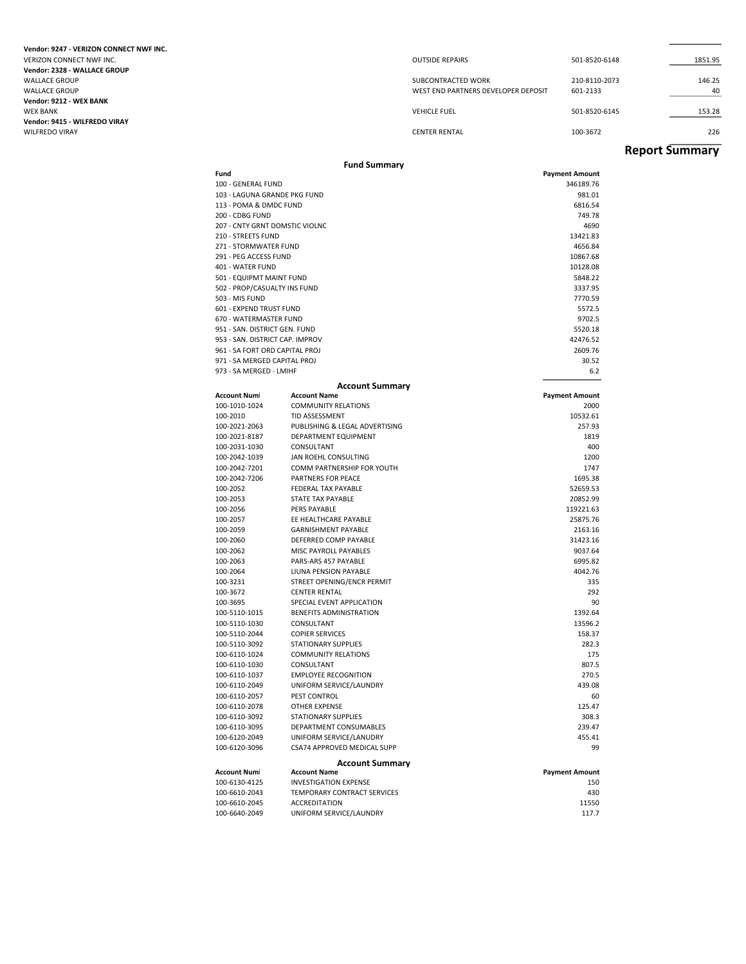**Vendor: 9247 ‐ VERIZON CONNECT NWF INC.** VERIZON CONNECT NWF INC. **Vendor: 2328 ‐ WALLACE GROUP Vendor: 9212 ‐ WEX BANK Vendor: 9415 ‐ WILFREDO VIRAY**

| Vendor: 9247 - VERIZON CONNECT NWF INC. |                                     |               |         |
|-----------------------------------------|-------------------------------------|---------------|---------|
| VERIZON CONNECT NWF INC.                | <b>OUTSIDE REPAIRS</b>              | 501-8520-6148 | 1851.95 |
| Vendor: 2328 - WALLACE GROUP            |                                     |               |         |
| WALLACE GROUP                           | SUBCONTRACTED WORK                  | 210-8110-2073 | 146.25  |
| WALLACE GROUP                           | WEST END PARTNERS DEVELOPER DEPOSIT | 601-2133      | 40      |
| Vendor: 9212 - WEX BANK                 |                                     |               |         |
| WEX BANK                                | <b>VEHICLE FUEL</b>                 | 501-8520-6145 | 153.28  |
| Vendor: 9415 - WILFREDO VIRAY           |                                     |               |         |
| WILFREDO VIRAY                          | <b>CENTER RENTAL</b>                | 100-3672      | 226     |
|                                         |                                     |               |         |

### **Report Summary**

|                                 | <b>Fund Summary</b>                                 |                       |
|---------------------------------|-----------------------------------------------------|-----------------------|
| Fund                            |                                                     | <b>Payment Amount</b> |
| 100 - GENERAL FUND              |                                                     | 346189.76             |
| 103 - LAGUNA GRANDE PKG FUND    |                                                     | 981.01                |
| 113 - POMA & DMDC FUND          |                                                     | 6816.54               |
| 200 - CDBG FUND                 |                                                     | 749.78                |
| 207 - CNTY GRNT DOMSTIC VIOLNC  |                                                     | 4690                  |
| 210 - STREETS FUND              |                                                     | 13421.83              |
| 271 - STORMWATER FUND           |                                                     | 4656.84               |
| 291 - PEG ACCESS FUND           |                                                     | 10867.68              |
| 401 - WATER FUND                |                                                     | 10128.08              |
| 501 - EQUIPMT MAINT FUND        |                                                     | 5848.22               |
| 502 - PROP/CASUALTY INS FUND    |                                                     | 3337.95               |
| 503 - MIS FUND                  |                                                     | 7770.59               |
| 601 - EXPEND TRUST FUND         |                                                     | 5572.5                |
| 670 - WATERMASTER FUND          |                                                     | 9702.5                |
| 951 - SAN, DISTRICT GEN, FUND   |                                                     | 5520.18               |
| 953 - SAN. DISTRICT CAP. IMPROV |                                                     | 42476.52              |
| 961 - SA FORT ORD CAPITAL PROJ  |                                                     | 2609.76               |
| 971 - SA MERGED CAPITAL PROJ    |                                                     | 30.52                 |
| 973 - SA MERGED - LMIHF         |                                                     | 6.2                   |
|                                 | <b>Account Summary</b>                              |                       |
| <b>Account Num</b>              | <b>Account Name</b>                                 | <b>Payment Amount</b> |
| 100-1010-1024                   | <b>COMMUNITY RELATIONS</b>                          | 2000                  |
| 100-2010                        | TID ASSESSMENT                                      | 10532.61              |
| 100-2021-2063                   | PUBLISHING & LEGAL ADVERTISING                      | 257.93                |
| 100-2021-8187                   | DEPARTMENT EQUIPMENT                                | 1819                  |
| 100-2031-1030                   | CONSULTANT                                          | 400                   |
| 100-2042-1039                   | JAN ROEHL CONSULTING                                | 1200                  |
| 100-2042-7201                   | COMM PARTNERSHIP FOR YOUTH                          | 1747                  |
| 100-2042-7206                   | PARTNERS FOR PEACE                                  | 1695.38               |
| 100-2052                        | FEDERAL TAX PAYABLE                                 | 52659.53              |
| 100-2053                        | <b>STATE TAX PAYABLE</b>                            | 20852.99              |
| 100-2056                        | PERS PAYABLE                                        | 119221.63             |
| 100-2057                        | EE HEALTHCARE PAYABLE                               | 25875.76              |
| 100-2059                        | <b>GARNISHMENT PAYABLE</b>                          | 2163.16               |
| 100-2060                        | DEFERRED COMP PAYABLE                               | 31423.16              |
| 100-2062                        | MISC PAYROLL PAYABLES                               | 9037.64               |
| 100-2063                        | PARS-ARS 457 PAYABLE                                | 6995.82               |
| 100-2064                        | LIUNA PENSION PAYABLE                               | 4042.76               |
| 100-3231                        | STREET OPENING/ENCR PERMIT                          | 335                   |
| 100-3672                        | <b>CENTER RENTAL</b>                                | 292                   |
| 100-3695                        | SPECIAL EVENT APPLICATION                           | 90                    |
| 100-5110-1015                   | BENEFITS ADMINISTRATION                             | 1392.64               |
| 100-5110-1030                   | CONSULTANT                                          | 13596.2               |
| 100-5110-2044                   | <b>COPIER SERVICES</b>                              | 158.37                |
| 100-5110-3092                   | <b>STATIONARY SUPPLIES</b>                          | 282.3                 |
| 100-6110-1024                   | <b>COMMUNITY RELATIONS</b>                          | 175                   |
| 100-6110-1030                   | CONSULTANT                                          | 807.5                 |
| 100-6110-1037                   | <b>EMPLOYEE RECOGNITION</b>                         | 270.5                 |
| 100-6110-2049                   | UNIFORM SERVICE/LAUNDRY                             | 439.08                |
| 100-6110-2057                   | PEST CONTROL                                        | 60                    |
| 100-6110-2078                   | OTHER EXPENSE                                       | 125.47                |
| 100-6110-3092                   | STATIONARY SUPPLIES                                 | 308.3                 |
| 100-6110-3095                   | DEPARTMENT CONSUMABLES                              | 239.47                |
| 100-6120-2049                   | UNIFORM SERVICE/LANUDRY                             | 455.41                |
| 100-6120-3096                   | CSA74 APPROVED MEDICAL SUPP                         | 99                    |
|                                 | <b>Account Summary</b>                              |                       |
| <b>Account Num</b>              | <b>Account Name</b>                                 | <b>Payment Amount</b> |
| 100-6130-4125                   | <b>INVESTIGATION EXPENSE</b>                        | 150                   |
| 100-6610-2043<br>100-6610-2045  | TEMPORARY CONTRACT SERVICES<br><b>ACCREDITATION</b> | 430<br>11550          |
| 100-6640-2049                   | UNIFORM SERVICE/LAUNDRY                             | 117.7                 |
|                                 |                                                     |                       |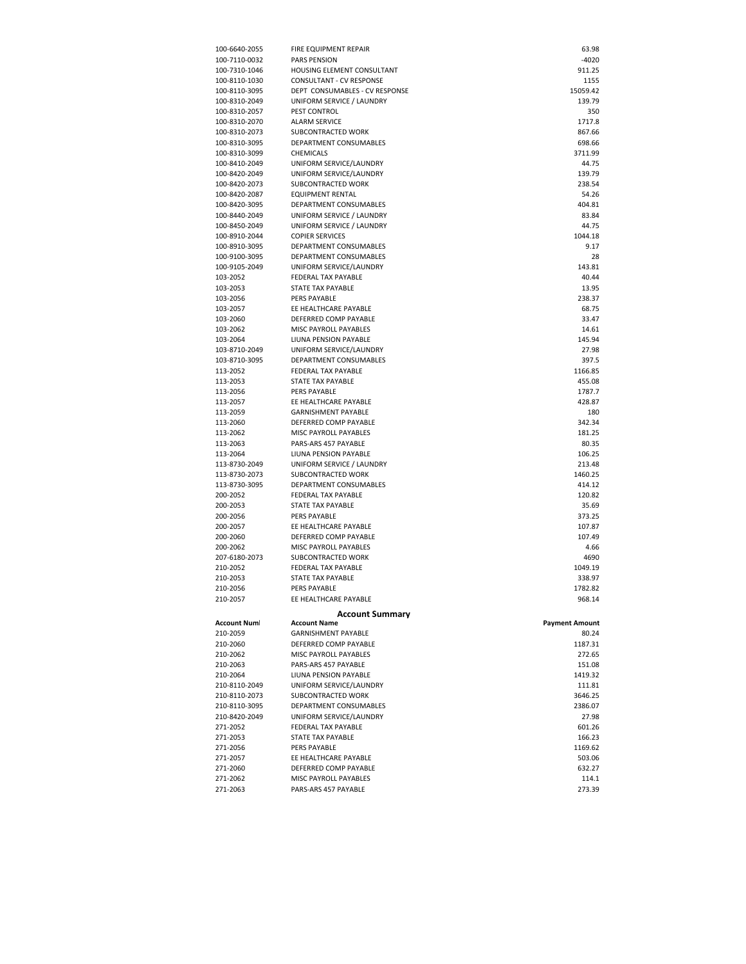| 100-6640-2055                  | FIRE EQUIPMENT REPAIR                               | 63.98                 |
|--------------------------------|-----------------------------------------------------|-----------------------|
| 100-7110-0032                  | <b>PARS PENSION</b>                                 | $-4020$               |
| 100-7310-1046                  | HOUSING ELEMENT CONSULTANT                          | 911.25                |
| 100-8110-1030                  | CONSULTANT - CV RESPONSE                            | 1155                  |
| 100-8110-3095                  | DEPT CONSUMABLES - CV RESPONSE                      | 15059.42<br>139.79    |
| 100-8310-2049<br>100-8310-2057 | UNIFORM SERVICE / LAUNDRY<br>PEST CONTROL           | 350                   |
| 100-8310-2070                  | <b>ALARM SERVICE</b>                                | 1717.8                |
| 100-8310-2073                  | SUBCONTRACTED WORK                                  | 867.66                |
| 100-8310-3095                  | DEPARTMENT CONSUMABLES                              | 698.66                |
| 100-8310-3099                  | CHEMICALS                                           | 3711.99               |
| 100-8410-2049                  | UNIFORM SERVICE/LAUNDRY                             | 44.75                 |
| 100-8420-2049                  | UNIFORM SERVICE/LAUNDRY                             | 139.79                |
| 100-8420-2073                  | SUBCONTRACTED WORK                                  | 238.54                |
| 100-8420-2087                  | EQUIPMENT RENTAL                                    | 54.26                 |
| 100-8420-3095                  | DEPARTMENT CONSUMABLES                              | 404.81                |
| 100-8440-2049                  | UNIFORM SERVICE / LAUNDRY                           | 83.84                 |
| 100-8450-2049                  | UNIFORM SERVICE / LAUNDRY<br><b>COPIER SERVICES</b> | 44.75<br>1044.18      |
| 100-8910-2044<br>100-8910-3095 | DEPARTMENT CONSUMABLES                              | 9.17                  |
| 100-9100-3095                  | DEPARTMENT CONSUMABLES                              | 28                    |
| 100-9105-2049                  | UNIFORM SERVICE/LAUNDRY                             | 143.81                |
| 103-2052                       | FEDERAL TAX PAYABLE                                 | 40.44                 |
| 103-2053                       | STATE TAX PAYABLE                                   | 13.95                 |
| 103-2056                       | PERS PAYABLE                                        | 238.37                |
| 103-2057                       | EE HEALTHCARE PAYABLE                               | 68.75                 |
| 103-2060                       | DEFERRED COMP PAYABLE                               | 33.47                 |
| 103-2062                       | MISC PAYROLL PAYABLES                               | 14.61                 |
| 103-2064                       | LIUNA PENSION PAYABLE                               | 145.94                |
| 103-8710-2049                  | UNIFORM SERVICE/LAUNDRY                             | 27.98                 |
| 103-8710-3095<br>113-2052      | DEPARTMENT CONSUMABLES<br>FEDERAL TAX PAYABLE       | 397.5<br>1166.85      |
| 113-2053                       | STATE TAX PAYABLE                                   | 455.08                |
| 113-2056                       | PERS PAYABLE                                        | 1787.7                |
| 113-2057                       | EE HEALTHCARE PAYABLE                               | 428.87                |
| 113-2059                       | <b>GARNISHMENT PAYABLE</b>                          | 180                   |
| 113-2060                       | DEFERRED COMP PAYABLE                               | 342.34                |
| 113-2062                       | MISC PAYROLL PAYABLES                               | 181.25                |
| 113-2063                       | PARS-ARS 457 PAYABLE                                | 80.35                 |
| 113-2064                       | LIUNA PENSION PAYABLE                               | 106.25                |
| 113-8730-2049                  | UNIFORM SERVICE / LAUNDRY                           | 213.48                |
| 113-8730-2073                  | SUBCONTRACTED WORK                                  | 1460.25               |
| 113-8730-3095                  | DEPARTMENT CONSUMABLES                              | 414.12                |
| 200-2052<br>200-2053           | FEDERAL TAX PAYABLE<br>STATE TAX PAYABLE            | 120.82<br>35.69       |
| 200-2056                       | <b>PERS PAYABLE</b>                                 | 373.25                |
| 200-2057                       | EE HEALTHCARE PAYABLE                               | 107.87                |
| 200-2060                       | DEFERRED COMP PAYABLE                               | 107.49                |
| 200-2062                       | MISC PAYROLL PAYABLES                               | 4.66                  |
| 207-6180-2073                  | SUBCONTRACTED WORK                                  | 4690                  |
| 210-2052                       | FEDERAL TAX PAYABLE                                 | 1049.19               |
| 210-2053                       | STATE TAX PAYABLE                                   | 338.97                |
| 210-2056                       | PERS PAYABLE                                        | 1782.82               |
| 210-2057                       | EE HEALTHCARE PAYABLE                               | 968.14                |
|                                | <b>Account Summary</b>                              |                       |
| Account Num                    | <b>Account Name</b>                                 | <b>Payment Amount</b> |
| 210-2059                       | <b>GARNISHMENT PAYABLE</b>                          | 80.24                 |
| 210-2060                       | DEFERRED COMP PAYABLE                               | 1187.31               |
| 210-2062                       | MISC PAYROLL PAYABLES                               | 272.65                |
| 210-2063                       | PARS-ARS 457 PAYABLE                                | 151.08                |
| 210-2064<br>210-8110-2049      | LIUNA PENSION PAYABLE<br>UNIFORM SERVICE/LAUNDRY    | 1419.32<br>111.81     |
| 210-8110-2073                  | SUBCONTRACTED WORK                                  | 3646.25               |
| 210-8110-3095                  | DEPARTMENT CONSUMABLES                              | 2386.07               |
| 210-8420-2049                  | UNIFORM SERVICE/LAUNDRY                             | 27.98                 |
| 271-2052                       | FEDERAL TAX PAYABLE                                 | 601.26                |
| 271-2053                       | <b>STATE TAX PAYABLE</b>                            | 166.23                |
| 271-2056                       | PERS PAYABLE                                        | 1169.62               |
| 271-2057                       | EE HEALTHCARE PAYABLE                               | 503.06                |
| 271-2060                       | DEFERRED COMP PAYABLE                               | 632.27                |
| 271-2062                       | MISC PAYROLL PAYABLES                               | 114.1                 |
| 271-2063                       | PARS-ARS 457 PAYABLE                                | 273.39                |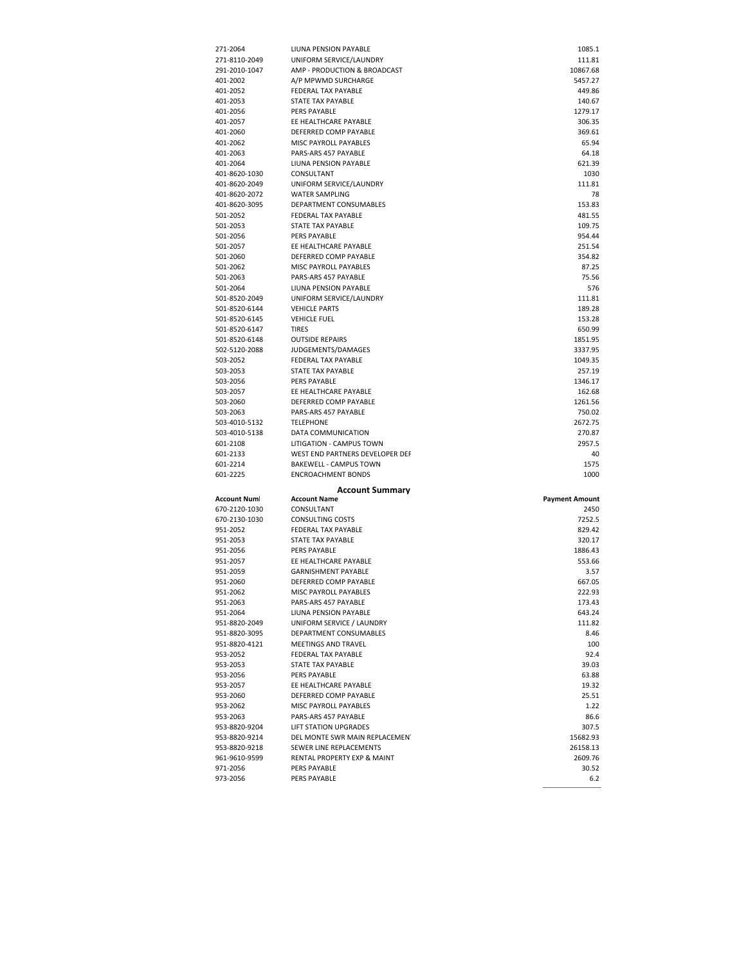| 271-2064                                                                                                                                 | LIUNA PENSION PAYABLE           | 1085.1                |
|------------------------------------------------------------------------------------------------------------------------------------------|---------------------------------|-----------------------|
| 271-8110-2049                                                                                                                            | UNIFORM SERVICE/LAUNDRY         | 111.81                |
| 291-2010-1047                                                                                                                            | AMP - PRODUCTION & BROADCAST    | 10867.68              |
| 401-2002                                                                                                                                 | A/P MPWMD SURCHARGE             | 5457.27               |
| 401-2052                                                                                                                                 | FEDERAL TAX PAYABLE             | 449.86                |
|                                                                                                                                          |                                 |                       |
| 401-2053                                                                                                                                 | STATE TAX PAYABLE               | 140.67                |
| 401-2056                                                                                                                                 | PERS PAYABLE                    | 1279.17               |
| 401-2057                                                                                                                                 | EE HEALTHCARE PAYABLE           | 306.35                |
| 401-2060                                                                                                                                 | DEFERRED COMP PAYABLE           | 369.61                |
| 401-2062                                                                                                                                 | MISC PAYROLL PAYABLES           | 65.94                 |
|                                                                                                                                          |                                 |                       |
| 401-2063                                                                                                                                 | PARS-ARS 457 PAYABLE            | 64.18                 |
| 401-2064                                                                                                                                 | LIUNA PENSION PAYABLE           | 621.39                |
| 401-8620-1030                                                                                                                            | CONSULTANT                      | 1030                  |
| 401-8620-2049                                                                                                                            | UNIFORM SERVICE/LAUNDRY         | 111.81                |
|                                                                                                                                          |                                 |                       |
| 401-8620-2072                                                                                                                            | <b>WATER SAMPLING</b>           | 78                    |
| 401-8620-3095                                                                                                                            | DEPARTMENT CONSUMABLES          | 153.83                |
| 501-2052                                                                                                                                 | FEDERAL TAX PAYABLE             | 481.55                |
| 501-2053                                                                                                                                 | STATE TAX PAYABLE               | 109.75                |
| 501-2056                                                                                                                                 | PERS PAYABLE                    | 954.44                |
|                                                                                                                                          |                                 |                       |
| 501-2057                                                                                                                                 | EE HEALTHCARE PAYABLE           | 251.54                |
| 501-2060                                                                                                                                 | DEFERRED COMP PAYABLE           | 354.82                |
| 501-2062                                                                                                                                 | MISC PAYROLL PAYABLES           | 87.25                 |
| 501-2063                                                                                                                                 | PARS-ARS 457 PAYABLE            | 75.56                 |
| 501-2064                                                                                                                                 | LIUNA PENSION PAYABLE           | 576                   |
|                                                                                                                                          |                                 |                       |
| 501-8520-2049                                                                                                                            | UNIFORM SERVICE/LAUNDRY         | 111.81                |
| 501-8520-6144                                                                                                                            | <b>VEHICLE PARTS</b>            | 189.28                |
| 501-8520-6145                                                                                                                            | <b>VEHICLE FUEL</b>             | 153.28                |
| 501-8520-6147                                                                                                                            | <b>TIRES</b>                    | 650.99                |
|                                                                                                                                          |                                 |                       |
| 501-8520-6148                                                                                                                            | <b>OUTSIDE REPAIRS</b>          | 1851.95               |
| 502-5120-2088                                                                                                                            | JUDGEMENTS/DAMAGES              | 3337.95               |
| 503-2052                                                                                                                                 | FEDERAL TAX PAYABLE             | 1049.35               |
| 503-2053                                                                                                                                 | STATE TAX PAYABLE               | 257.19                |
| 503-2056                                                                                                                                 | PERS PAYABLE                    | 1346.17               |
|                                                                                                                                          |                                 |                       |
| 503-2057                                                                                                                                 | EE HEALTHCARE PAYABLE           | 162.68                |
| 503-2060                                                                                                                                 | DEFERRED COMP PAYABLE           | 1261.56               |
| 503-2063                                                                                                                                 | PARS-ARS 457 PAYABLE            | 750.02                |
|                                                                                                                                          |                                 |                       |
|                                                                                                                                          |                                 |                       |
|                                                                                                                                          | <b>TELEPHONE</b>                | 2672.75               |
|                                                                                                                                          | DATA COMMUNICATION              | 270.87                |
|                                                                                                                                          | LITIGATION - CAMPUS TOWN        | 2957.5                |
|                                                                                                                                          | WEST END PARTNERS DEVELOPER DEP | 40                    |
|                                                                                                                                          | <b>BAKEWELL - CAMPUS TOWN</b>   | 1575                  |
|                                                                                                                                          |                                 |                       |
| 503-4010-5132<br>503-4010-5138<br>601-2108<br>601-2133<br>601-2214<br>601-2225                                                           | <b>ENCROACHMENT BONDS</b>       | 1000                  |
|                                                                                                                                          | <b>Account Summary</b>          |                       |
|                                                                                                                                          | <b>Account Name</b>             |                       |
|                                                                                                                                          |                                 | <b>Payment Amount</b> |
|                                                                                                                                          | CONSULTANT                      | 2450                  |
|                                                                                                                                          | <b>CONSULTING COSTS</b>         | 7252.5                |
|                                                                                                                                          | FEDERAL TAX PAYABLE             | 829.42                |
|                                                                                                                                          | STATE TAX PAYABLE               | 320.17                |
|                                                                                                                                          | PERS PAYABLE                    | 1886.43               |
|                                                                                                                                          |                                 |                       |
|                                                                                                                                          | EE HEALTHCARE PAYABLE           | 553.66                |
|                                                                                                                                          | <b>GARNISHMENT PAYABLE</b>      | 3.57                  |
|                                                                                                                                          | DEFERRED COMP PAYABLE           | 667.05                |
| Account Num<br>670-2120-1030<br>670-2130-1030<br>951-2052<br>951-2053<br>951-2056<br>951-2057<br>951-2059<br>951-2060<br>951-2062        | MISC PAYROLL PAYABLES           | 222.93                |
|                                                                                                                                          |                                 |                       |
| 951-2063                                                                                                                                 | PARS-ARS 457 PAYABLE            | 173.43                |
| 951-2064                                                                                                                                 | LIUNA PENSION PAYABLE           | 643.24                |
| 951-8820-2049                                                                                                                            | UNIFORM SERVICE / LAUNDRY       | 111.82                |
| 951-8820-3095                                                                                                                            | DEPARTMENT CONSUMABLES          | 8.46                  |
| 951-8820-4121                                                                                                                            | <b>MEETINGS AND TRAVEL</b>      | 100                   |
|                                                                                                                                          |                                 |                       |
| 953-2052                                                                                                                                 | FEDERAL TAX PAYABLE             | 92.4                  |
|                                                                                                                                          | STATE TAX PAYABLE               | 39.03                 |
|                                                                                                                                          | PERS PAYABLE                    | 63.88                 |
|                                                                                                                                          | EE HEALTHCARE PAYABLE           | 19.32                 |
|                                                                                                                                          | DEFERRED COMP PAYABLE           | 25.51                 |
|                                                                                                                                          | MISC PAYROLL PAYABLES           | 1.22                  |
|                                                                                                                                          |                                 |                       |
|                                                                                                                                          | PARS-ARS 457 PAYABLE            | 86.6                  |
|                                                                                                                                          | LIFT STATION UPGRADES           | 307.5                 |
|                                                                                                                                          | DEL MONTE SWR MAIN REPLACEMEN'  | 15682.93              |
|                                                                                                                                          | SEWER LINE REPLACEMENTS         | 26158.13              |
| 953-2053<br>953-2056<br>953-2057<br>953-2060<br>953-2062<br>953-2063<br>953-8820-9204<br>953-8820-9214<br>953-8820-9218<br>961-9610-9599 | RENTAL PROPERTY EXP & MAINT     | 2609.76               |
|                                                                                                                                          |                                 |                       |
| 971-2056<br>973-2056                                                                                                                     | PERS PAYABLE<br>PERS PAYABLE    | 30.52<br>6.2          |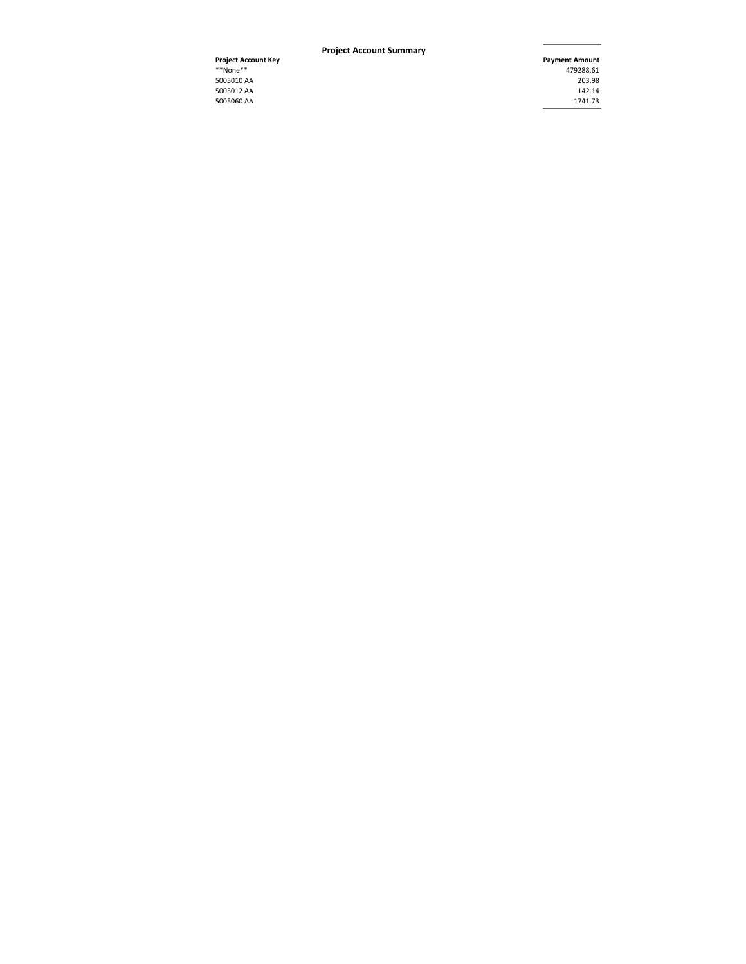#### **Pro ject Account Summar y**

5005060 AA 1741.73 **Project Account Key Project Account**<br>\*\*None\*\* **Payment Amount**<br>479288.61 \*\*None\*\* 479288.61 5005010 AA 203.98 5005012 AA 142.14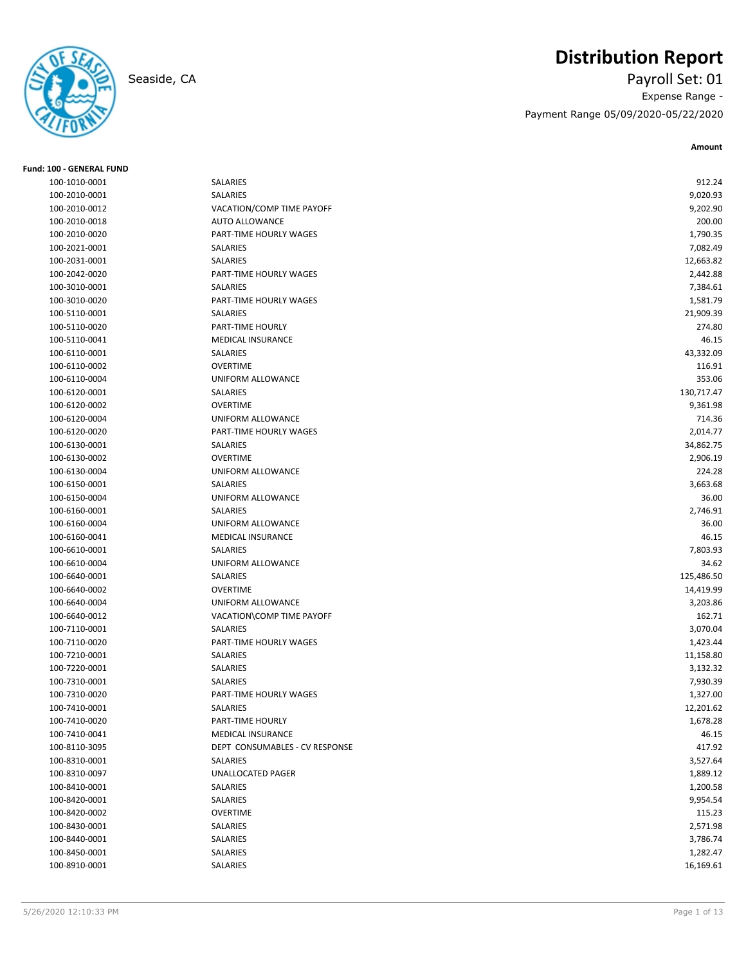

# **Distribution Report**

Seaside, CA Payroll Set: 01 Expense Range - Payment Range 05/09/2020-05/22/2020

| <b>Fund: 100 - GENERAL FUND</b> |                                |            |
|---------------------------------|--------------------------------|------------|
| 100-1010-0001                   | SALARIES                       | 912.24     |
| 100-2010-0001                   | SALARIES                       | 9,020.93   |
| 100-2010-0012                   | VACATION/COMP TIME PAYOFF      | 9,202.90   |
| 100-2010-0018                   | <b>AUTO ALLOWANCE</b>          | 200.00     |
| 100-2010-0020                   | PART-TIME HOURLY WAGES         | 1,790.35   |
| 100-2021-0001                   | SALARIES                       | 7,082.49   |
| 100-2031-0001                   | SALARIES                       | 12,663.82  |
| 100-2042-0020                   | PART-TIME HOURLY WAGES         | 2,442.88   |
| 100-3010-0001                   | SALARIES                       | 7,384.61   |
| 100-3010-0020                   | PART-TIME HOURLY WAGES         | 1,581.79   |
| 100-5110-0001                   | <b>SALARIES</b>                | 21,909.39  |
| 100-5110-0020                   | PART-TIME HOURLY               | 274.80     |
| 100-5110-0041                   | <b>MEDICAL INSURANCE</b>       | 46.15      |
| 100-6110-0001                   | SALARIES                       | 43,332.09  |
| 100-6110-0002                   | <b>OVERTIME</b>                | 116.91     |
| 100-6110-0004                   | UNIFORM ALLOWANCE              | 353.06     |
| 100-6120-0001                   | SALARIES                       | 130,717.47 |
| 100-6120-0002                   | <b>OVERTIME</b>                | 9,361.98   |
| 100-6120-0004                   | UNIFORM ALLOWANCE              | 714.36     |
| 100-6120-0020                   | PART-TIME HOURLY WAGES         | 2,014.77   |
| 100-6130-0001                   | SALARIES                       | 34,862.75  |
| 100-6130-0002                   | <b>OVERTIME</b>                | 2,906.19   |
| 100-6130-0004                   | UNIFORM ALLOWANCE              | 224.28     |
| 100-6150-0001                   | SALARIES                       | 3,663.68   |
| 100-6150-0004                   | <b>UNIFORM ALLOWANCE</b>       | 36.00      |
| 100-6160-0001                   | SALARIES                       | 2,746.91   |
| 100-6160-0004                   | UNIFORM ALLOWANCE              | 36.00      |
| 100-6160-0041                   | <b>MEDICAL INSURANCE</b>       | 46.15      |
| 100-6610-0001                   | SALARIES                       | 7,803.93   |
| 100-6610-0004                   | UNIFORM ALLOWANCE              | 34.62      |
| 100-6640-0001                   | SALARIES                       | 125,486.50 |
| 100-6640-0002                   | <b>OVERTIME</b>                | 14,419.99  |
| 100-6640-0004                   | UNIFORM ALLOWANCE              | 3,203.86   |
| 100-6640-0012                   | VACATION\COMP TIME PAYOFF      | 162.71     |
| 100-7110-0001                   | SALARIES                       | 3,070.04   |
| 100-7110-0020                   | PART-TIME HOURLY WAGES         | 1,423.44   |
| 100-7210-0001                   | SALARIES                       | 11,158.80  |
| 100-7220-0001                   | SALARIES                       | 3,132.32   |
| 100-7310-0001                   | SALARIES                       | 7,930.39   |
| 100-7310-0020                   | PART-TIME HOURLY WAGES         | 1,327.00   |
| 100-7410-0001                   | SALARIES                       | 12,201.62  |
| 100-7410-0020                   | PART-TIME HOURLY               | 1,678.28   |
| 100-7410-0041                   | MEDICAL INSURANCE              | 46.15      |
| 100-8110-3095                   | DEPT CONSUMABLES - CV RESPONSE | 417.92     |
| 100-8310-0001                   | SALARIES                       | 3,527.64   |
| 100-8310-0097                   | UNALLOCATED PAGER              | 1,889.12   |
| 100-8410-0001                   | SALARIES                       | 1,200.58   |
| 100-8420-0001                   | SALARIES                       | 9,954.54   |
| 100-8420-0002                   | <b>OVERTIME</b>                | 115.23     |
| 100-8430-0001                   | SALARIES                       | 2,571.98   |
| 100-8440-0001                   | SALARIES                       | 3,786.74   |
| 100-8450-0001                   | SALARIES                       | 1,282.47   |
| 100-8910-0001                   | SALARIES                       | 16,169.61  |
|                                 |                                |            |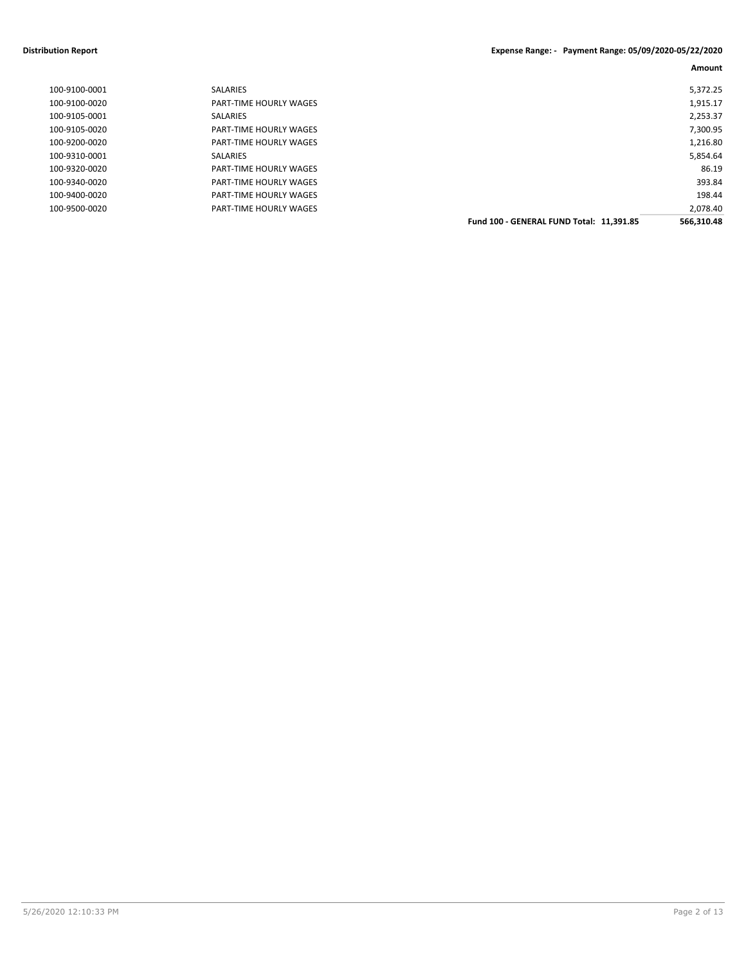#### **Distribution Report Expense Range: - Payment Range: 05/09/2020-05/22/2020**

| 100-9100-0001 | <b>SALARIES</b>               |                                          | 5,372.25   |
|---------------|-------------------------------|------------------------------------------|------------|
| 100-9100-0020 | PART-TIME HOURLY WAGES        |                                          | 1,915.17   |
| 100-9105-0001 | SALARIES                      |                                          | 2,253.37   |
| 100-9105-0020 | PART-TIME HOURLY WAGES        |                                          | 7,300.95   |
| 100-9200-0020 | PART-TIME HOURLY WAGES        |                                          | 1,216.80   |
| 100-9310-0001 | <b>SALARIES</b>               |                                          | 5,854.64   |
| 100-9320-0020 | <b>PART-TIME HOURLY WAGES</b> |                                          | 86.19      |
| 100-9340-0020 | <b>PART-TIME HOURLY WAGES</b> |                                          | 393.84     |
| 100-9400-0020 | PART-TIME HOURLY WAGES        |                                          | 198.44     |
| 100-9500-0020 | <b>PART-TIME HOURLY WAGES</b> |                                          | 2,078.40   |
|               |                               | Fund 100 - GENERAL FUND Total: 11.391.85 | 566.310.48 |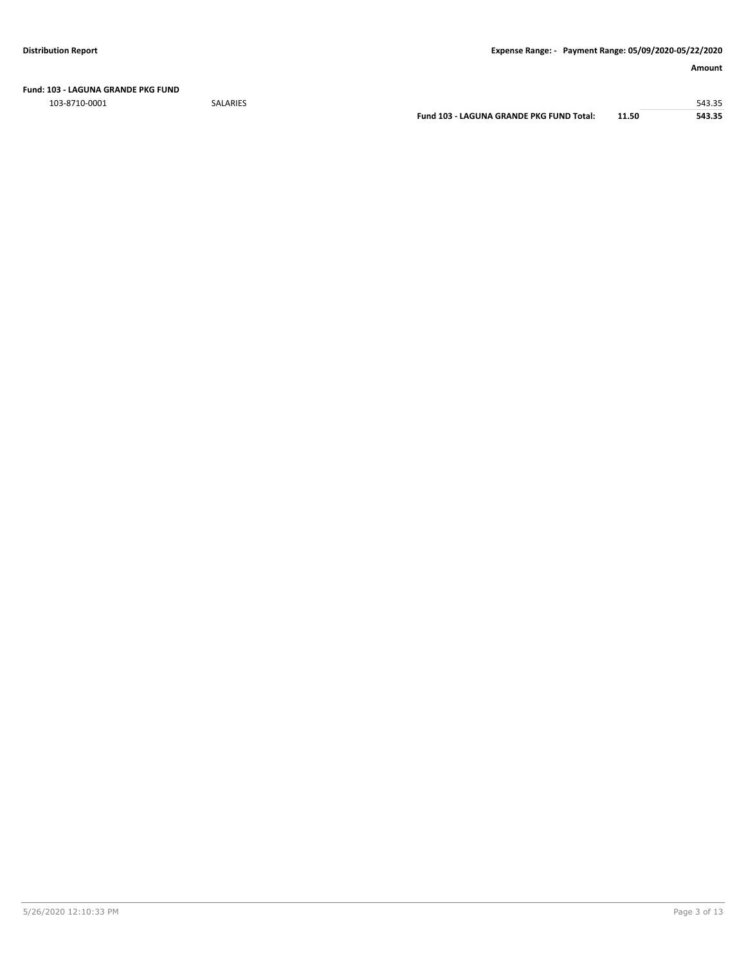**Fund: 103 - LAGUNA GRANDE PKG FUND**

103-8710-0001 SALARIES 543.35

**Fund 103 - LAGUNA GRANDE PKG FUND Total: 11.50 543.35**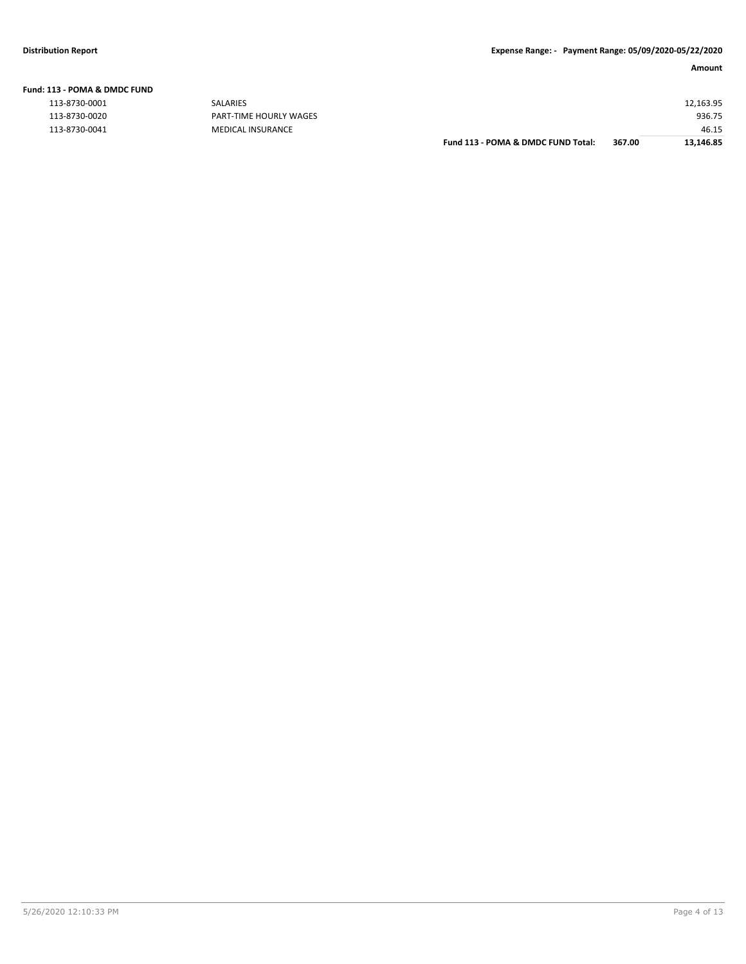|  | Fund: 113 - POMA & DMDC FUND |  |
|--|------------------------------|--|
|  |                              |  |

| .             |                               |                                    |        |           |
|---------------|-------------------------------|------------------------------------|--------|-----------|
| 113-8730-0001 | SALARIES                      |                                    |        | 12,163.95 |
| 113-8730-0020 | <b>PART-TIME HOURLY WAGES</b> |                                    |        | 936.75    |
| 113-8730-0041 | MEDICAL INSURANCE             |                                    |        | 46.15     |
|               |                               | Fund 113 - POMA & DMDC FUND Total: | 367.00 | 13,146.85 |
|               |                               |                                    |        |           |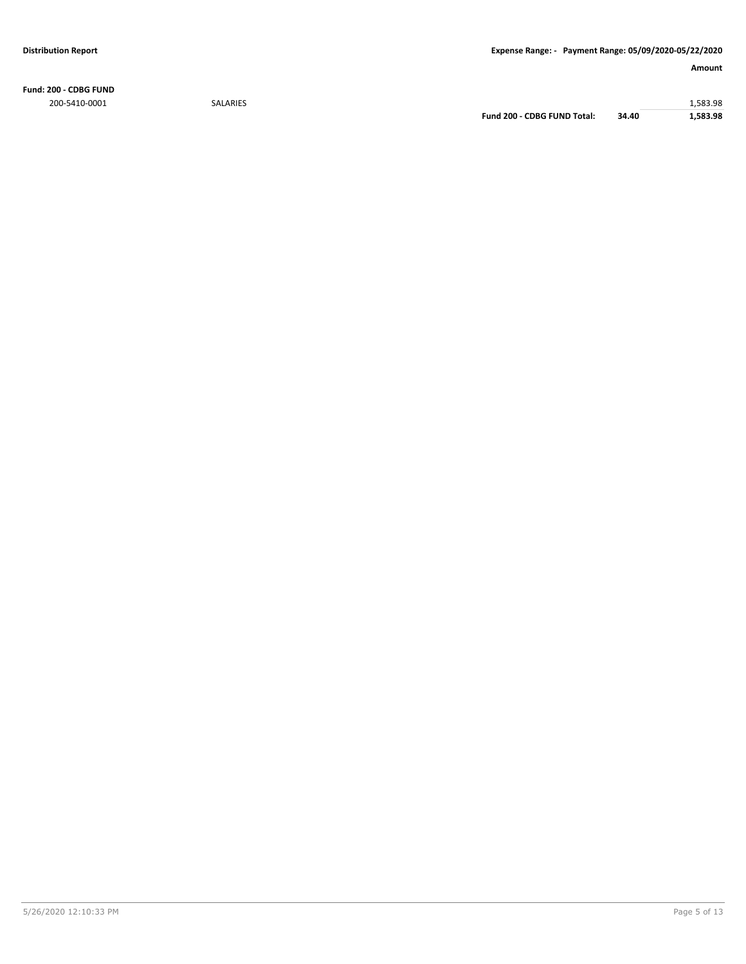**Fund: 200 - CDBG FUND** 200-5410-0001 SALARIES 1,583.98

**Fund 200 - CDBG FUND Total: 34.40 1,583.98**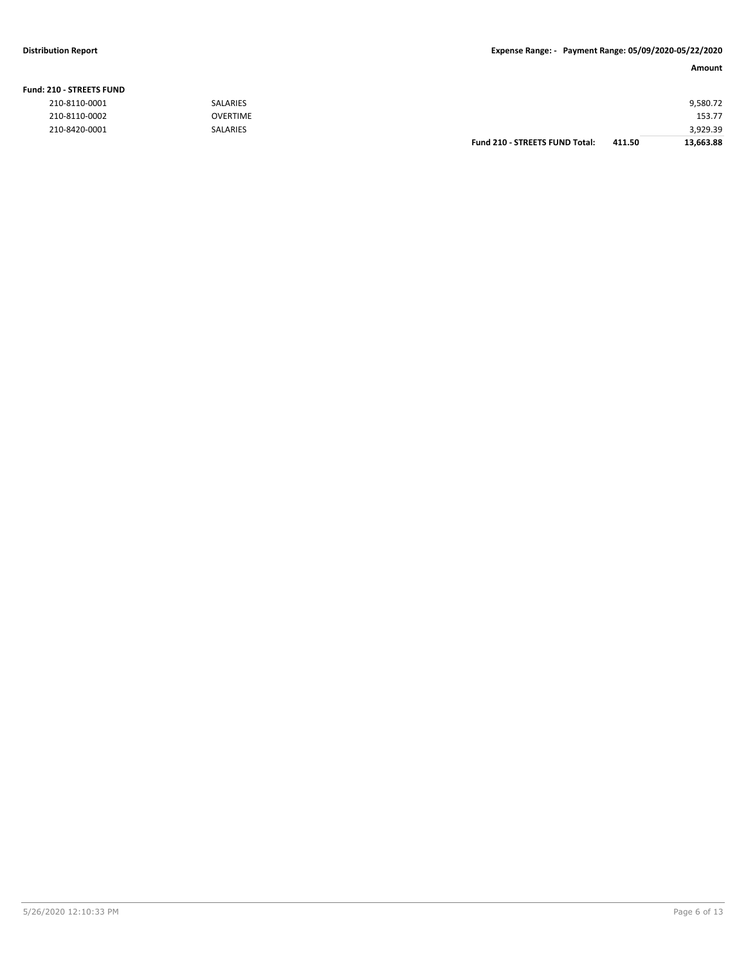#### **Fund: 210 - STREETS FUND**

| 210-8110-0001 | <b>SALARIES</b> |                                       |        | 9,580.72  |
|---------------|-----------------|---------------------------------------|--------|-----------|
| 210-8110-0002 | <b>OVERTIME</b> |                                       |        | 153.77    |
| 210-8420-0001 | <b>SALARIES</b> |                                       |        | 3,929.39  |
|               |                 | <b>Fund 210 - STREETS FUND Total:</b> | 411.50 | 13,663.88 |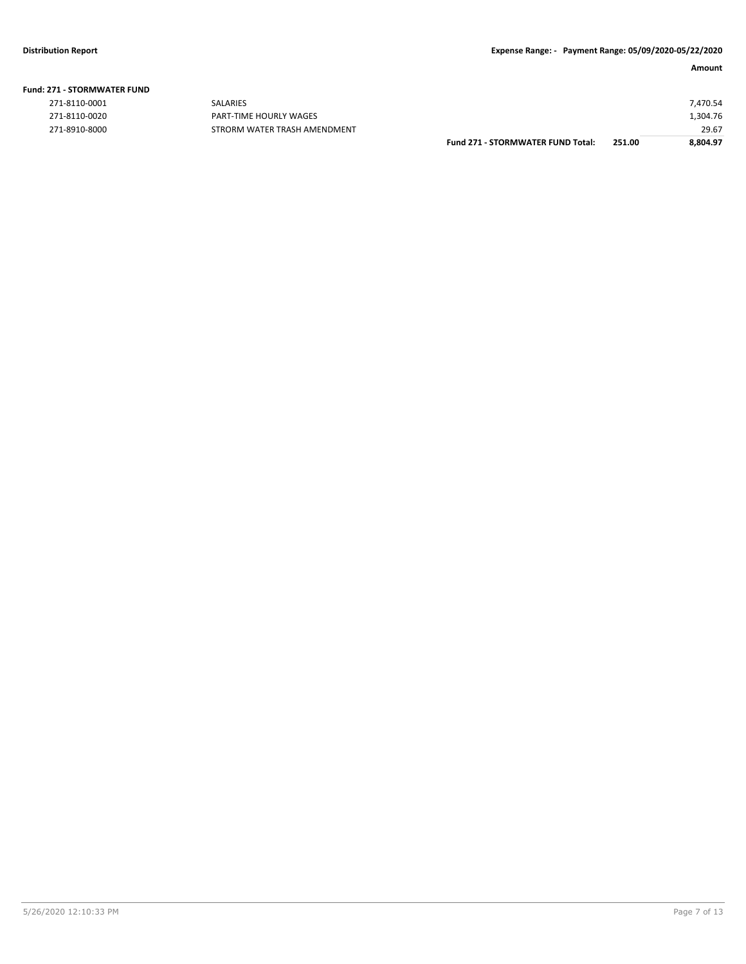| <b>Fund: 271 - STORMWATER FUND</b> |  |
|------------------------------------|--|
|                                    |  |

| 271-8110-0001 |
|---------------|
| 271-8110-0020 |
| 771 0010 0000 |

PART-TIME HOURLY WAGES 271-8910-8000 STRORM WATER TRASH AMENDMENT

|               |                              | <b>Fund 271 - STORMWATER FUND Total:</b> | 251.00 | 8.804.97 |
|---------------|------------------------------|------------------------------------------|--------|----------|
| 271-8910-8000 | STRORM WATER TRASH AMENDMENT |                                          |        | 29.67    |
| 271-8110-0020 | PART-TIME HOURLY WAGES       |                                          |        | 1,304.76 |
| 271-8110-0001 | <b>SALARIES</b>              |                                          |        | 7.470.54 |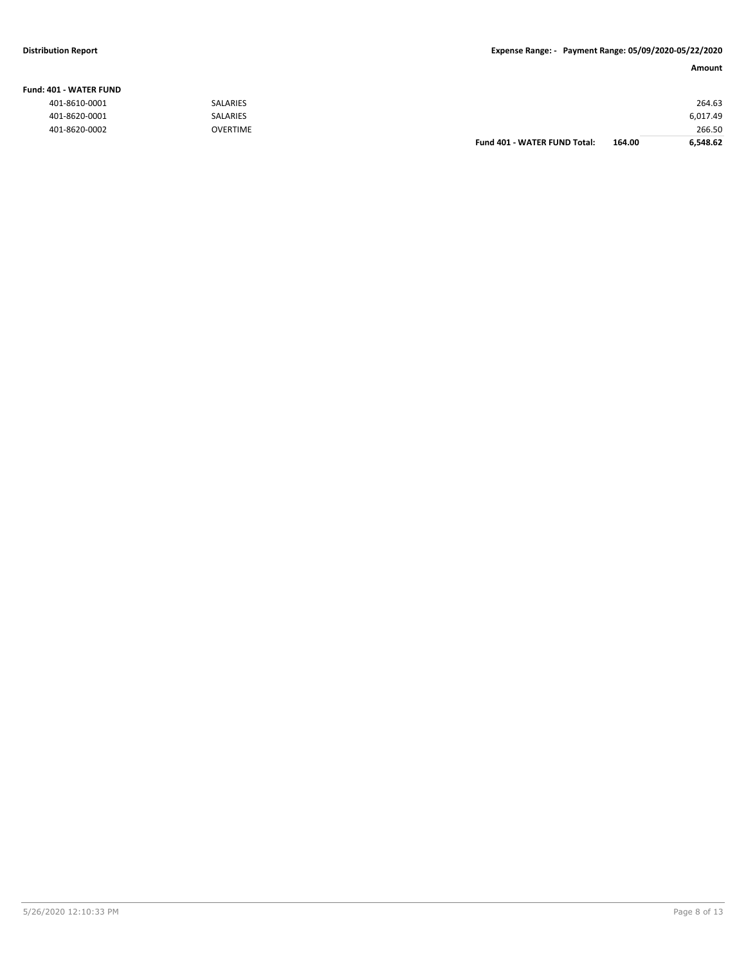#### **Fund: 401 - WATER FUND**

| 401-8610-0001 | <b>SALARIES</b> |                              |        | 264.63   |
|---------------|-----------------|------------------------------|--------|----------|
| 401-8620-0001 | <b>SALARIES</b> |                              |        | 6,017.49 |
| 401-8620-0002 | <b>OVERTIME</b> |                              |        | 266.50   |
|               |                 | Fund 401 - WATER FUND Total: | 164.00 | 6.548.62 |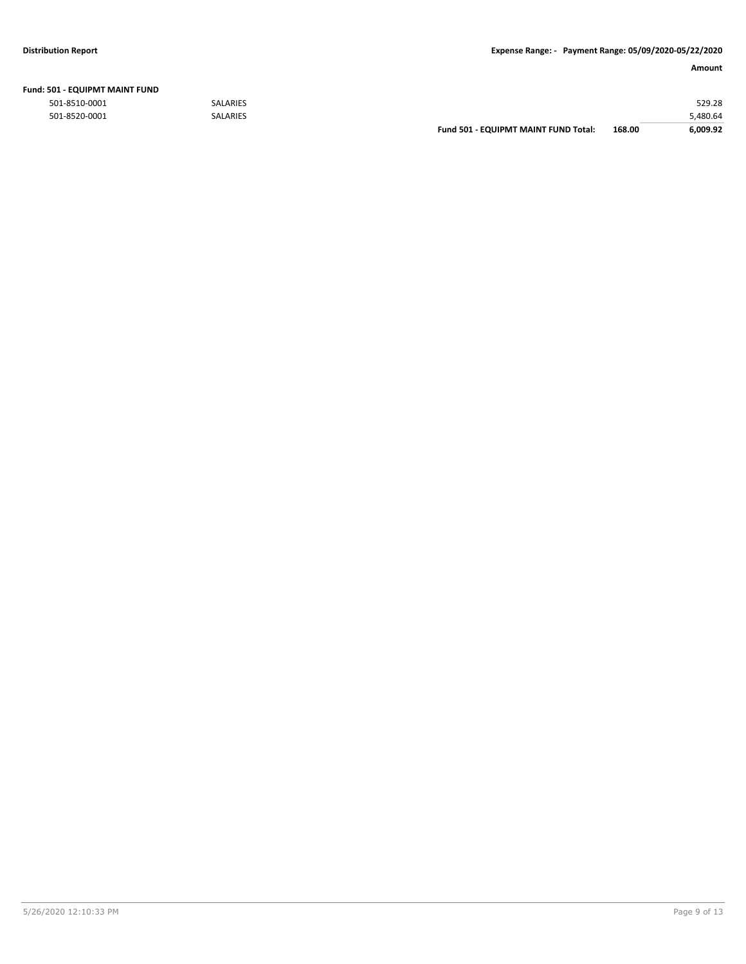| <b>501 - EQUIPMT MAINT FUND</b> |                 |                                      |        |          |
|---------------------------------|-----------------|--------------------------------------|--------|----------|
| 501-8510-0001                   | <b>SALARIES</b> |                                      |        | 529.28   |
| 501-8520-0001                   | <b>SALARIES</b> |                                      |        | 5,480.64 |
|                                 |                 | Fund 501 - EQUIPMT MAINT FUND Total: | 168.00 | 6,009.92 |

# **Fund: 501 - EQUIPMT MAINT FUND**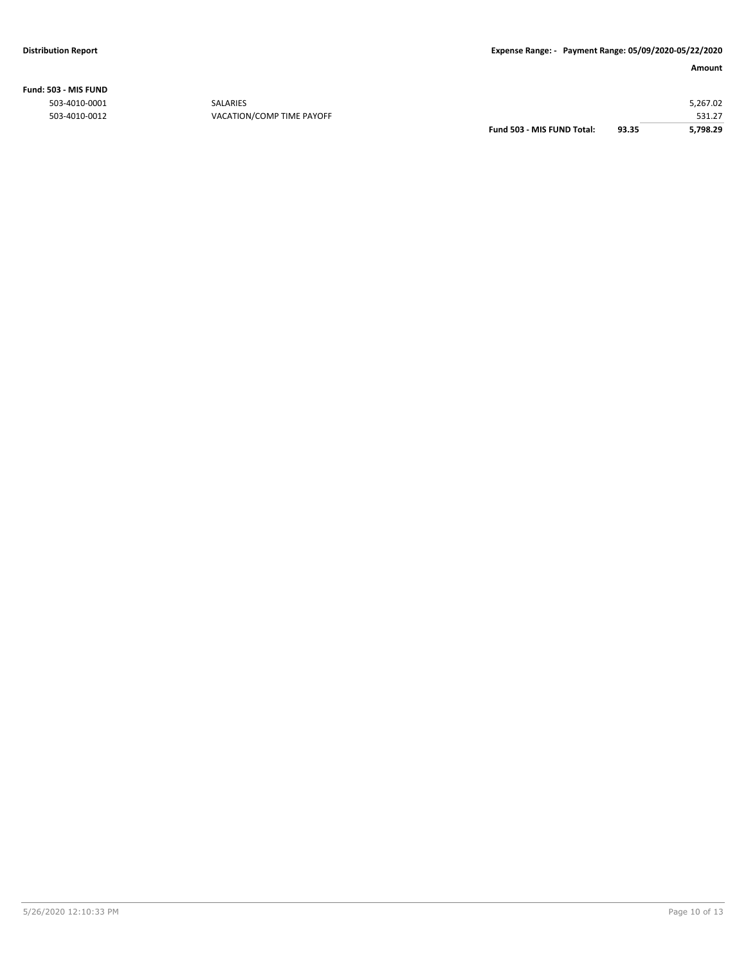**Fund: 503 - MIS FUND**

|               |                           | Fund 503 - MIS FUND Total: | 93.35 | 5.798.29 |
|---------------|---------------------------|----------------------------|-------|----------|
| 503-4010-0012 | VACATION/COMP TIME PAYOFF |                            |       | 531.27   |
| 503-4010-0001 | <b>SALARIES</b>           |                            |       | 5,267.02 |
|               |                           |                            |       |          |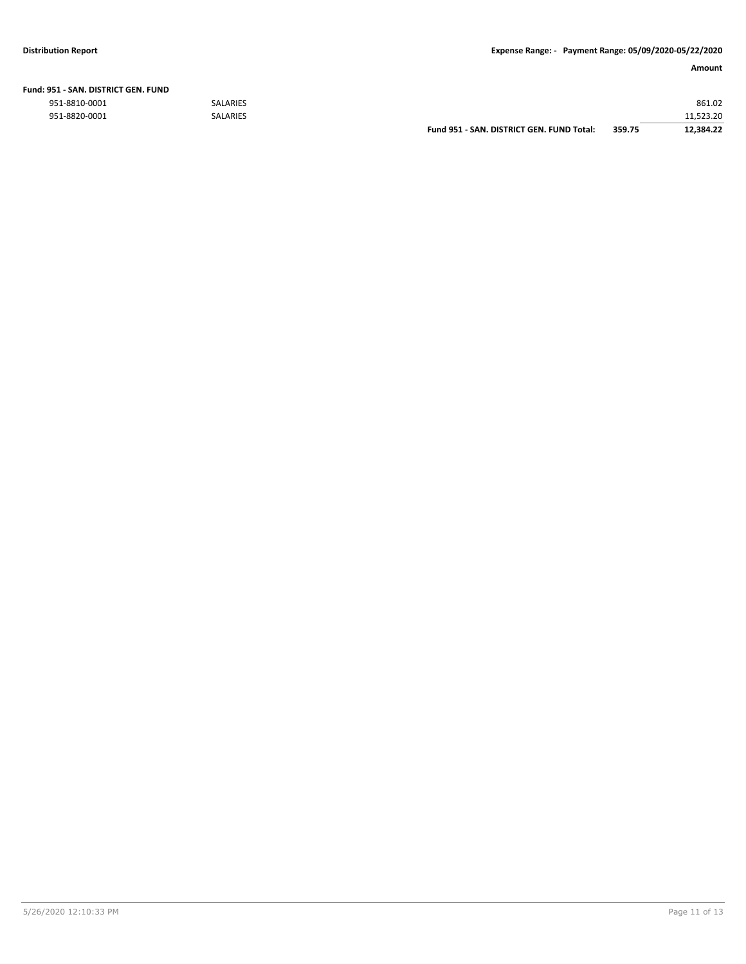|  | Fund: 951 - SAN. DISTRICT GEN. FUND |  |  |
|--|-------------------------------------|--|--|
|  |                                     |  |  |

| 12.384.22 |
|-----------|
| 11,523.20 |
| 861.02    |
|           |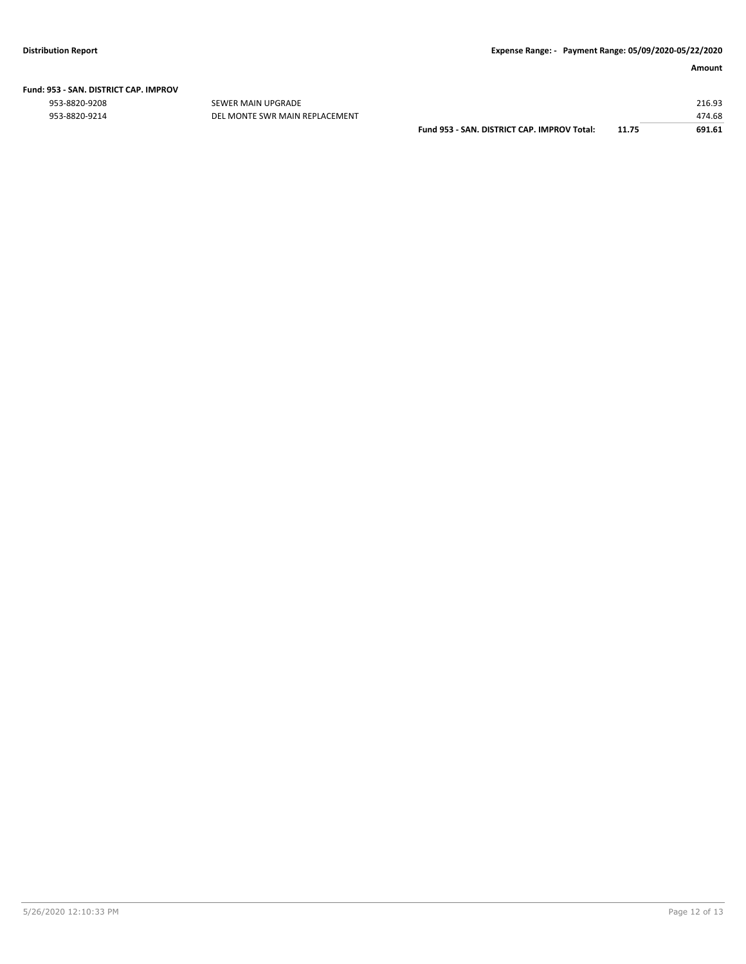|  | Fund: 953 - SAN. DISTRICT CAP. IMPROV |  |
|--|---------------------------------------|--|
|  |                                       |  |

953-8820-9208 SEWER MAIN UPGRADE 216.93

| 953-8820-9214 | DEL MONTE SWR MAIN REPLACEMENT |                                             |       | 474.68 |
|---------------|--------------------------------|---------------------------------------------|-------|--------|
|               |                                | Fund 953 - SAN, DISTRICT CAP, IMPROV Total: | 11.75 | 691.61 |